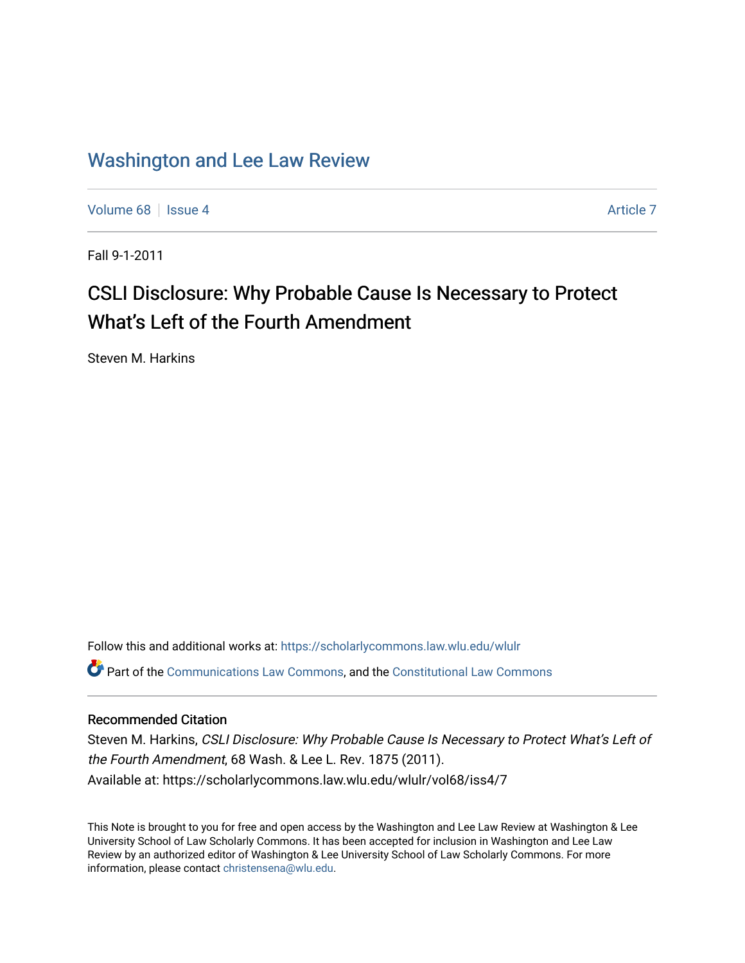### [Washington and Lee Law Review](https://scholarlycommons.law.wlu.edu/wlulr)

[Volume 68](https://scholarlycommons.law.wlu.edu/wlulr/vol68) | [Issue 4](https://scholarlycommons.law.wlu.edu/wlulr/vol68/iss4) [Article 7](https://scholarlycommons.law.wlu.edu/wlulr/vol68/iss4/7) Article 7 Article 7 Article 7 Article 7 Article 7 Article 7

Fall 9-1-2011

# CSLI Disclosure: Why Probable Cause Is Necessary to Protect What's Left of the Fourth Amendment

Steven M. Harkins

Follow this and additional works at: [https://scholarlycommons.law.wlu.edu/wlulr](https://scholarlycommons.law.wlu.edu/wlulr?utm_source=scholarlycommons.law.wlu.edu%2Fwlulr%2Fvol68%2Fiss4%2F7&utm_medium=PDF&utm_campaign=PDFCoverPages)  Part of the [Communications Law Commons,](http://network.bepress.com/hgg/discipline/587?utm_source=scholarlycommons.law.wlu.edu%2Fwlulr%2Fvol68%2Fiss4%2F7&utm_medium=PDF&utm_campaign=PDFCoverPages) and the [Constitutional Law Commons](http://network.bepress.com/hgg/discipline/589?utm_source=scholarlycommons.law.wlu.edu%2Fwlulr%2Fvol68%2Fiss4%2F7&utm_medium=PDF&utm_campaign=PDFCoverPages)

#### Recommended Citation

Steven M. Harkins, CSLI Disclosure: Why Probable Cause Is Necessary to Protect What's Left of the Fourth Amendment, 68 Wash. & Lee L. Rev. 1875 (2011). Available at: https://scholarlycommons.law.wlu.edu/wlulr/vol68/iss4/7

This Note is brought to you for free and open access by the Washington and Lee Law Review at Washington & Lee University School of Law Scholarly Commons. It has been accepted for inclusion in Washington and Lee Law Review by an authorized editor of Washington & Lee University School of Law Scholarly Commons. For more information, please contact [christensena@wlu.edu](mailto:christensena@wlu.edu).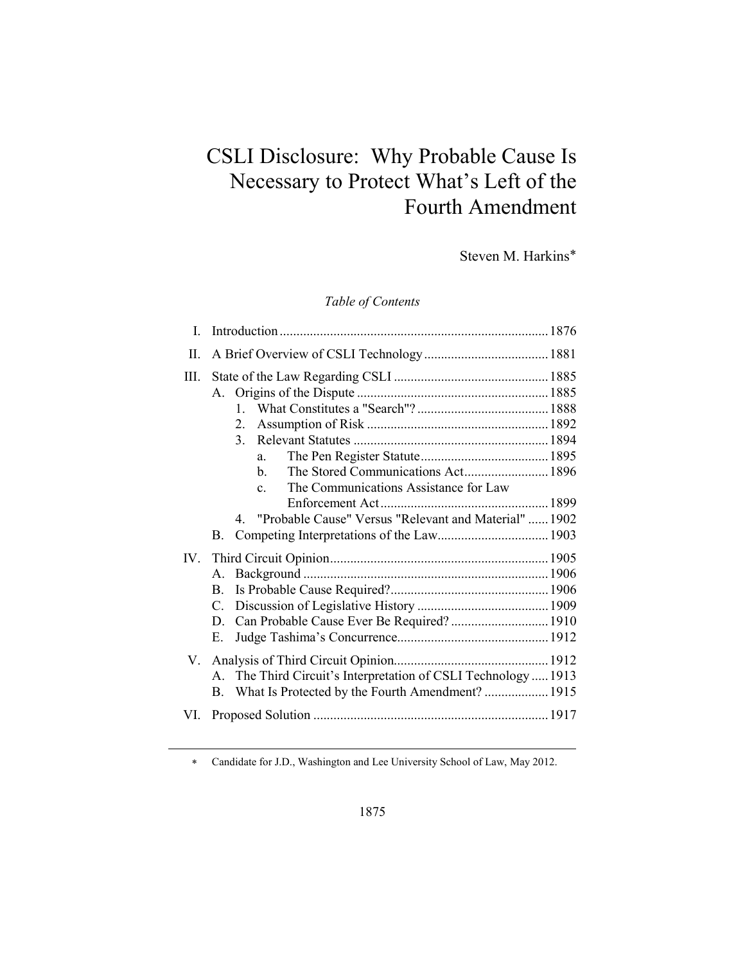# CSLI Disclosure: Why Probable Cause Is Necessary to Protect What's Left of the Fourth Amendment

Steven M. Harkins∗

### *Table of Contents*

| Ι    |                                                                                                                                                                                              |  |
|------|----------------------------------------------------------------------------------------------------------------------------------------------------------------------------------------------|--|
| II.  |                                                                                                                                                                                              |  |
| III. | 2.<br>$\mathcal{E}$<br>a.<br>The Stored Communications Act 1896<br>b.<br>The Communications Assistance for Law<br>$\mathbf{c}$ .<br>4. "Probable Cause" Versus "Relevant and Material"  1902 |  |
|      | B.                                                                                                                                                                                           |  |
|      | $A_{-}$<br>B.<br>$C_{-}$<br>Can Probable Cause Ever Be Required?  1910<br>D.<br>Е.                                                                                                           |  |
|      | A. The Third Circuit's Interpretation of CSLI Technology  1913<br>What Is Protected by the Fourth Amendment?  1915<br>B.                                                                     |  |
| VI.  |                                                                                                                                                                                              |  |
|      |                                                                                                                                                                                              |  |

∗ Candidate for J.D., Washington and Lee University School of Law, May 2012.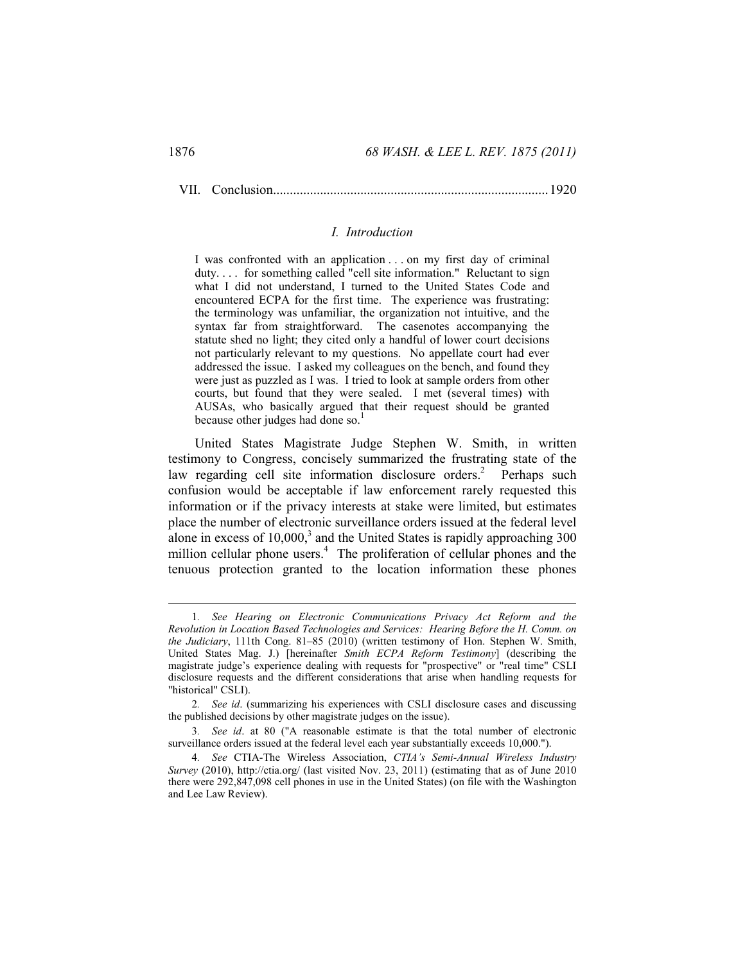VII. Conclusion .................................................................................. 1920

#### *I. Introduction*

I was confronted with an application . . . on my first day of criminal duty.... for something called "cell site information." Reluctant to sign what I did not understand, I turned to the United States Code and encountered ECPA for the first time. The experience was frustrating: the terminology was unfamiliar, the organization not intuitive, and the syntax far from straightforward. The casenotes accompanying the statute shed no light; they cited only a handful of lower court decisions not particularly relevant to my questions. No appellate court had ever addressed the issue. I asked my colleagues on the bench, and found they were just as puzzled as I was. I tried to look at sample orders from other courts, but found that they were sealed. I met (several times) with AUSAs, who basically argued that their request should be granted because other judges had done so.<sup>1</sup>

United States Magistrate Judge Stephen W. Smith, in written testimony to Congress, concisely summarized the frustrating state of the law regarding cell site information disclosure orders.<sup>2</sup> Perhaps such confusion would be acceptable if law enforcement rarely requested this information or if the privacy interests at stake were limited, but estimates place the number of electronic surveillance orders issued at the federal level alone in excess of  $10,000$ ,<sup>3</sup> and the United States is rapidly approaching 300 million cellular phone users.<sup>4</sup> The proliferation of cellular phones and the tenuous protection granted to the location information these phones

 <sup>1</sup>*. See Hearing on Electronic Communications Privacy Act Reform and the Revolution in Location Based Technologies and Services: Hearing Before the H. Comm. on the Judiciary*, 111th Cong. 81–85 (2010) (written testimony of Hon. Stephen W. Smith, United States Mag. J.) [hereinafter *Smith ECPA Reform Testimony*] (describing the magistrate judge's experience dealing with requests for "prospective" or "real time" CSLI disclosure requests and the different considerations that arise when handling requests for "historical" CSLI).

<sup>2</sup>*. See id*. (summarizing his experiences with CSLI disclosure cases and discussing the published decisions by other magistrate judges on the issue).

<sup>3</sup>*. See id*. at 80 ("A reasonable estimate is that the total number of electronic surveillance orders issued at the federal level each year substantially exceeds 10,000.").

<sup>4</sup>*. See* CTIA-The Wireless Association, *CTIA's Semi-Annual Wireless Industry Survey* (2010), http://ctia.org/ (last visited Nov. 23, 2011) (estimating that as of June 2010 there were 292,847,098 cell phones in use in the United States) (on file with the Washington and Lee Law Review).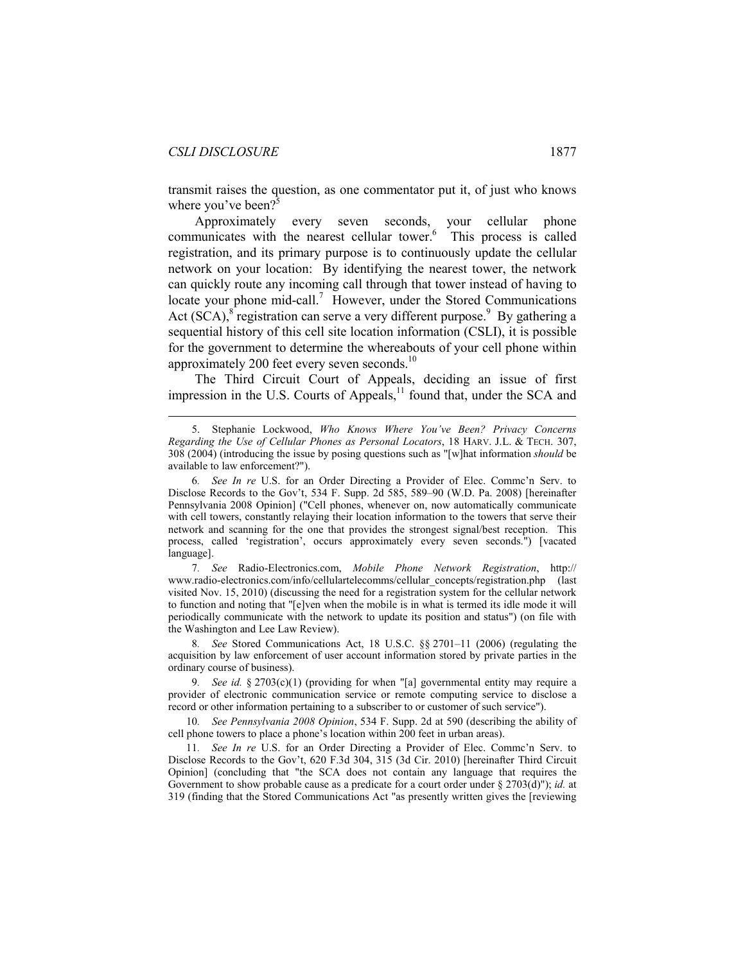$\overline{a}$ 

transmit raises the question, as one commentator put it, of just who knows where you've been? $5$ 

Approximately every seven seconds, your cellular phone communicates with the nearest cellular tower.<sup>6</sup> This process is called registration, and its primary purpose is to continuously update the cellular network on your location: By identifying the nearest tower, the network can quickly route any incoming call through that tower instead of having to locate your phone mid-call.<sup>7</sup> However, under the Stored Communications Act  $(SCA)$ ,  $\delta$  registration can serve a very different purpose.<sup>9</sup> By gathering a sequential history of this cell site location information (CSLI), it is possible for the government to determine the whereabouts of your cell phone within approximately 200 feet every seven seconds.<sup>10</sup>

The Third Circuit Court of Appeals, deciding an issue of first impression in the U.S. Courts of Appeals,<sup>11</sup> found that, under the SCA and

7*. See* Radio-Electronics.com, *Mobile Phone Network Registration*, http:// www.radio-electronics.com/info/cellulartelecomms/cellular\_concepts/registration.php (last visited Nov. 15, 2010) (discussing the need for a registration system for the cellular network to function and noting that "[e]ven when the mobile is in what is termed its idle mode it will periodically communicate with the network to update its position and status") (on file with the Washington and Lee Law Review).

8*. See* Stored Communications Act, 18 U.S.C. §§ 2701–11 (2006) (regulating the acquisition by law enforcement of user account information stored by private parties in the ordinary course of business).

9*. See id.* § 2703(c)(1) (providing for when "[a] governmental entity may require a provider of electronic communication service or remote computing service to disclose a record or other information pertaining to a subscriber to or customer of such service").

10*. See Pennsylvania 2008 Opinion*, 534 F. Supp. 2d at 590 (describing the ability of cell phone towers to place a phone's location within 200 feet in urban areas).

11*. See In re* U.S. for an Order Directing a Provider of Elec. Commc'n Serv. to Disclose Records to the Gov't, 620 F.3d 304, 315 (3d Cir. 2010) [hereinafter Third Circuit Opinion] (concluding that "the SCA does not contain any language that requires the Government to show probable cause as a predicate for a court order under § 2703(d)"); *id.* at 319 (finding that the Stored Communications Act "as presently written gives the [reviewing

 <sup>5.</sup> Stephanie Lockwood, *Who Knows Where You've Been? Privacy Concerns Regarding the Use of Cellular Phones as Personal Locators*, 18 HARV. J.L. & TECH. 307, 308 (2004) (introducing the issue by posing questions such as "[w]hat information *should* be available to law enforcement?").

<sup>6</sup>*. See In re* U.S. for an Order Directing a Provider of Elec. Commc'n Serv. to Disclose Records to the Gov't, 534 F. Supp. 2d 585, 589–90 (W.D. Pa. 2008) [hereinafter Pennsylvania 2008 Opinion] ("Cell phones, whenever on, now automatically communicate with cell towers, constantly relaying their location information to the towers that serve their network and scanning for the one that provides the strongest signal/best reception. This process, called 'registration', occurs approximately every seven seconds.") [vacated language].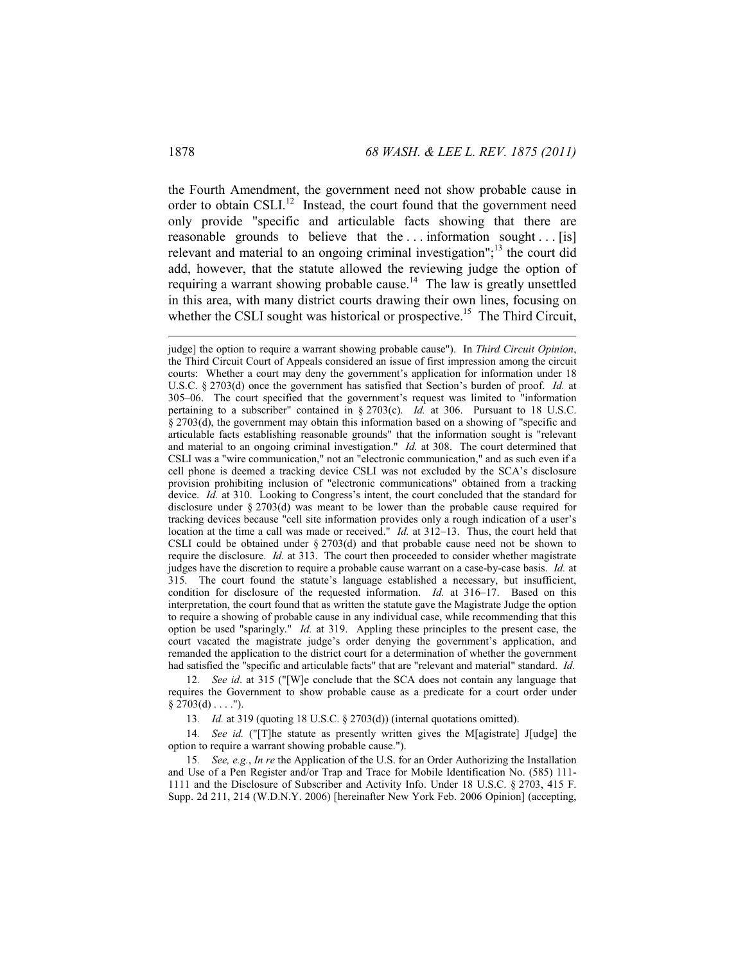the Fourth Amendment, the government need not show probable cause in order to obtain CSLI.<sup>12</sup> Instead, the court found that the government need only provide "specific and articulable facts showing that there are reasonable grounds to believe that the ... information sought ... [is] relevant and material to an ongoing criminal investigation";<sup>13</sup> the court did add, however, that the statute allowed the reviewing judge the option of requiring a warrant showing probable cause.<sup>14</sup> The law is greatly unsettled in this area, with many district courts drawing their own lines, focusing on whether the CSLI sought was historical or prospective.<sup>15</sup> The Third Circuit,

12*. See id*. at 315 ("[W]e conclude that the SCA does not contain any language that requires the Government to show probable cause as a predicate for a court order under  $§ 2703(d) \ldots$  .").

13*. Id.* at 319 (quoting 18 U.S.C. § 2703(d)) (internal quotations omitted).

14*. See id.* ("[T]he statute as presently written gives the M[agistrate] J[udge] the option to require a warrant showing probable cause.").

15*. See, e.g.*, *In re* the Application of the U.S. for an Order Authorizing the Installation and Use of a Pen Register and/or Trap and Trace for Mobile Identification No. (585) 111- 1111 and the Disclosure of Subscriber and Activity Info. Under 18 U.S.C. § 2703, 415 F. Supp. 2d 211, 214 (W.D.N.Y. 2006) [hereinafter New York Feb. 2006 Opinion] (accepting,

judge] the option to require a warrant showing probable cause"). In *Third Circuit Opinion*, the Third Circuit Court of Appeals considered an issue of first impression among the circuit courts: Whether a court may deny the government's application for information under 18 U.S.C. § 2703(d) once the government has satisfied that Section's burden of proof. *Id.* at 305–06. The court specified that the government's request was limited to "information pertaining to a subscriber" contained in § 2703(c). *Id.* at 306. Pursuant to 18 U.S.C. § 2703(d), the government may obtain this information based on a showing of "specific and articulable facts establishing reasonable grounds" that the information sought is "relevant and material to an ongoing criminal investigation." *Id.* at 308. The court determined that CSLI was a "wire communication," not an "electronic communication," and as such even if a cell phone is deemed a tracking device CSLI was not excluded by the SCA's disclosure provision prohibiting inclusion of "electronic communications" obtained from a tracking device. *Id.* at 310. Looking to Congress's intent, the court concluded that the standard for disclosure under § 2703(d) was meant to be lower than the probable cause required for tracking devices because "cell site information provides only a rough indication of a user's location at the time a call was made or received." *Id.* at 312–13. Thus, the court held that CSLI could be obtained under § 2703(d) and that probable cause need not be shown to require the disclosure. *Id.* at 313. The court then proceeded to consider whether magistrate judges have the discretion to require a probable cause warrant on a case-by-case basis. *Id.* at 315. The court found the statute's language established a necessary, but insufficient, condition for disclosure of the requested information. *Id.* at 316–17. Based on this interpretation, the court found that as written the statute gave the Magistrate Judge the option to require a showing of probable cause in any individual case, while recommending that this option be used "sparingly." *Id.* at 319. Appling these principles to the present case, the court vacated the magistrate judge's order denying the government's application, and remanded the application to the district court for a determination of whether the government had satisfied the "specific and articulable facts" that are "relevant and material" standard. *Id.*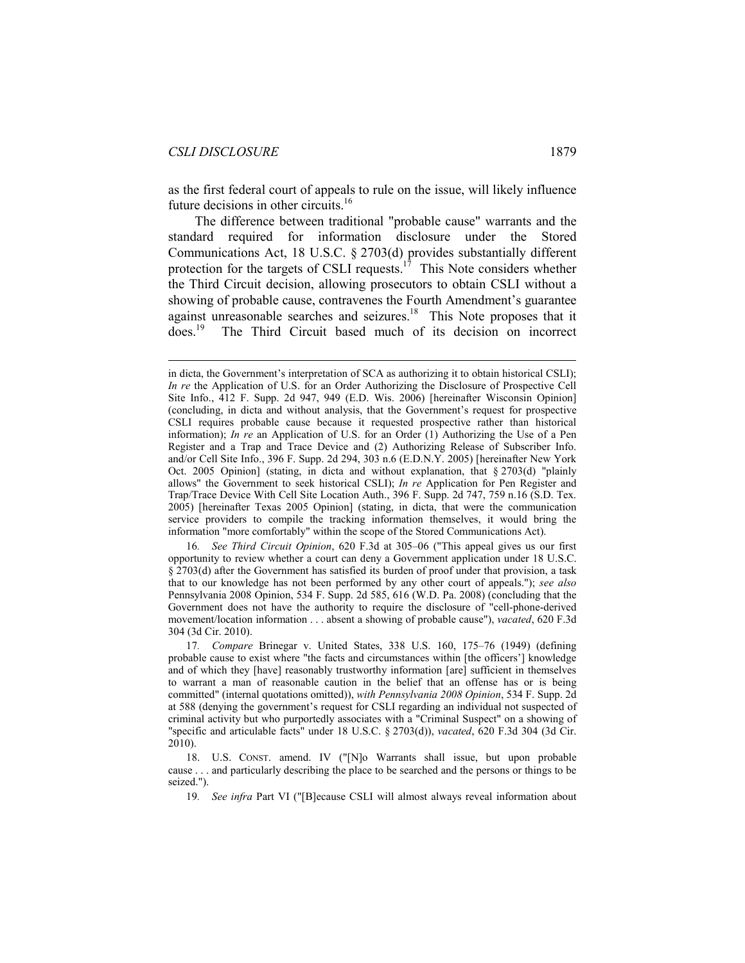$\overline{a}$ 

as the first federal court of appeals to rule on the issue, will likely influence future decisions in other circuits.<sup>16</sup>

The difference between traditional "probable cause" warrants and the standard required for information disclosure under the Stored Communications Act, 18 U.S.C. § 2703(d) provides substantially different protection for the targets of CSLI requests.<sup>17</sup> This Note considers whether the Third Circuit decision, allowing prosecutors to obtain CSLI without a showing of probable cause, contravenes the Fourth Amendment's guarantee against unreasonable searches and seizures.<sup>18</sup> This Note proposes that it does.19 The Third Circuit based much of its decision on incorrect

16*. See Third Circuit Opinion*, 620 F.3d at 305–06 ("This appeal gives us our first opportunity to review whether a court can deny a Government application under 18 U.S.C. § 2703(d) after the Government has satisfied its burden of proof under that provision, a task that to our knowledge has not been performed by any other court of appeals."); *see also* Pennsylvania 2008 Opinion, 534 F. Supp. 2d 585, 616 (W.D. Pa. 2008) (concluding that the Government does not have the authority to require the disclosure of "cell-phone-derived movement/location information . . . absent a showing of probable cause"), *vacated*, 620 F.3d 304 (3d Cir. 2010).

in dicta, the Government's interpretation of SCA as authorizing it to obtain historical CSLI); *In re* the Application of U.S. for an Order Authorizing the Disclosure of Prospective Cell Site Info., 412 F. Supp. 2d 947, 949 (E.D. Wis. 2006) [hereinafter Wisconsin Opinion] (concluding, in dicta and without analysis, that the Government's request for prospective CSLI requires probable cause because it requested prospective rather than historical information); *In re* an Application of U.S. for an Order (1) Authorizing the Use of a Pen Register and a Trap and Trace Device and (2) Authorizing Release of Subscriber Info. and/or Cell Site Info., 396 F. Supp. 2d 294, 303 n.6 (E.D.N.Y. 2005) [hereinafter New York Oct. 2005 Opinion] (stating, in dicta and without explanation, that § 2703(d) "plainly allows" the Government to seek historical CSLI); *In re* Application for Pen Register and Trap/Trace Device With Cell Site Location Auth., 396 F. Supp. 2d 747, 759 n.16 (S.D. Tex. 2005) [hereinafter Texas 2005 Opinion] (stating, in dicta, that were the communication service providers to compile the tracking information themselves, it would bring the information "more comfortably" within the scope of the Stored Communications Act).

<sup>17</sup>*. Compare* Brinegar v. United States, 338 U.S. 160, 175–76 (1949) (defining probable cause to exist where "the facts and circumstances within [the officers'] knowledge and of which they [have] reasonably trustworthy information [are] sufficient in themselves to warrant a man of reasonable caution in the belief that an offense has or is being committed" (internal quotations omitted)), *with Pennsylvania 2008 Opinion*, 534 F. Supp. 2d at 588 (denying the government's request for CSLI regarding an individual not suspected of criminal activity but who purportedly associates with a "Criminal Suspect" on a showing of "specific and articulable facts" under 18 U.S.C. § 2703(d)), *vacated*, 620 F.3d 304 (3d Cir. 2010).

 <sup>18.</sup> U.S. CONST. amend. IV ("[N]o Warrants shall issue, but upon probable cause . . . and particularly describing the place to be searched and the persons or things to be seized.").

<sup>19</sup>*. See infra* Part VI ("[B]ecause CSLI will almost always reveal information about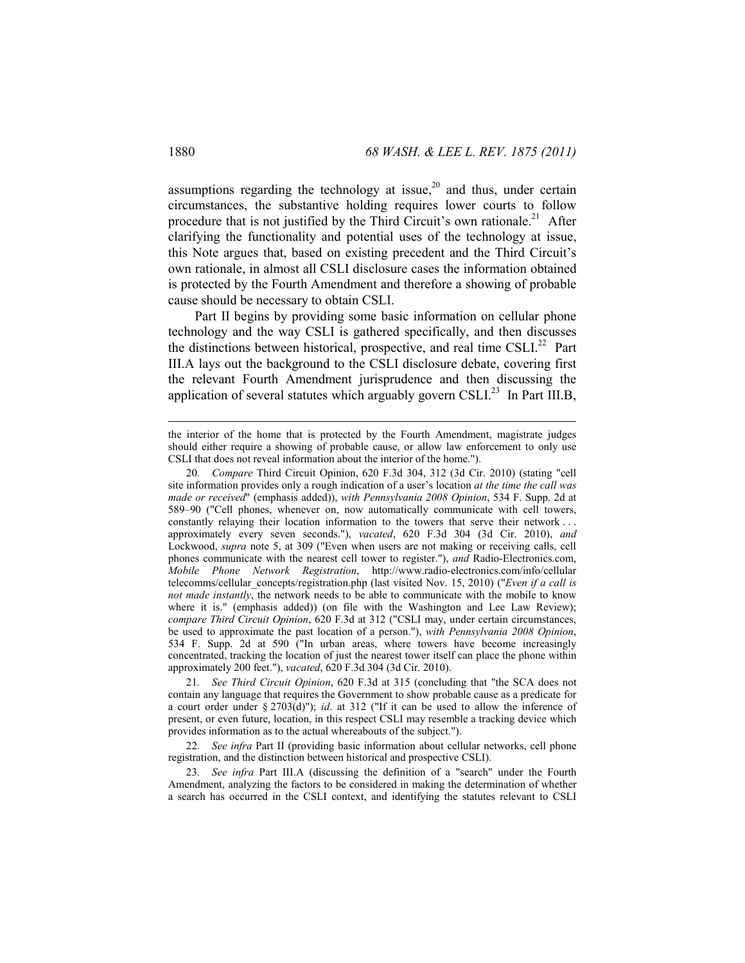assumptions regarding the technology at issue,<sup>20</sup> and thus, under certain circumstances, the substantive holding requires lower courts to follow procedure that is not justified by the Third Circuit's own rationale.<sup>21</sup> After clarifying the functionality and potential uses of the technology at issue, this Note argues that, based on existing precedent and the Third Circuit's own rationale, in almost all CSLI disclosure cases the information obtained is protected by the Fourth Amendment and therefore a showing of probable cause should be necessary to obtain CSLI.

Part II begins by providing some basic information on cellular phone technology and the way CSLI is gathered specifically, and then discusses the distinctions between historical, prospective, and real time CSLI.<sup>22</sup> Part III.A lays out the background to the CSLI disclosure debate, covering first the relevant Fourth Amendment jurisprudence and then discussing the application of several statutes which arguably govern CSLI $^{23}$  In Part III.B,

21*. See Third Circuit Opinion*, 620 F.3d at 315 (concluding that "the SCA does not contain any language that requires the Government to show probable cause as a predicate for a court order under § 2703(d)"); *id*. at 312 ("If it can be used to allow the inference of present, or even future, location, in this respect CSLI may resemble a tracking device which provides information as to the actual whereabouts of the subject.").

22*. See infra* Part II (providing basic information about cellular networks, cell phone registration, and the distinction between historical and prospective CSLI).

23*. See infra* Part III.A (discussing the definition of a "search" under the Fourth Amendment, analyzing the factors to be considered in making the determination of whether a search has occurred in the CSLI context, and identifying the statutes relevant to CSLI

the interior of the home that is protected by the Fourth Amendment, magistrate judges should either require a showing of probable cause, or allow law enforcement to only use CSLI that does not reveal information about the interior of the home.").

<sup>20</sup>*. Compare* Third Circuit Opinion, 620 F.3d 304, 312 (3d Cir. 2010) (stating "cell site information provides only a rough indication of a user's location *at the time the call was made or received*" (emphasis added)), *with Pennsylvania 2008 Opinion*, 534 F. Supp. 2d at 589–90 ("Cell phones, whenever on, now automatically communicate with cell towers, constantly relaying their location information to the towers that serve their network . . . approximately every seven seconds."), *vacated*, 620 F.3d 304 (3d Cir. 2010), *and*  Lockwood, *supra* note 5, at 309 ("Even when users are not making or receiving calls, cell phones communicate with the nearest cell tower to register."), *and* Radio-Electronics.com, *Mobile Phone Network Registration*, http://www.radio-electronics.com/info/cellular telecomms/cellular\_concepts/registration.php (last visited Nov. 15, 2010) ("*Even if a call is not made instantly*, the network needs to be able to communicate with the mobile to know where it is." (emphasis added)) (on file with the Washington and Lee Law Review); *compare Third Circuit Opinion*, 620 F.3d at 312 ("CSLI may, under certain circumstances, be used to approximate the past location of a person."), *with Pennsylvania 2008 Opinion*, 534 F. Supp. 2d at 590 ("In urban areas, where towers have become increasingly concentrated, tracking the location of just the nearest tower itself can place the phone within approximately 200 feet."), *vacated*, 620 F.3d 304 (3d Cir. 2010).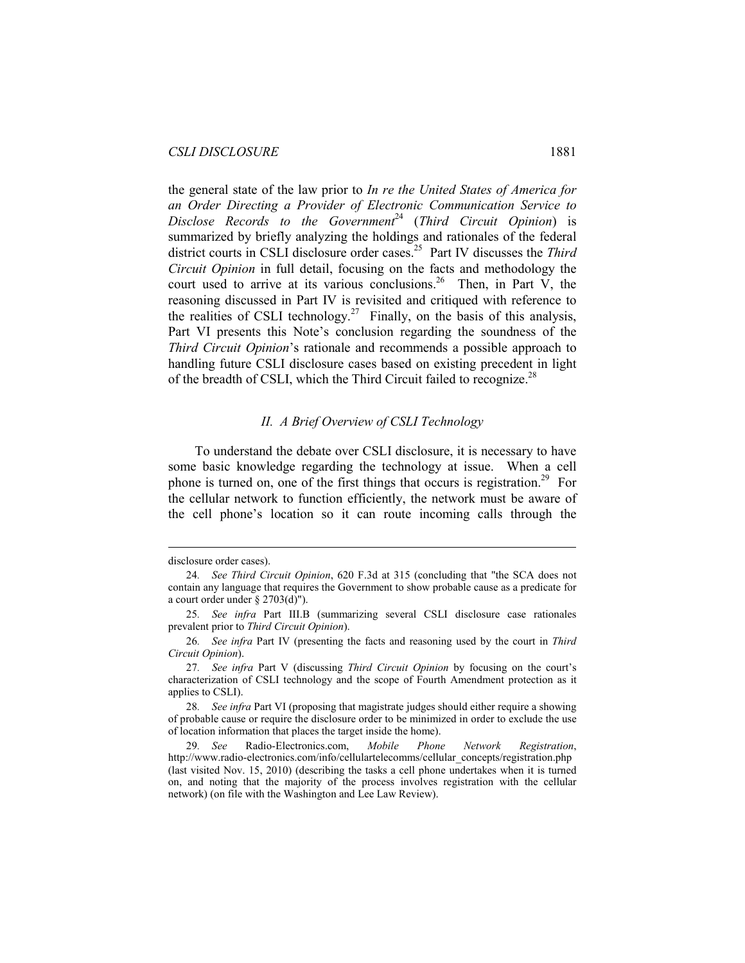the general state of the law prior to *In re the United States of America for an Order Directing a Provider of Electronic Communication Service to Disclose Records to the Government*<sup>24</sup> (*Third Circuit Opinion*) is summarized by briefly analyzing the holdings and rationales of the federal district courts in CSLI disclosure order cases.25 Part IV discusses the *Third Circuit Opinion* in full detail, focusing on the facts and methodology the court used to arrive at its various conclusions.<sup>26</sup> Then, in Part V, the reasoning discussed in Part IV is revisited and critiqued with reference to the realities of CSLI technology.<sup>27</sup> Finally, on the basis of this analysis, Part VI presents this Note's conclusion regarding the soundness of the *Third Circuit Opinion*'s rationale and recommends a possible approach to handling future CSLI disclosure cases based on existing precedent in light of the breadth of CSLI, which the Third Circuit failed to recognize.<sup>28</sup>

#### *II. A Brief Overview of CSLI Technology*

To understand the debate over CSLI disclosure, it is necessary to have some basic knowledge regarding the technology at issue. When a cell phone is turned on, one of the first things that occurs is registration.<sup>29</sup> For the cellular network to function efficiently, the network must be aware of the cell phone's location so it can route incoming calls through the

disclosure order cases).

<sup>24</sup>*. See Third Circuit Opinion*, 620 F.3d at 315 (concluding that "the SCA does not contain any language that requires the Government to show probable cause as a predicate for a court order under  $\S$  2703(d)").

<sup>25</sup>*. See infra* Part III.B (summarizing several CSLI disclosure case rationales prevalent prior to *Third Circuit Opinion*).

<sup>26</sup>*. See infra* Part IV (presenting the facts and reasoning used by the court in *Third Circuit Opinion*).

<sup>27</sup>*. See infra* Part V (discussing *Third Circuit Opinion* by focusing on the court's characterization of CSLI technology and the scope of Fourth Amendment protection as it applies to CSLI).

<sup>28</sup>*. See infra* Part VI (proposing that magistrate judges should either require a showing of probable cause or require the disclosure order to be minimized in order to exclude the use of location information that places the target inside the home).

<sup>29</sup>*. See* Radio-Electronics.com, *Mobile Phone Network Registration*, http://www.radio-electronics.com/info/cellulartelecomms/cellular\_concepts/registration.php (last visited Nov. 15, 2010) (describing the tasks a cell phone undertakes when it is turned on, and noting that the majority of the process involves registration with the cellular network) (on file with the Washington and Lee Law Review).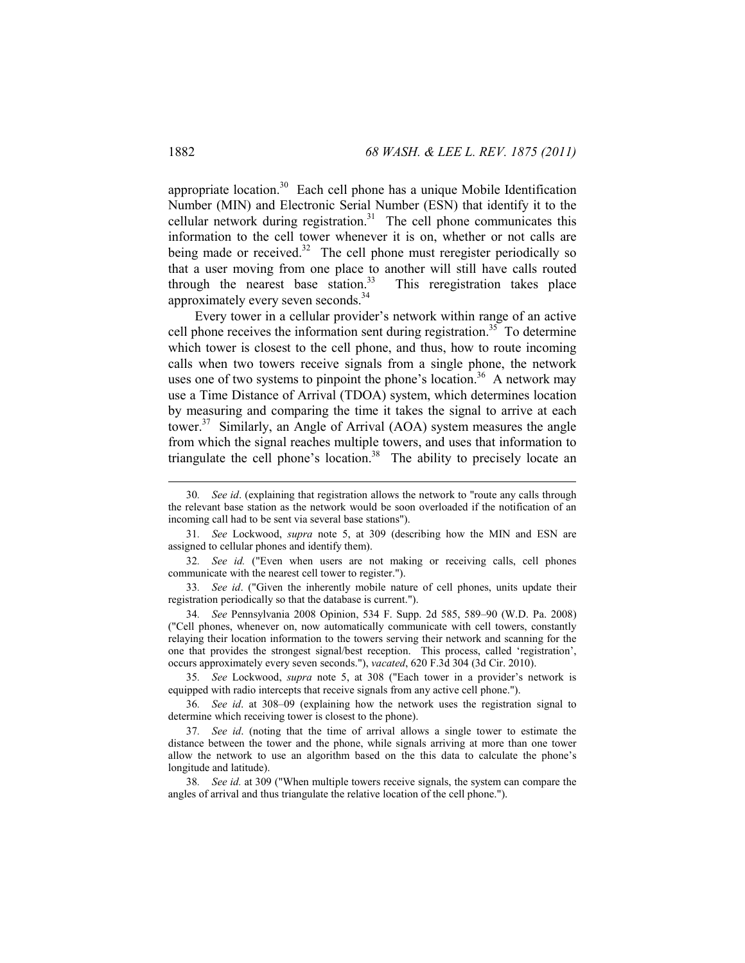appropriate location.<sup>30</sup> Each cell phone has a unique Mobile Identification Number (MIN) and Electronic Serial Number (ESN) that identify it to the cellular network during registration.<sup>31</sup> The cell phone communicates this information to the cell tower whenever it is on, whether or not calls are being made or received.<sup>32</sup> The cell phone must reregister periodically so that a user moving from one place to another will still have calls routed through the nearest base station.<sup>33</sup> This reregistration takes place approximately every seven seconds.<sup>34</sup>

Every tower in a cellular provider's network within range of an active cell phone receives the information sent during registration.<sup>35</sup> To determine which tower is closest to the cell phone, and thus, how to route incoming calls when two towers receive signals from a single phone, the network uses one of two systems to pinpoint the phone's location.<sup>36</sup> A network may use a Time Distance of Arrival (TDOA) system, which determines location by measuring and comparing the time it takes the signal to arrive at each tower.<sup>37</sup> Similarly, an Angle of Arrival (AOA) system measures the angle from which the signal reaches multiple towers, and uses that information to triangulate the cell phone's location.<sup>38</sup> The ability to precisely locate an

35*. See* Lockwood, *supra* note 5, at 308 ("Each tower in a provider's network is equipped with radio intercepts that receive signals from any active cell phone.").

36*. See id*. at 308–09 (explaining how the network uses the registration signal to determine which receiving tower is closest to the phone).

 <sup>30</sup>*. See id*. (explaining that registration allows the network to "route any calls through the relevant base station as the network would be soon overloaded if the notification of an incoming call had to be sent via several base stations").

<sup>31</sup>*. See* Lockwood, *supra* note 5, at 309 (describing how the MIN and ESN are assigned to cellular phones and identify them).

<sup>32</sup>*. See id.* ("Even when users are not making or receiving calls, cell phones communicate with the nearest cell tower to register.").

<sup>33</sup>*. See id*. ("Given the inherently mobile nature of cell phones, units update their registration periodically so that the database is current.").

<sup>34</sup>*. See* Pennsylvania 2008 Opinion, 534 F. Supp. 2d 585, 589–90 (W.D. Pa. 2008) ("Cell phones, whenever on, now automatically communicate with cell towers, constantly relaying their location information to the towers serving their network and scanning for the one that provides the strongest signal/best reception. This process, called 'registration', occurs approximately every seven seconds."), *vacated*, 620 F.3d 304 (3d Cir. 2010).

<sup>37</sup>*. See id*. (noting that the time of arrival allows a single tower to estimate the distance between the tower and the phone, while signals arriving at more than one tower allow the network to use an algorithm based on the this data to calculate the phone's longitude and latitude).

<sup>38</sup>*. See id.* at 309 ("When multiple towers receive signals, the system can compare the angles of arrival and thus triangulate the relative location of the cell phone.").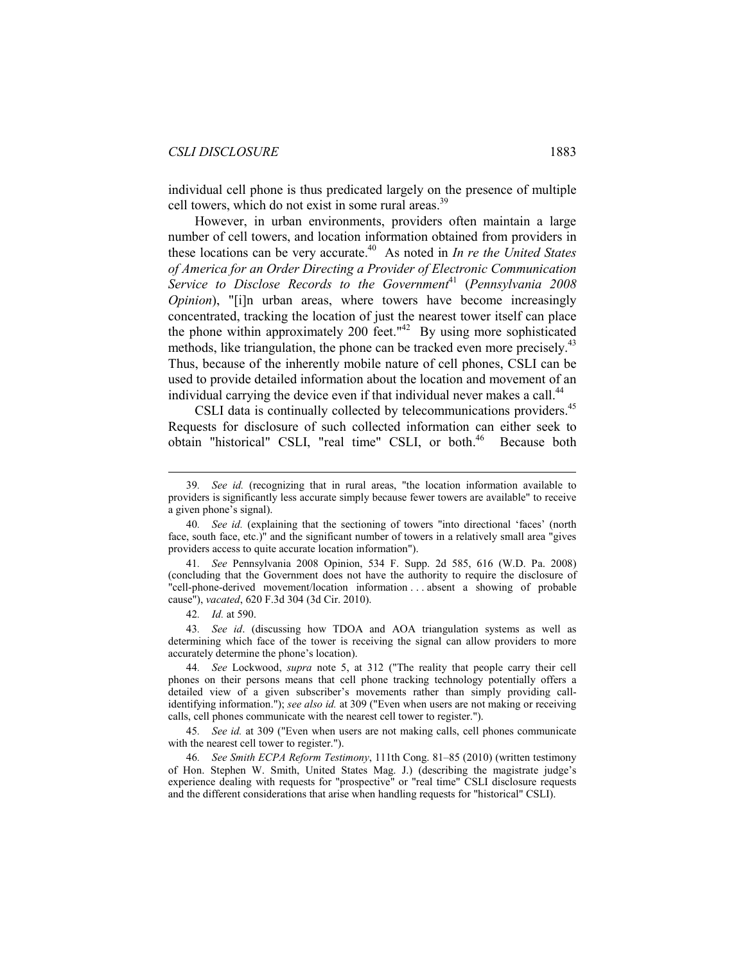individual cell phone is thus predicated largely on the presence of multiple cell towers, which do not exist in some rural areas.<sup>39</sup>

However, in urban environments, providers often maintain a large number of cell towers, and location information obtained from providers in these locations can be very accurate.<sup>40</sup> As noted in *In re the United States of America for an Order Directing a Provider of Electronic Communication*  Service to Disclose Records to the Government<sup>41</sup> (Pennsylvania 2008 *Opinion*), "[i]n urban areas, where towers have become increasingly concentrated, tracking the location of just the nearest tower itself can place the phone within approximately 200 feet." $42$  By using more sophisticated methods, like triangulation, the phone can be tracked even more precisely.<sup>43</sup> Thus, because of the inherently mobile nature of cell phones, CSLI can be used to provide detailed information about the location and movement of an individual carrying the device even if that individual never makes a call.<sup>44</sup>

CSLI data is continually collected by telecommunications providers.<sup>45</sup> Requests for disclosure of such collected information can either seek to obtain "historical" CSLI, "real time" CSLI, or both.<sup>46</sup> Because both

 <sup>39</sup>*. See id.* (recognizing that in rural areas, "the location information available to providers is significantly less accurate simply because fewer towers are available" to receive a given phone's signal).

<sup>40</sup>*. See id.* (explaining that the sectioning of towers "into directional 'faces' (north face, south face, etc.)" and the significant number of towers in a relatively small area "gives providers access to quite accurate location information").

<sup>41</sup>*. See* Pennsylvania 2008 Opinion, 534 F. Supp. 2d 585, 616 (W.D. Pa. 2008) (concluding that the Government does not have the authority to require the disclosure of "cell-phone-derived movement/location information . . . absent a showing of probable cause"), *vacated*, 620 F.3d 304 (3d Cir. 2010).

<sup>42</sup>*. Id.* at 590.

<sup>43</sup>*. See id*. (discussing how TDOA and AOA triangulation systems as well as determining which face of the tower is receiving the signal can allow providers to more accurately determine the phone's location).

<sup>44</sup>*. See* Lockwood, *supra* note 5, at 312 ("The reality that people carry their cell phones on their persons means that cell phone tracking technology potentially offers a detailed view of a given subscriber's movements rather than simply providing callidentifying information."); *see also id.* at 309 ("Even when users are not making or receiving calls, cell phones communicate with the nearest cell tower to register.").

<sup>45</sup>*. See id.* at 309 ("Even when users are not making calls, cell phones communicate with the nearest cell tower to register.").

<sup>46</sup>*. See Smith ECPA Reform Testimony*, 111th Cong. 81–85 (2010) (written testimony of Hon. Stephen W. Smith, United States Mag. J.) (describing the magistrate judge's experience dealing with requests for "prospective" or "real time" CSLI disclosure requests and the different considerations that arise when handling requests for "historical" CSLI).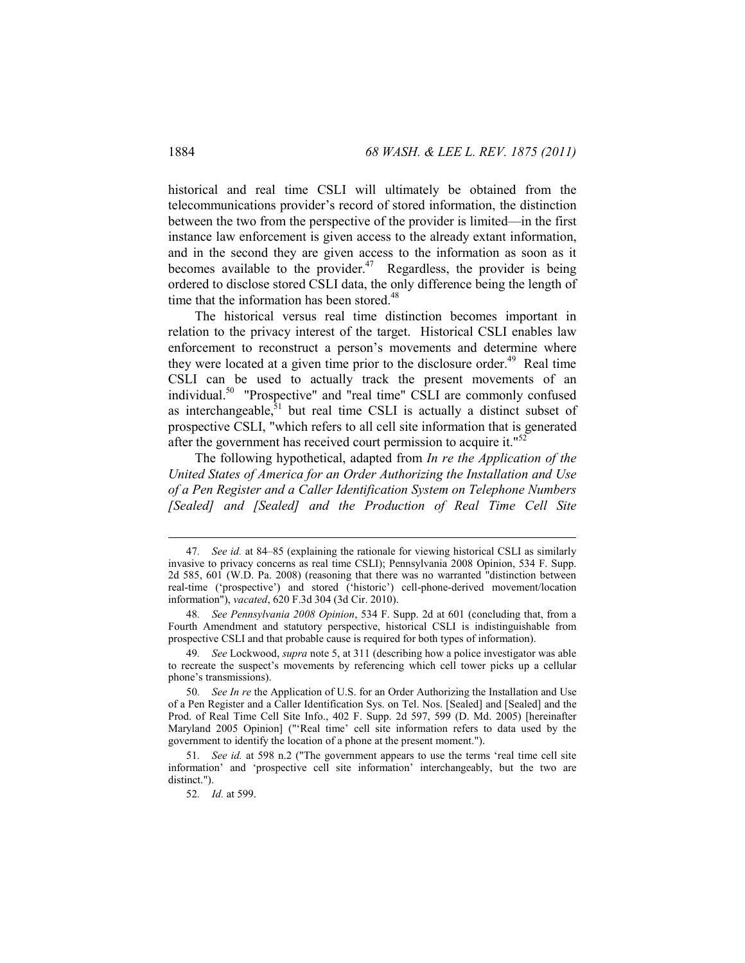historical and real time CSLI will ultimately be obtained from the telecommunications provider's record of stored information, the distinction between the two from the perspective of the provider is limited—in the first instance law enforcement is given access to the already extant information, and in the second they are given access to the information as soon as it becomes available to the provider.<sup>47</sup> Regardless, the provider is being ordered to disclose stored CSLI data, the only difference being the length of time that the information has been stored.<sup>48</sup>

The historical versus real time distinction becomes important in relation to the privacy interest of the target. Historical CSLI enables law enforcement to reconstruct a person's movements and determine where they were located at a given time prior to the disclosure order.<sup>49</sup> Real time CSLI can be used to actually track the present movements of an individual.<sup>50</sup> "Prospective" and "real time" CSLI are commonly confused as interchangeable, $51$  but real time CSLI is actually a distinct subset of prospective CSLI, "which refers to all cell site information that is generated after the government has received court permission to acquire it."<sup>52</sup>

The following hypothetical, adapted from *In re the Application of the United States of America for an Order Authorizing the Installation and Use of a Pen Register and a Caller Identification System on Telephone Numbers [Sealed] and [Sealed] and the Production of Real Time Cell Site* 

 <sup>47</sup>*. See id.* at 84–85 (explaining the rationale for viewing historical CSLI as similarly invasive to privacy concerns as real time CSLI); Pennsylvania 2008 Opinion, 534 F. Supp. 2d 585, 601 (W.D. Pa. 2008) (reasoning that there was no warranted "distinction between real-time ('prospective') and stored ('historic') cell-phone-derived movement/location information"), *vacated*, 620 F.3d 304 (3d Cir. 2010).

<sup>48</sup>*. See Pennsylvania 2008 Opinion*, 534 F. Supp. 2d at 601 (concluding that, from a Fourth Amendment and statutory perspective, historical CSLI is indistinguishable from prospective CSLI and that probable cause is required for both types of information).

<sup>49</sup>*. See* Lockwood, *supra* note 5, at 311 (describing how a police investigator was able to recreate the suspect's movements by referencing which cell tower picks up a cellular phone's transmissions).

<sup>50</sup>*. See In re* the Application of U.S. for an Order Authorizing the Installation and Use of a Pen Register and a Caller Identification Sys. on Tel. Nos. [Sealed] and [Sealed] and the Prod. of Real Time Cell Site Info., 402 F. Supp. 2d 597, 599 (D. Md. 2005) [hereinafter Maryland 2005 Opinion] ("'Real time' cell site information refers to data used by the government to identify the location of a phone at the present moment.").

<sup>51</sup>*. See id.* at 598 n.2 ("The government appears to use the terms 'real time cell site information' and 'prospective cell site information' interchangeably, but the two are distinct.").

<sup>52</sup>*. Id.* at 599.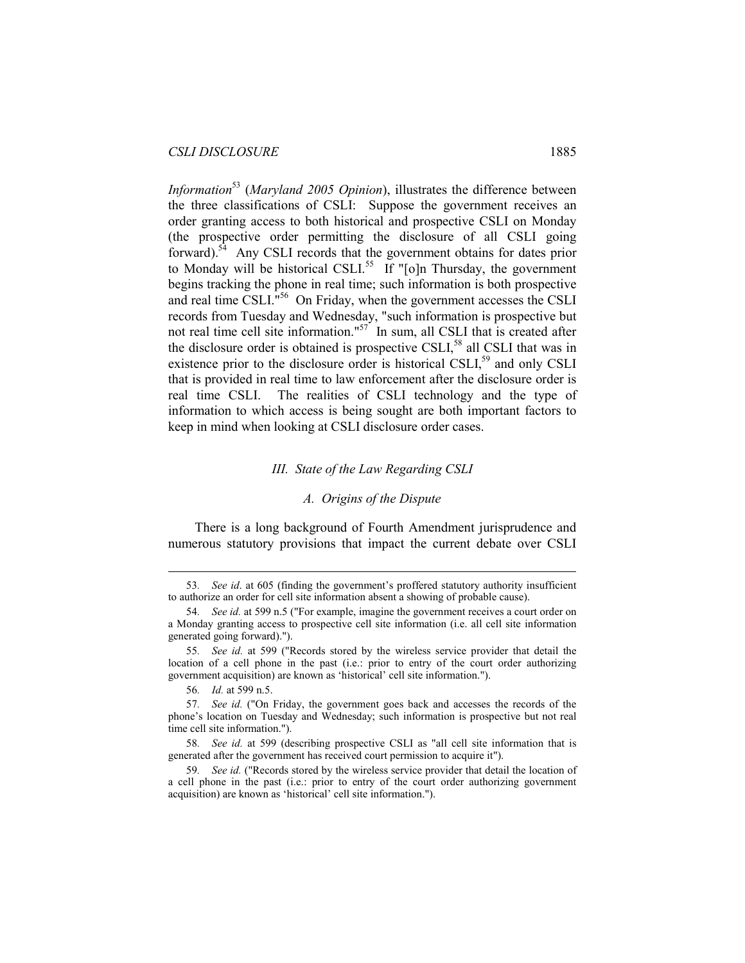*Information*<sup>53</sup> (*Maryland 2005 Opinion*), illustrates the difference between the three classifications of CSLI: Suppose the government receives an order granting access to both historical and prospective CSLI on Monday (the prospective order permitting the disclosure of all CSLI going forward).54 Any CSLI records that the government obtains for dates prior to Monday will be historical CSLI.<sup>55</sup> If " $[o]$ n Thursday, the government begins tracking the phone in real time; such information is both prospective and real time CSLI."<sup>56</sup> On Friday, when the government accesses the CSLI records from Tuesday and Wednesday, "such information is prospective but not real time cell site information."<sup>57</sup> In sum, all CSLI that is created after the disclosure order is obtained is prospective CSLI,<sup>58</sup> all CSLI that was in existence prior to the disclosure order is historical CSLI,<sup>59</sup> and only CSLI that is provided in real time to law enforcement after the disclosure order is real time CSLI. The realities of CSLI technology and the type of information to which access is being sought are both important factors to keep in mind when looking at CSLI disclosure order cases.

#### *III. State of the Law Regarding CSLI*

#### *A. Origins of the Dispute*

There is a long background of Fourth Amendment jurisprudence and numerous statutory provisions that impact the current debate over CSLI

 <sup>53</sup>*. See id*. at 605 (finding the government's proffered statutory authority insufficient to authorize an order for cell site information absent a showing of probable cause).

<sup>54</sup>*. See id.* at 599 n.5 ("For example, imagine the government receives a court order on a Monday granting access to prospective cell site information (i.e. all cell site information generated going forward).").

<sup>55</sup>*. See id.* at 599 ("Records stored by the wireless service provider that detail the location of a cell phone in the past (i.e.: prior to entry of the court order authorizing government acquisition) are known as 'historical' cell site information.").

<sup>56</sup>*. Id.* at 599 n.5.

<sup>57</sup>*. See id.* ("On Friday, the government goes back and accesses the records of the phone's location on Tuesday and Wednesday; such information is prospective but not real time cell site information.").

<sup>58</sup>*. See id.* at 599 (describing prospective CSLI as "all cell site information that is generated after the government has received court permission to acquire it").

<sup>59</sup>*. See id.* ("Records stored by the wireless service provider that detail the location of a cell phone in the past (i.e.: prior to entry of the court order authorizing government acquisition) are known as 'historical' cell site information.").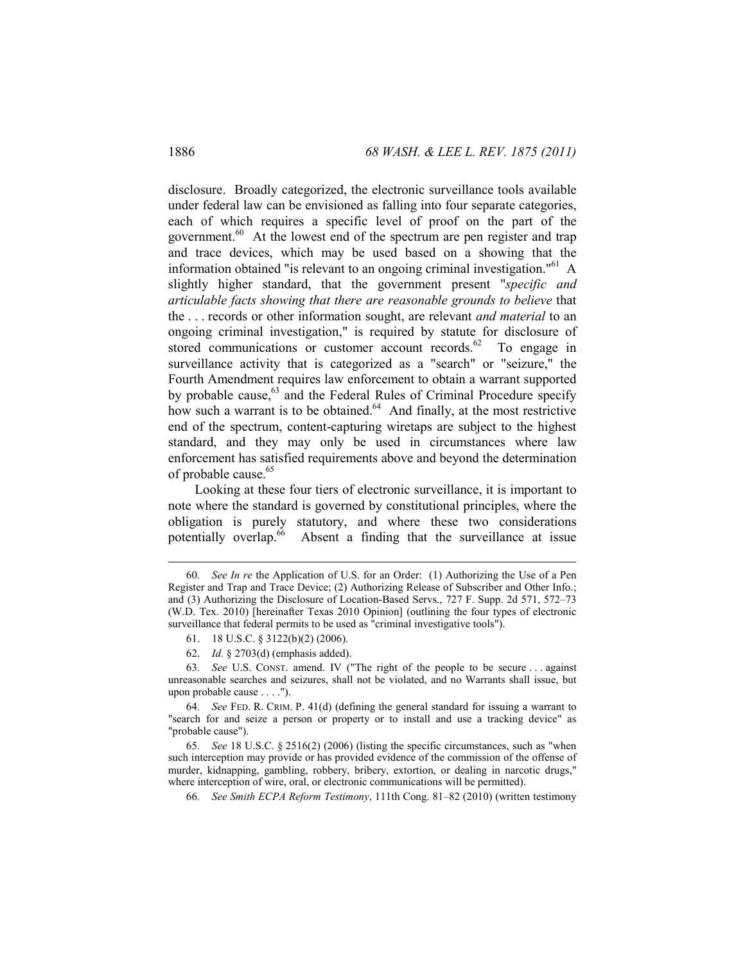disclosure. Broadly categorized, the electronic surveillance tools available under federal law can be envisioned as falling into four separate categories, each of which requires a specific level of proof on the part of the government.<sup>60</sup> At the lowest end of the spectrum are pen register and trap and trace devices, which may be used based on a showing that the information obtained "is relevant to an ongoing criminal investigation." $^{61}$  A slightly higher standard, that the government present "*specific and articulable facts showing that there are reasonable grounds to believe* that the . . . records or other information sought, are relevant *and material* to an ongoing criminal investigation," is required by statute for disclosure of stored communications or customer account records. $62$  To engage in surveillance activity that is categorized as a "search" or "seizure," the Fourth Amendment requires law enforcement to obtain a warrant supported by probable cause, $63$  and the Federal Rules of Criminal Procedure specify how such a warrant is to be obtained.<sup>64</sup> And finally, at the most restrictive end of the spectrum, content-capturing wiretaps are subject to the highest standard, and they may only be used in circumstances where law enforcement has satisfied requirements above and beyond the determination of probable cause.<sup>65</sup>

Looking at these four tiers of electronic surveillance, it is important to note where the standard is governed by constitutional principles, where the obligation is purely statutory, and where these two considerations potentially overlap.<sup>66</sup> Absent a finding that the surveillance at issue

63*. See* U.S. CONST. amend. IV ("The right of the people to be secure . . . against unreasonable searches and seizures, shall not be violated, and no Warrants shall issue, but upon probable cause . . . .").

 <sup>60</sup>*. See In re* the Application of U.S. for an Order: (1) Authorizing the Use of a Pen Register and Trap and Trace Device; (2) Authorizing Release of Subscriber and Other Info.; and (3) Authorizing the Disclosure of Location-Based Servs., 727 F. Supp. 2d 571, 572–73 (W.D. Tex. 2010) [hereinafter Texas 2010 Opinion] (outlining the four types of electronic surveillance that federal permits to be used as "criminal investigative tools").

 <sup>61. 18</sup> U.S.C. § 3122(b)(2) (2006).

 <sup>62.</sup> *Id.* § 2703(d) (emphasis added).

<sup>64</sup>*. See* FED. R. CRIM. P. 41(d) (defining the general standard for issuing a warrant to "search for and seize a person or property or to install and use a tracking device" as "probable cause").

<sup>65</sup>*. See* 18 U.S.C. § 2516(2) (2006) (listing the specific circumstances, such as "when such interception may provide or has provided evidence of the commission of the offense of murder, kidnapping, gambling, robbery, bribery, extortion, or dealing in narcotic drugs," where interception of wire, oral, or electronic communications will be permitted).

<sup>66</sup>*. See Smith ECPA Reform Testimony*, 111th Cong. 81–82 (2010) (written testimony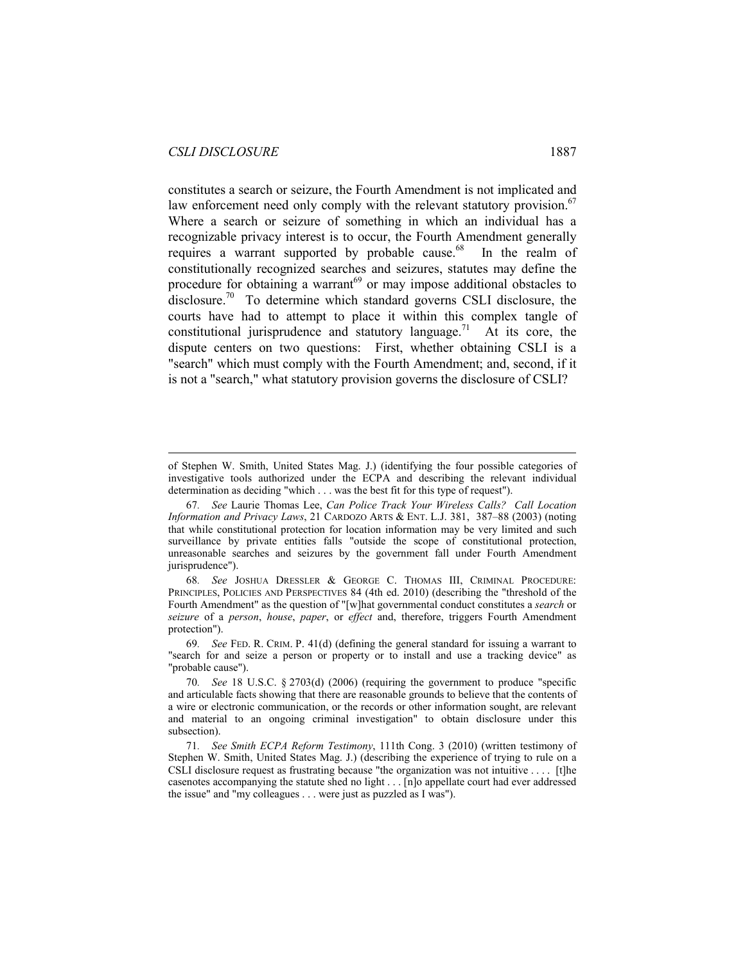$\overline{a}$ 

constitutes a search or seizure, the Fourth Amendment is not implicated and law enforcement need only comply with the relevant statutory provision.<sup>67</sup> Where a search or seizure of something in which an individual has a recognizable privacy interest is to occur, the Fourth Amendment generally requires a warrant supported by probable cause. $68$  In the realm of constitutionally recognized searches and seizures, statutes may define the procedure for obtaining a warrant<sup>69</sup> or may impose additional obstacles to disclosure.<sup>70</sup> To determine which standard governs CSLI disclosure, the courts have had to attempt to place it within this complex tangle of constitutional jurisprudence and statutory language.<sup>71</sup> At its core, the dispute centers on two questions: First, whether obtaining CSLI is a "search" which must comply with the Fourth Amendment; and, second, if it is not a "search," what statutory provision governs the disclosure of CSLI?

of Stephen W. Smith, United States Mag. J.) (identifying the four possible categories of investigative tools authorized under the ECPA and describing the relevant individual determination as deciding "which . . . was the best fit for this type of request").

<sup>67</sup>*. See* Laurie Thomas Lee, *Can Police Track Your Wireless Calls? Call Location Information and Privacy Laws*, 21 CARDOZO ARTS & ENT. L.J. 381, 387–88 (2003) (noting that while constitutional protection for location information may be very limited and such surveillance by private entities falls "outside the scope of constitutional protection, unreasonable searches and seizures by the government fall under Fourth Amendment jurisprudence").

<sup>68</sup>*. See* JOSHUA DRESSLER & GEORGE C. THOMAS III, CRIMINAL PROCEDURE: PRINCIPLES, POLICIES AND PERSPECTIVES 84 (4th ed. 2010) (describing the "threshold of the Fourth Amendment" as the question of "[w]hat governmental conduct constitutes a *search* or *seizure* of a *person*, *house*, *paper*, or *effect* and, therefore, triggers Fourth Amendment protection").

<sup>69</sup>*. See* FED. R. CRIM. P. 41(d) (defining the general standard for issuing a warrant to "search for and seize a person or property or to install and use a tracking device" as "probable cause").

<sup>70</sup>*. See* 18 U.S.C. § 2703(d) (2006) (requiring the government to produce "specific and articulable facts showing that there are reasonable grounds to believe that the contents of a wire or electronic communication, or the records or other information sought, are relevant and material to an ongoing criminal investigation" to obtain disclosure under this subsection).

<sup>71</sup>*. See Smith ECPA Reform Testimony*, 111th Cong. 3 (2010) (written testimony of Stephen W. Smith, United States Mag. J.) (describing the experience of trying to rule on a CSLI disclosure request as frustrating because "the organization was not intuitive . . . . [t]he casenotes accompanying the statute shed no light . . . [n]o appellate court had ever addressed the issue" and "my colleagues . . . were just as puzzled as I was").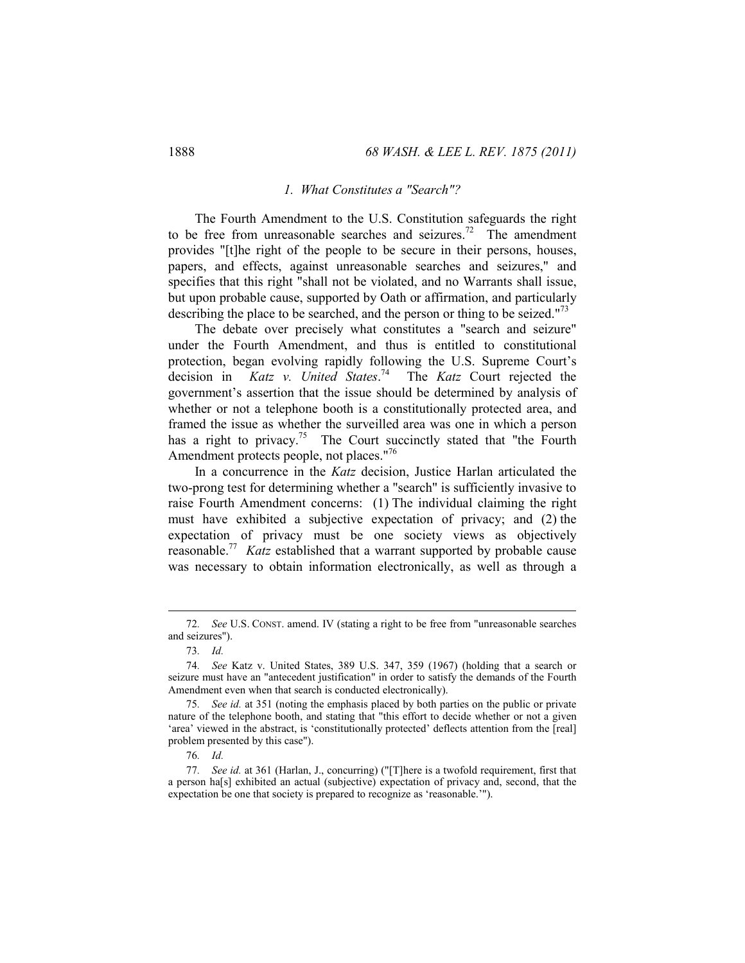#### *1. What Constitutes a "Search"?*

The Fourth Amendment to the U.S. Constitution safeguards the right to be free from unreasonable searches and seizures.<sup>72</sup> The amendment provides "[t]he right of the people to be secure in their persons, houses, papers, and effects, against unreasonable searches and seizures," and specifies that this right "shall not be violated, and no Warrants shall issue, but upon probable cause, supported by Oath or affirmation, and particularly describing the place to be searched, and the person or thing to be seized."<sup>73</sup>

The debate over precisely what constitutes a "search and seizure" under the Fourth Amendment, and thus is entitled to constitutional protection, began evolving rapidly following the U.S. Supreme Court's decision in *Katz v. United States*. 74 The *Katz* Court rejected the government's assertion that the issue should be determined by analysis of whether or not a telephone booth is a constitutionally protected area, and framed the issue as whether the surveilled area was one in which a person has a right to privacy.<sup>75</sup> The Court succinctly stated that "the Fourth" Amendment protects people, not places."<sup>76</sup>

In a concurrence in the *Katz* decision, Justice Harlan articulated the two-prong test for determining whether a "search" is sufficiently invasive to raise Fourth Amendment concerns: (1) The individual claiming the right must have exhibited a subjective expectation of privacy; and (2) the expectation of privacy must be one society views as objectively reasonable.77 *Katz* established that a warrant supported by probable cause was necessary to obtain information electronically, as well as through a

 <sup>72</sup>*. See* U.S. CONST. amend. IV (stating a right to be free from "unreasonable searches and seizures").

<sup>73</sup>*. Id.* 

<sup>74</sup>*. See* Katz v. United States, 389 U.S. 347, 359 (1967) (holding that a search or seizure must have an "antecedent justification" in order to satisfy the demands of the Fourth Amendment even when that search is conducted electronically).

<sup>75</sup>*. See id.* at 351 (noting the emphasis placed by both parties on the public or private nature of the telephone booth, and stating that "this effort to decide whether or not a given 'area' viewed in the abstract, is 'constitutionally protected' deflects attention from the [real] problem presented by this case").

<sup>76</sup>*. Id.*

<sup>77</sup>*. See id.* at 361 (Harlan, J., concurring) ("[T]here is a twofold requirement, first that a person ha[s] exhibited an actual (subjective) expectation of privacy and, second, that the expectation be one that society is prepared to recognize as 'reasonable.'").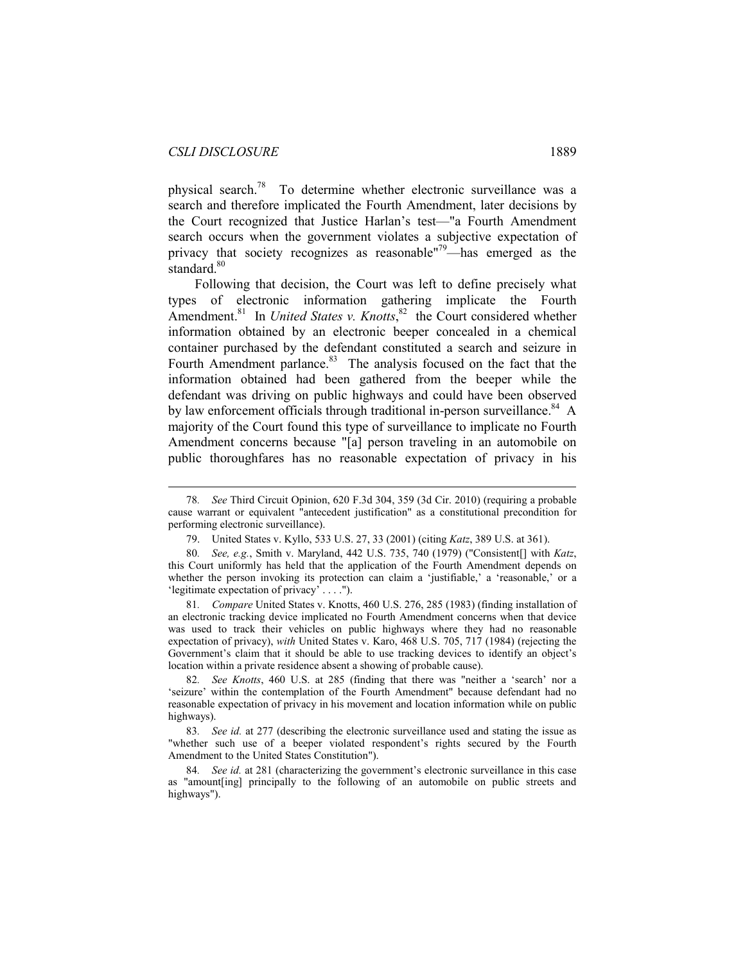physical search.<sup>78</sup> To determine whether electronic surveillance was a search and therefore implicated the Fourth Amendment, later decisions by the Court recognized that Justice Harlan's test—"a Fourth Amendment search occurs when the government violates a subjective expectation of privacy that society recognizes as reasonable"79—has emerged as the standard.<sup>80</sup>

Following that decision, the Court was left to define precisely what types of electronic information gathering implicate the Fourth Amendment.<sup>81</sup> In *United States v. Knotts*,<sup>82</sup> the Court considered whether information obtained by an electronic beeper concealed in a chemical container purchased by the defendant constituted a search and seizure in Fourth Amendment parlance.<sup>83</sup> The analysis focused on the fact that the information obtained had been gathered from the beeper while the defendant was driving on public highways and could have been observed by law enforcement officials through traditional in-person surveillance.<sup>84</sup> A majority of the Court found this type of surveillance to implicate no Fourth Amendment concerns because "[a] person traveling in an automobile on public thoroughfares has no reasonable expectation of privacy in his

81*. Compare* United States v. Knotts, 460 U.S. 276, 285 (1983) (finding installation of an electronic tracking device implicated no Fourth Amendment concerns when that device was used to track their vehicles on public highways where they had no reasonable expectation of privacy), *with* United States v. Karo, 468 U.S. 705, 717 (1984) (rejecting the Government's claim that it should be able to use tracking devices to identify an object's location within a private residence absent a showing of probable cause).

82*. See Knotts*, 460 U.S. at 285 (finding that there was "neither a 'search' nor a 'seizure' within the contemplation of the Fourth Amendment" because defendant had no reasonable expectation of privacy in his movement and location information while on public highways).

83*. See id.* at 277 (describing the electronic surveillance used and stating the issue as "whether such use of a beeper violated respondent's rights secured by the Fourth Amendment to the United States Constitution").

84*. See id.* at 281 (characterizing the government's electronic surveillance in this case as "amount[ing] principally to the following of an automobile on public streets and highways").

 <sup>78</sup>*. See* Third Circuit Opinion, 620 F.3d 304, 359 (3d Cir. 2010) (requiring a probable cause warrant or equivalent "antecedent justification" as a constitutional precondition for performing electronic surveillance).

 <sup>79.</sup> United States v. Kyllo, 533 U.S. 27, 33 (2001) (citing *Katz*, 389 U.S. at 361).

<sup>80</sup>*. See, e.g.*, Smith v. Maryland, 442 U.S. 735, 740 (1979) ("Consistent[] with *Katz*, this Court uniformly has held that the application of the Fourth Amendment depends on whether the person invoking its protection can claim a 'justifiable,' a 'reasonable,' or a 'legitimate expectation of privacy' . . . .").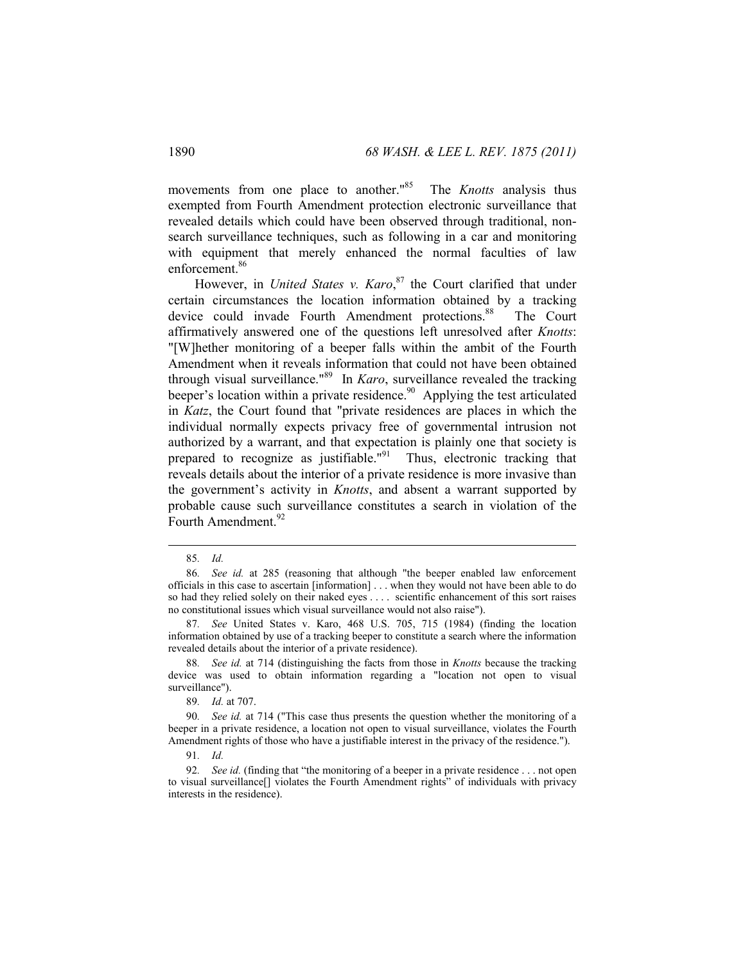movements from one place to another.<sup>185</sup> The *Knotts* analysis thus exempted from Fourth Amendment protection electronic surveillance that revealed details which could have been observed through traditional, nonsearch surveillance techniques, such as following in a car and monitoring with equipment that merely enhanced the normal faculties of law enforcement.<sup>86</sup>

However, in *United States v. Karo*, 87 the Court clarified that under certain circumstances the location information obtained by a tracking device could invade Fourth Amendment protections.<sup>88</sup> The Court affirmatively answered one of the questions left unresolved after *Knotts*: "[W]hether monitoring of a beeper falls within the ambit of the Fourth Amendment when it reveals information that could not have been obtained through visual surveillance."89 In *Karo*, surveillance revealed the tracking beeper's location within a private residence.<sup>90</sup> Applying the test articulated in *Katz*, the Court found that "private residences are places in which the individual normally expects privacy free of governmental intrusion not authorized by a warrant, and that expectation is plainly one that society is prepared to recognize as justifiable."<sup>91</sup> Thus, electronic tracking that reveals details about the interior of a private residence is more invasive than the government's activity in *Knotts*, and absent a warrant supported by probable cause such surveillance constitutes a search in violation of the Fourth Amendment.<sup>92</sup>

 <sup>85</sup>*. Id.*

<sup>86</sup>*. See id.* at 285 (reasoning that although "the beeper enabled law enforcement officials in this case to ascertain [information] . . . when they would not have been able to do so had they relied solely on their naked eyes . . . . scientific enhancement of this sort raises no constitutional issues which visual surveillance would not also raise").

<sup>87</sup>*. See* United States v. Karo, 468 U.S. 705, 715 (1984) (finding the location information obtained by use of a tracking beeper to constitute a search where the information revealed details about the interior of a private residence).

<sup>88</sup>*. See id.* at 714 (distinguishing the facts from those in *Knotts* because the tracking device was used to obtain information regarding a "location not open to visual surveillance").

<sup>89</sup>*. Id.* at 707.

<sup>90</sup>*. See id.* at 714 ("This case thus presents the question whether the monitoring of a beeper in a private residence, a location not open to visual surveillance, violates the Fourth Amendment rights of those who have a justifiable interest in the privacy of the residence.").

<sup>91</sup>*. Id.* 

<sup>92</sup>*. See id.* (finding that "the monitoring of a beeper in a private residence . . . not open to visual surveillance[] violates the Fourth Amendment rights" of individuals with privacy interests in the residence).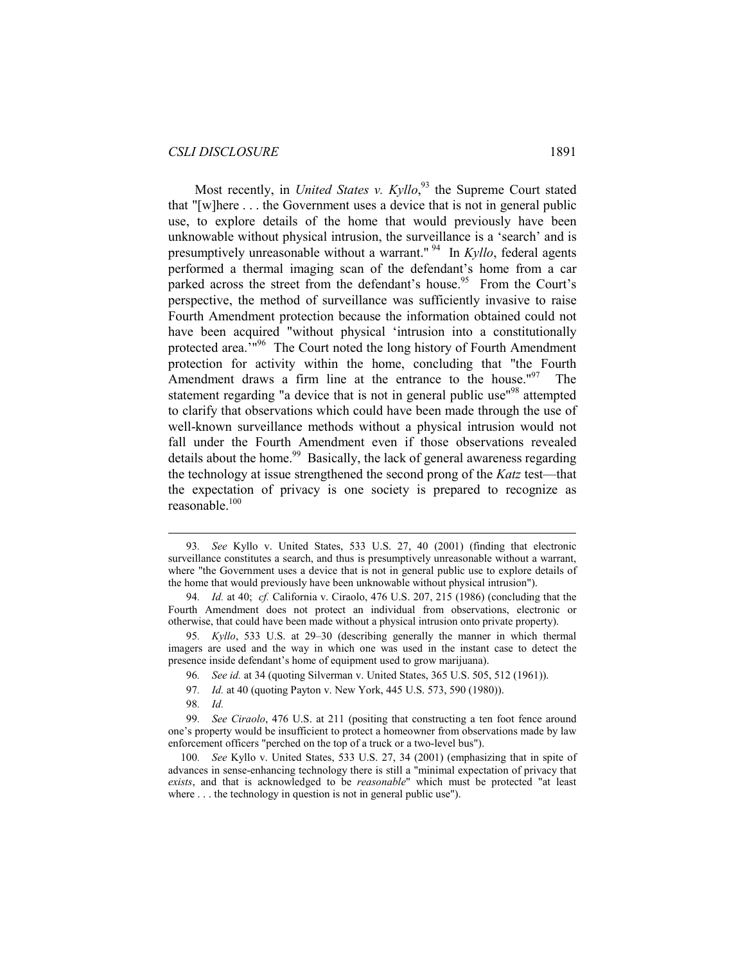#### *CSLI DISCLOSURE* 1891

Most recently, in *United States v. Kyllo*<sup>93</sup> the Supreme Court stated that "[w]here . . . the Government uses a device that is not in general public use, to explore details of the home that would previously have been unknowable without physical intrusion, the surveillance is a 'search' and is presumptively unreasonable without a warrant." 94 In *Kyllo*, federal agents performed a thermal imaging scan of the defendant's home from a car parked across the street from the defendant's house.<sup>95</sup> From the Court's perspective, the method of surveillance was sufficiently invasive to raise Fourth Amendment protection because the information obtained could not have been acquired "without physical 'intrusion into a constitutionally protected area.<sup>'196</sup> The Court noted the long history of Fourth Amendment protection for activity within the home, concluding that "the Fourth Amendment draws a firm line at the entrance to the house." $97$  The statement regarding "a device that is not in general public use"98 attempted to clarify that observations which could have been made through the use of well-known surveillance methods without a physical intrusion would not fall under the Fourth Amendment even if those observations revealed details about the home.<sup>99</sup> Basically, the lack of general awareness regarding the technology at issue strengthened the second prong of the *Katz* test—that the expectation of privacy is one society is prepared to recognize as reasonable. $100$ 

 <sup>93</sup>*. See* Kyllo v. United States, 533 U.S. 27, 40 (2001) (finding that electronic surveillance constitutes a search, and thus is presumptively unreasonable without a warrant, where "the Government uses a device that is not in general public use to explore details of the home that would previously have been unknowable without physical intrusion").

<sup>94</sup>*. Id.* at 40; *cf.* California v. Ciraolo, 476 U.S. 207, 215 (1986) (concluding that the Fourth Amendment does not protect an individual from observations, electronic or otherwise, that could have been made without a physical intrusion onto private property).

<sup>95</sup>*. Kyllo*, 533 U.S. at 29–30 (describing generally the manner in which thermal imagers are used and the way in which one was used in the instant case to detect the presence inside defendant's home of equipment used to grow marijuana).

<sup>96</sup>*. See id.* at 34 (quoting Silverman v. United States, 365 U.S. 505, 512 (1961)).

<sup>97</sup>*. Id.* at 40 (quoting Payton v. New York, 445 U.S. 573, 590 (1980)).

<sup>98</sup>*. Id.*

<sup>99</sup>*. See Ciraolo*, 476 U.S. at 211 (positing that constructing a ten foot fence around one's property would be insufficient to protect a homeowner from observations made by law enforcement officers "perched on the top of a truck or a two-level bus").

<sup>100</sup>*. See* Kyllo v. United States, 533 U.S. 27, 34 (2001) (emphasizing that in spite of advances in sense-enhancing technology there is still a "minimal expectation of privacy that *exists*, and that is acknowledged to be *reasonable*" which must be protected "at least where . . . the technology in question is not in general public use").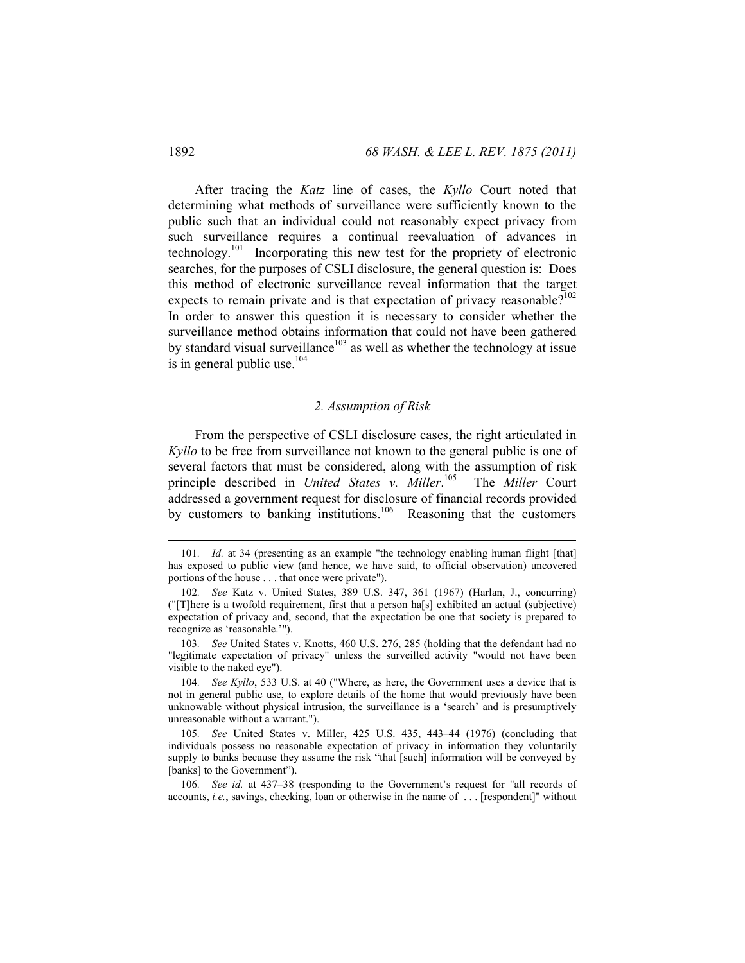After tracing the *Katz* line of cases, the *Kyllo* Court noted that determining what methods of surveillance were sufficiently known to the public such that an individual could not reasonably expect privacy from such surveillance requires a continual reevaluation of advances in technology.101 Incorporating this new test for the propriety of electronic searches, for the purposes of CSLI disclosure, the general question is: Does this method of electronic surveillance reveal information that the target expects to remain private and is that expectation of privacy reasonable?<sup>102</sup> In order to answer this question it is necessary to consider whether the surveillance method obtains information that could not have been gathered by standard visual surveillance<sup>103</sup> as well as whether the technology at issue is in general public use. $104$ 

#### *2. Assumption of Risk*

From the perspective of CSLI disclosure cases, the right articulated in *Kyllo* to be free from surveillance not known to the general public is one of several factors that must be considered, along with the assumption of risk principle described in *United States v. Miller*.<sup>105</sup> The *Miller* Court addressed a government request for disclosure of financial records provided by customers to banking institutions.<sup>106</sup> Reasoning that the customers

103*. See* United States v. Knotts, 460 U.S. 276, 285 (holding that the defendant had no "legitimate expectation of privacy" unless the surveilled activity "would not have been visible to the naked eye").

104*. See Kyllo*, 533 U.S. at 40 ("Where, as here, the Government uses a device that is not in general public use, to explore details of the home that would previously have been unknowable without physical intrusion, the surveillance is a 'search' and is presumptively unreasonable without a warrant.").

<sup>101.</sup> Id. at 34 (presenting as an example "the technology enabling human flight [that] has exposed to public view (and hence, we have said, to official observation) uncovered portions of the house . . . that once were private").

<sup>102</sup>*. See* Katz v. United States, 389 U.S. 347, 361 (1967) (Harlan, J., concurring) ("[T]here is a twofold requirement, first that a person ha[s] exhibited an actual (subjective) expectation of privacy and, second, that the expectation be one that society is prepared to recognize as 'reasonable.'").

<sup>105</sup>*. See* United States v. Miller, 425 U.S. 435, 443–44 (1976) (concluding that individuals possess no reasonable expectation of privacy in information they voluntarily supply to banks because they assume the risk "that [such] information will be conveyed by [banks] to the Government").

<sup>106</sup>*. See id.* at 437–38 (responding to the Government's request for "all records of accounts, *i.e.*, savings, checking, loan or otherwise in the name of . . . [respondent]" without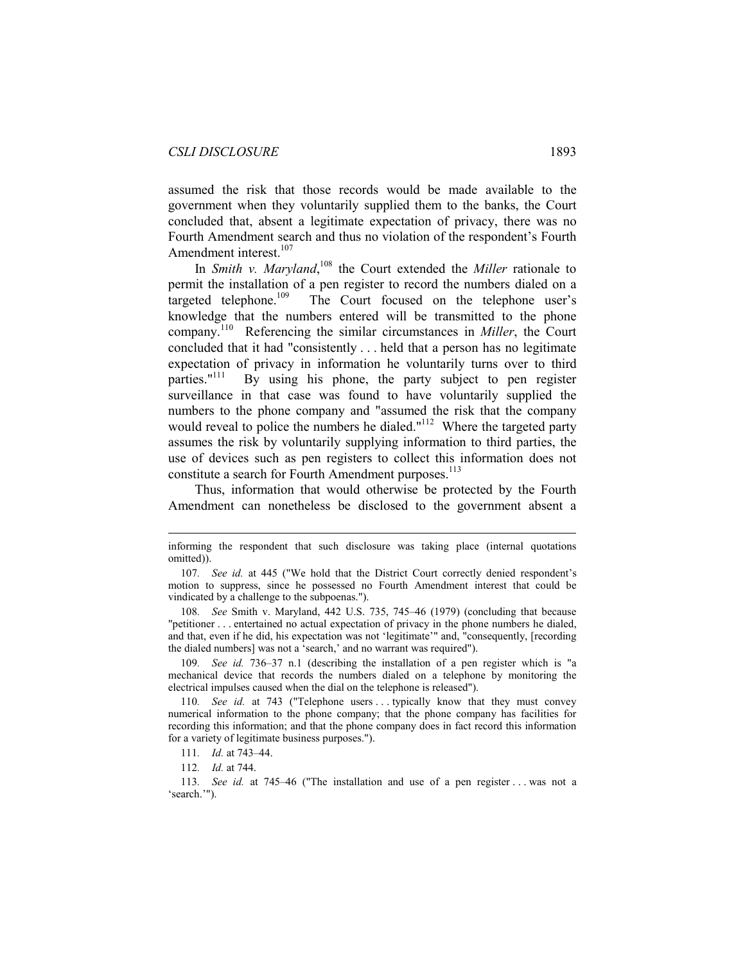assumed the risk that those records would be made available to the government when they voluntarily supplied them to the banks, the Court concluded that, absent a legitimate expectation of privacy, there was no Fourth Amendment search and thus no violation of the respondent's Fourth Amendment interest.<sup>107</sup>

In *Smith v. Maryland*,<sup>108</sup> the Court extended the *Miller* rationale to permit the installation of a pen register to record the numbers dialed on a targeted telephone.<sup>109</sup> The Court focused on the telephone user's knowledge that the numbers entered will be transmitted to the phone company.110 Referencing the similar circumstances in *Miller*, the Court concluded that it had "consistently . . . held that a person has no legitimate expectation of privacy in information he voluntarily turns over to third parties.<sup> $n$ 111</sup> By using his phone, the party subject to pen register By using his phone, the party subject to pen register surveillance in that case was found to have voluntarily supplied the numbers to the phone company and "assumed the risk that the company would reveal to police the numbers he dialed."<sup>112</sup> Where the targeted party assumes the risk by voluntarily supplying information to third parties, the use of devices such as pen registers to collect this information does not constitute a search for Fourth Amendment purposes.<sup>113</sup>

Thus, information that would otherwise be protected by the Fourth Amendment can nonetheless be disclosed to the government absent a

109*. See id.* 736–37 n.1 (describing the installation of a pen register which is "a mechanical device that records the numbers dialed on a telephone by monitoring the electrical impulses caused when the dial on the telephone is released").

110*. See id.* at 743 ("Telephone users . . . typically know that they must convey numerical information to the phone company; that the phone company has facilities for recording this information; and that the phone company does in fact record this information for a variety of legitimate business purposes.").

 $\overline{a}$ 

113*. See id.* at 745–46 ("The installation and use of a pen register . . . was not a 'search.'").

informing the respondent that such disclosure was taking place (internal quotations omitted)).

<sup>107</sup>*. See id.* at 445 ("We hold that the District Court correctly denied respondent's motion to suppress, since he possessed no Fourth Amendment interest that could be vindicated by a challenge to the subpoenas.").

<sup>108</sup>*. See* Smith v. Maryland, 442 U.S. 735, 745–46 (1979) (concluding that because "petitioner . . . entertained no actual expectation of privacy in the phone numbers he dialed, and that, even if he did, his expectation was not 'legitimate'" and, "consequently, [recording the dialed numbers] was not a 'search,' and no warrant was required").

<sup>111</sup>*. Id.* at 743–44.

<sup>112</sup>*. Id.* at 744.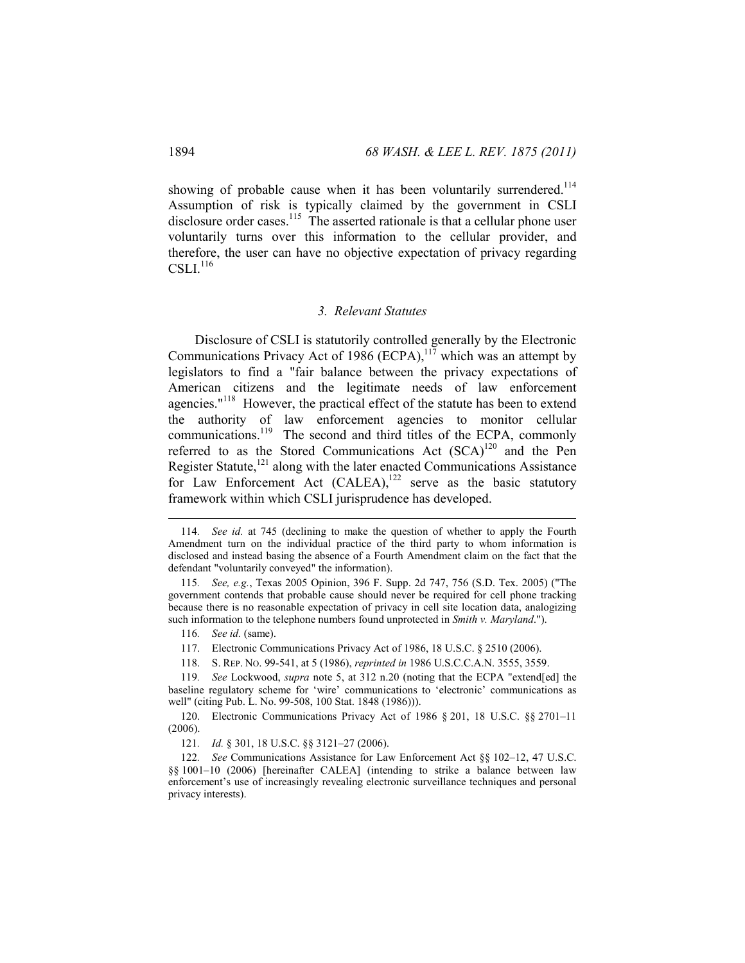showing of probable cause when it has been voluntarily surrendered.<sup>114</sup> Assumption of risk is typically claimed by the government in CSLI disclosure order cases.<sup>115</sup> The asserted rationale is that a cellular phone user voluntarily turns over this information to the cellular provider, and therefore, the user can have no objective expectation of privacy regarding  $CSLI<sup>116</sup>$ 

#### *3. Relevant Statutes*

Disclosure of CSLI is statutorily controlled generally by the Electronic Communications Privacy Act of 1986 (ECPA), $117$  which was an attempt by legislators to find a "fair balance between the privacy expectations of American citizens and the legitimate needs of law enforcement agencies."<sup>118</sup> However, the practical effect of the statute has been to extend the authority of law enforcement agencies to monitor cellular communications.<sup>119</sup> The second and third titles of the ECPA, commonly referred to as the Stored Communications Act  $(SCA)^{120}$  and the Pen Register Statute,<sup>121</sup> along with the later enacted Communications Assistance for Law Enforcement Act (CALEA),<sup>122</sup> serve as the basic statutory framework within which CSLI jurisprudence has developed.

 $\overline{a}$ 

118. S. REP. NO. 99-541, at 5 (1986), *reprinted in* 1986 U.S.C.C.A.N. 3555, 3559.

<sup>114</sup>*. See id.* at 745 (declining to make the question of whether to apply the Fourth Amendment turn on the individual practice of the third party to whom information is disclosed and instead basing the absence of a Fourth Amendment claim on the fact that the defendant "voluntarily conveyed" the information).

<sup>115</sup>*. See, e.g.*, Texas 2005 Opinion, 396 F. Supp. 2d 747, 756 (S.D. Tex. 2005) ("The government contends that probable cause should never be required for cell phone tracking because there is no reasonable expectation of privacy in cell site location data, analogizing such information to the telephone numbers found unprotected in *Smith v. Maryland*.").

<sup>116</sup>*. See id.* (same).

 <sup>117.</sup> Electronic Communications Privacy Act of 1986, 18 U.S.C. § 2510 (2006).

<sup>119</sup>*. See* Lockwood, *supra* note 5, at 312 n.20 (noting that the ECPA "extend[ed] the baseline regulatory scheme for 'wire' communications to 'electronic' communications as well" (citing Pub. L. No. 99-508, 100 Stat. 1848 (1986))).

 <sup>120.</sup> Electronic Communications Privacy Act of 1986 § 201, 18 U.S.C. §§ 2701–11 (2006).

<sup>121</sup>*. Id.* § 301, 18 U.S.C. §§ 3121–27 (2006).

<sup>122</sup>*. See* Communications Assistance for Law Enforcement Act §§ 102–12, 47 U.S.C. §§ 1001–10 (2006) [hereinafter CALEA] (intending to strike a balance between law enforcement's use of increasingly revealing electronic surveillance techniques and personal privacy interests).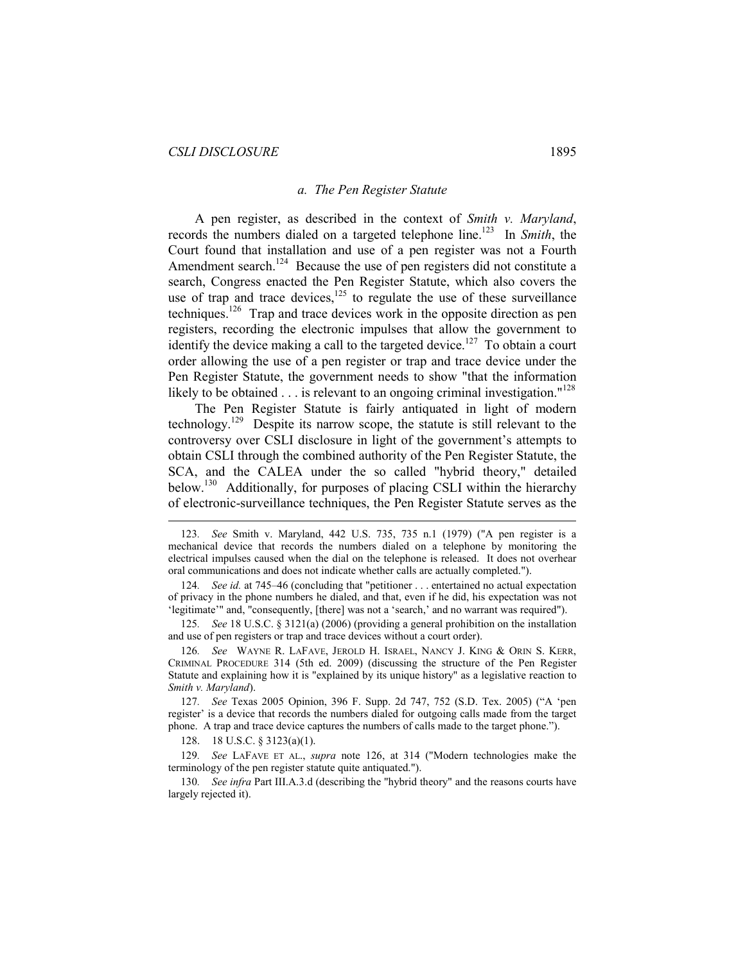#### *a. The Pen Register Statute*

A pen register, as described in the context of *Smith v. Maryland*, records the numbers dialed on a targeted telephone line.<sup>123</sup> In *Smith*, the Court found that installation and use of a pen register was not a Fourth Amendment search.<sup>124</sup> Because the use of pen registers did not constitute a search, Congress enacted the Pen Register Statute, which also covers the use of trap and trace devices, $125$  to regulate the use of these surveillance techniques.126 Trap and trace devices work in the opposite direction as pen registers, recording the electronic impulses that allow the government to identify the device making a call to the targeted device.<sup>127</sup> To obtain a court order allowing the use of a pen register or trap and trace device under the Pen Register Statute, the government needs to show "that the information likely to be obtained  $\ldots$  is relevant to an ongoing criminal investigation."<sup>128</sup>

The Pen Register Statute is fairly antiquated in light of modern technology.129 Despite its narrow scope, the statute is still relevant to the controversy over CSLI disclosure in light of the government's attempts to obtain CSLI through the combined authority of the Pen Register Statute, the SCA, and the CALEA under the so called "hybrid theory," detailed below.<sup>130</sup> Additionally, for purposes of placing CSLI within the hierarchy of electronic-surveillance techniques, the Pen Register Statute serves as the

124*. See id.* at 745–46 (concluding that "petitioner . . . entertained no actual expectation of privacy in the phone numbers he dialed, and that, even if he did, his expectation was not 'legitimate'" and, "consequently, [there] was not a 'search,' and no warrant was required").

125*. See* 18 U.S.C. § 3121(a) (2006) (providing a general prohibition on the installation and use of pen registers or trap and trace devices without a court order).

126*. See* WAYNE R. LAFAVE, JEROLD H. ISRAEL, NANCY J. KING & ORIN S. KERR, CRIMINAL PROCEDURE 314 (5th ed. 2009) (discussing the structure of the Pen Register Statute and explaining how it is "explained by its unique history" as a legislative reaction to *Smith v. Maryland*).

127*. See* Texas 2005 Opinion, 396 F. Supp. 2d 747, 752 (S.D. Tex. 2005) ("A 'pen register' is a device that records the numbers dialed for outgoing calls made from the target phone. A trap and trace device captures the numbers of calls made to the target phone.").

128. 18 U.S.C. § 3123(a)(1).

 $\overline{a}$ 

129*. See* LAFAVE ET AL., *supra* note 126, at 314 ("Modern technologies make the terminology of the pen register statute quite antiquated.").

130*. See infra* Part III.A.3.d (describing the "hybrid theory" and the reasons courts have largely rejected it).

<sup>123</sup>*. See* Smith v. Maryland, 442 U.S. 735, 735 n.1 (1979) ("A pen register is a mechanical device that records the numbers dialed on a telephone by monitoring the electrical impulses caused when the dial on the telephone is released. It does not overhear oral communications and does not indicate whether calls are actually completed.").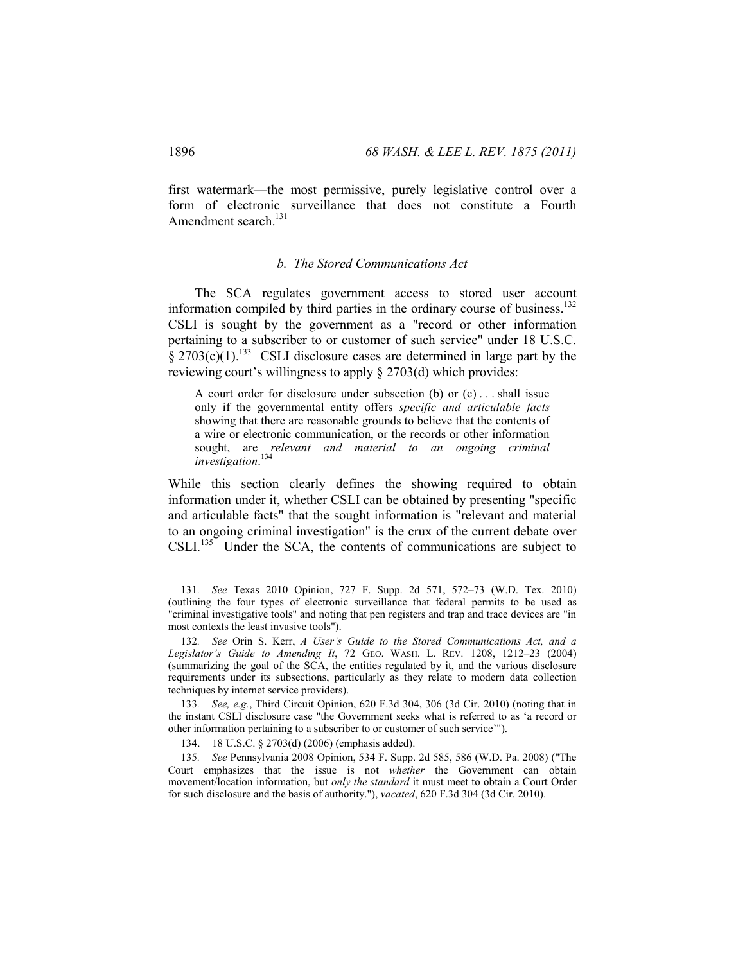first watermark—the most permissive, purely legislative control over a form of electronic surveillance that does not constitute a Fourth Amendment search.<sup>131</sup>

#### *b. The Stored Communications Act*

The SCA regulates government access to stored user account information compiled by third parties in the ordinary course of business.<sup>132</sup> CSLI is sought by the government as a "record or other information pertaining to a subscriber to or customer of such service" under 18 U.S.C.  $\hat{\S}$  2703(c)(1).<sup>133</sup> CSLI disclosure cases are determined in large part by the reviewing court's willingness to apply § 2703(d) which provides:

A court order for disclosure under subsection (b) or (c) . . . shall issue only if the governmental entity offers *specific and articulable facts*  showing that there are reasonable grounds to believe that the contents of a wire or electronic communication, or the records or other information sought, are *relevant and material to an ongoing criminal investigation*. 134

While this section clearly defines the showing required to obtain information under it, whether CSLI can be obtained by presenting "specific and articulable facts" that the sought information is "relevant and material to an ongoing criminal investigation" is the crux of the current debate over CSLI.<sup>135</sup> Under the SCA, the contents of communications are subject to

133*. See, e.g.*, Third Circuit Opinion, 620 F.3d 304, 306 (3d Cir. 2010) (noting that in the instant CSLI disclosure case "the Government seeks what is referred to as 'a record or other information pertaining to a subscriber to or customer of such service'").

134. 18 U.S.C. § 2703(d) (2006) (emphasis added).

135*. See* Pennsylvania 2008 Opinion, 534 F. Supp. 2d 585, 586 (W.D. Pa. 2008) ("The Court emphasizes that the issue is not *whether* the Government can obtain movement/location information, but *only the standard* it must meet to obtain a Court Order for such disclosure and the basis of authority."), *vacated*, 620 F.3d 304 (3d Cir. 2010).

<sup>131</sup>*. See* Texas 2010 Opinion, 727 F. Supp. 2d 571, 572–73 (W.D. Tex. 2010) (outlining the four types of electronic surveillance that federal permits to be used as "criminal investigative tools" and noting that pen registers and trap and trace devices are "in most contexts the least invasive tools").

<sup>132</sup>*. See* Orin S. Kerr, *A User's Guide to the Stored Communications Act, and a Legislator's Guide to Amending It*, 72 GEO. WASH. L. REV. 1208, 1212–23 (2004) (summarizing the goal of the SCA, the entities regulated by it, and the various disclosure requirements under its subsections, particularly as they relate to modern data collection techniques by internet service providers).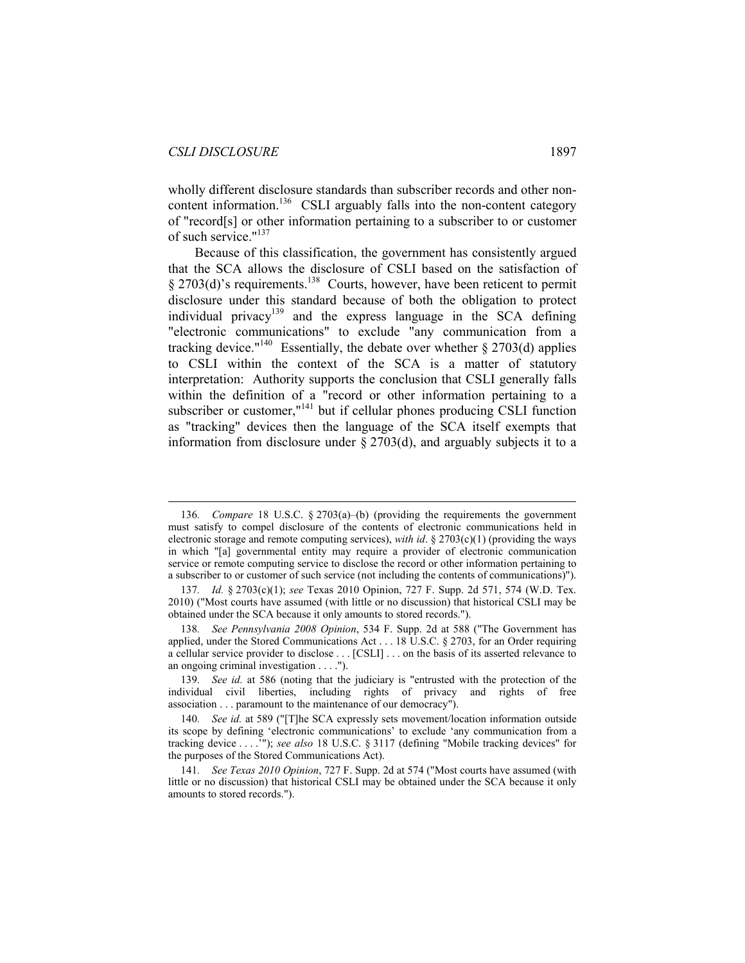$\overline{a}$ 

wholly different disclosure standards than subscriber records and other noncontent information.<sup>136</sup> CSLI arguably falls into the non-content category of "record[s] or other information pertaining to a subscriber to or customer of such service."137

Because of this classification, the government has consistently argued that the SCA allows the disclosure of CSLI based on the satisfaction of  $\S 2703(d)$ 's requirements.<sup>138</sup> Courts, however, have been reticent to permit disclosure under this standard because of both the obligation to protect individual privacy<sup>139</sup> and the express language in the SCA defining "electronic communications" to exclude "any communication from a tracking device."<sup>140</sup> Essentially, the debate over whether  $\S 2703(d)$  applies to CSLI within the context of the SCA is a matter of statutory interpretation: Authority supports the conclusion that CSLI generally falls within the definition of a "record or other information pertaining to a subscriber or customer,"<sup>141</sup> but if cellular phones producing CSLI function as "tracking" devices then the language of the SCA itself exempts that information from disclosure under § 2703(d), and arguably subjects it to a

<sup>136</sup>*. Compare* 18 U.S.C. § 2703(a)–(b) (providing the requirements the government must satisfy to compel disclosure of the contents of electronic communications held in electronic storage and remote computing services), *with id*.  $\S 2703(c)(1)$  (providing the ways in which "[a] governmental entity may require a provider of electronic communication service or remote computing service to disclose the record or other information pertaining to a subscriber to or customer of such service (not including the contents of communications)").

<sup>137</sup>*. Id.* § 2703(c)(1); *see* Texas 2010 Opinion, 727 F. Supp. 2d 571, 574 (W.D. Tex. 2010) ("Most courts have assumed (with little or no discussion) that historical CSLI may be obtained under the SCA because it only amounts to stored records.").

<sup>138</sup>*. See Pennsylvania 2008 Opinion*, 534 F. Supp. 2d at 588 ("The Government has applied, under the Stored Communications Act . . . 18 U.S.C. § 2703, for an Order requiring a cellular service provider to disclose . . . [CSLI] . . . on the basis of its asserted relevance to an ongoing criminal investigation . . . .").

<sup>139</sup>*. See id.* at 586 (noting that the judiciary is "entrusted with the protection of the individual civil liberties, including rights of privacy and rights of free association . . . paramount to the maintenance of our democracy").

<sup>140</sup>*. See id.* at 589 ("[T]he SCA expressly sets movement/location information outside its scope by defining 'electronic communications' to exclude 'any communication from a tracking device . . . .'"); *see also* 18 U.S.C. § 3117 (defining "Mobile tracking devices" for the purposes of the Stored Communications Act).

<sup>141</sup>*. See Texas 2010 Opinion*, 727 F. Supp. 2d at 574 ("Most courts have assumed (with little or no discussion) that historical CSLI may be obtained under the SCA because it only amounts to stored records.").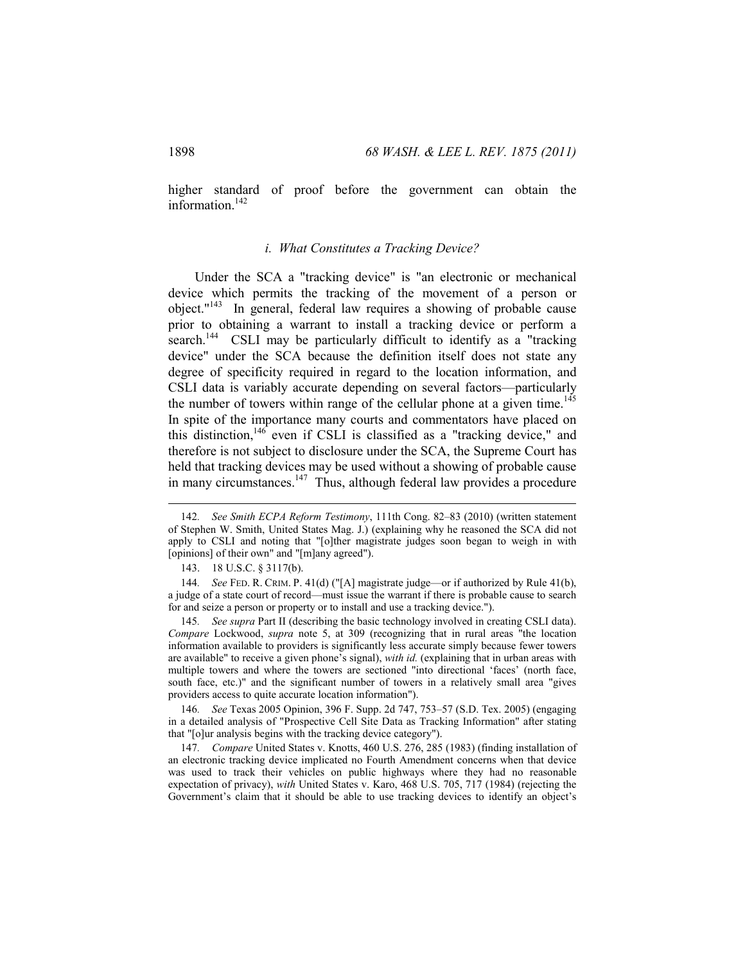higher standard of proof before the government can obtain the information.<sup>142</sup>

#### *i. What Constitutes a Tracking Device?*

Under the SCA a "tracking device" is "an electronic or mechanical device which permits the tracking of the movement of a person or object."143 In general, federal law requires a showing of probable cause prior to obtaining a warrant to install a tracking device or perform a search.<sup>144</sup> CSLI may be particularly difficult to identify as a "tracking" device" under the SCA because the definition itself does not state any degree of specificity required in regard to the location information, and CSLI data is variably accurate depending on several factors—particularly the number of towers within range of the cellular phone at a given time.<sup>145</sup> In spite of the importance many courts and commentators have placed on this distinction,146 even if CSLI is classified as a "tracking device," and therefore is not subject to disclosure under the SCA, the Supreme Court has held that tracking devices may be used without a showing of probable cause in many circumstances.<sup>147</sup> Thus, although federal law provides a procedure

145*. See supra* Part II (describing the basic technology involved in creating CSLI data). *Compare* Lockwood, *supra* note 5, at 309 (recognizing that in rural areas "the location information available to providers is significantly less accurate simply because fewer towers are available" to receive a given phone's signal), *with id.* (explaining that in urban areas with multiple towers and where the towers are sectioned "into directional 'faces' (north face, south face, etc.)" and the significant number of towers in a relatively small area "gives providers access to quite accurate location information").

146*. See* Texas 2005 Opinion, 396 F. Supp. 2d 747, 753–57 (S.D. Tex. 2005) (engaging in a detailed analysis of "Prospective Cell Site Data as Tracking Information" after stating that "[o]ur analysis begins with the tracking device category").

147*. Compare* United States v. Knotts, 460 U.S. 276, 285 (1983) (finding installation of an electronic tracking device implicated no Fourth Amendment concerns when that device was used to track their vehicles on public highways where they had no reasonable expectation of privacy), *with* United States v. Karo, 468 U.S. 705, 717 (1984) (rejecting the Government's claim that it should be able to use tracking devices to identify an object's

<sup>142</sup>*. See Smith ECPA Reform Testimony*, 111th Cong. 82–83 (2010) (written statement of Stephen W. Smith, United States Mag. J.) (explaining why he reasoned the SCA did not apply to CSLI and noting that "[o]ther magistrate judges soon began to weigh in with [opinions] of their own" and "[m]any agreed").

 <sup>143. 18</sup> U.S.C. § 3117(b).

<sup>144</sup>*. See* FED. R. CRIM. P. 41(d) ("[A] magistrate judge—or if authorized by Rule 41(b), a judge of a state court of record—must issue the warrant if there is probable cause to search for and seize a person or property or to install and use a tracking device.").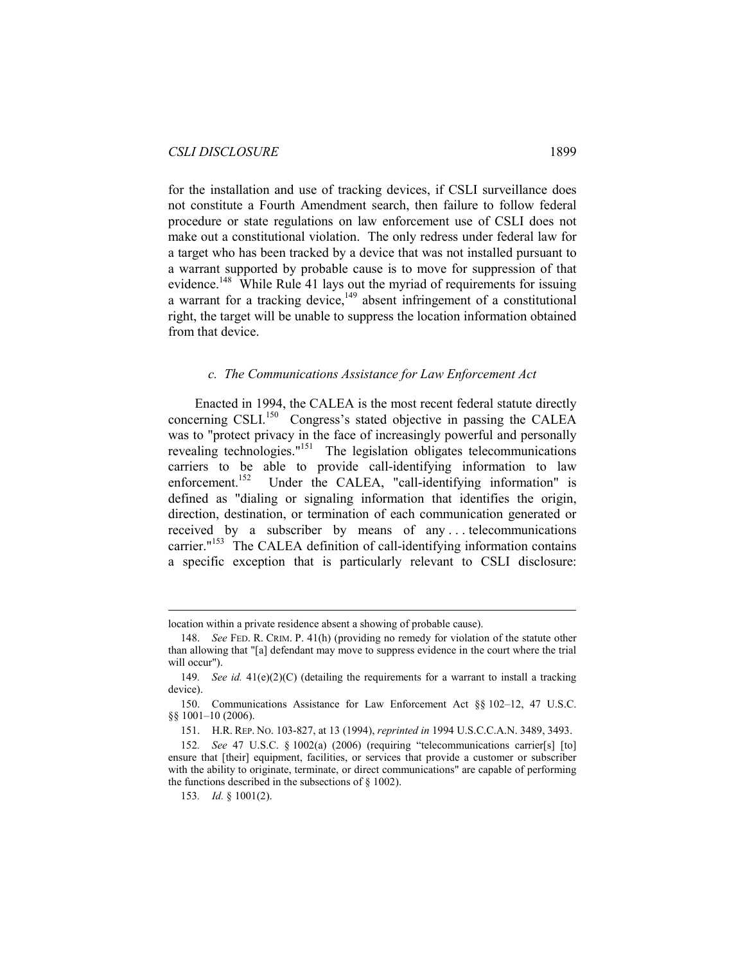for the installation and use of tracking devices, if CSLI surveillance does not constitute a Fourth Amendment search, then failure to follow federal procedure or state regulations on law enforcement use of CSLI does not make out a constitutional violation. The only redress under federal law for a target who has been tracked by a device that was not installed pursuant to a warrant supported by probable cause is to move for suppression of that evidence.<sup>148</sup> While Rule 41 lays out the myriad of requirements for issuing a warrant for a tracking device,<sup>149</sup> absent infringement of a constitutional right, the target will be unable to suppress the location information obtained from that device.

#### *c. The Communications Assistance for Law Enforcement Act*

Enacted in 1994, the CALEA is the most recent federal statute directly concerning CSLI.<sup>150</sup> Congress's stated objective in passing the CALEA was to "protect privacy in the face of increasingly powerful and personally revealing technologies."151 The legislation obligates telecommunications carriers to be able to provide call-identifying information to law enforcement.<sup>152</sup> Under the CALEA, "call-identifying information" is defined as "dialing or signaling information that identifies the origin, direction, destination, or termination of each communication generated or received by a subscriber by means of any . . . telecommunications carrier."<sup>153</sup> The CALEA definition of call-identifying information contains a specific exception that is particularly relevant to CSLI disclosure:

location within a private residence absent a showing of probable cause).

 <sup>148.</sup> *See* FED. R. CRIM. P. 41(h) (providing no remedy for violation of the statute other than allowing that "[a] defendant may move to suppress evidence in the court where the trial will occur").

<sup>149.</sup> *See id.*  $41(e)(2)(C)$  (detailing the requirements for a warrant to install a tracking device).

 <sup>150.</sup> Communications Assistance for Law Enforcement Act §§ 102–12, 47 U.S.C. §§ 1001–10 (2006).

 <sup>151.</sup> H.R. REP. NO. 103-827, at 13 (1994), *reprinted in* 1994 U.S.C.C.A.N. 3489, 3493.

<sup>152</sup>*. See* 47 U.S.C. § 1002(a) (2006) (requiring "telecommunications carrier[s] [to] ensure that [their] equipment, facilities, or services that provide a customer or subscriber with the ability to originate, terminate, or direct communications" are capable of performing the functions described in the subsections of  $\S$  1002).

<sup>153</sup>*. Id.* § 1001(2).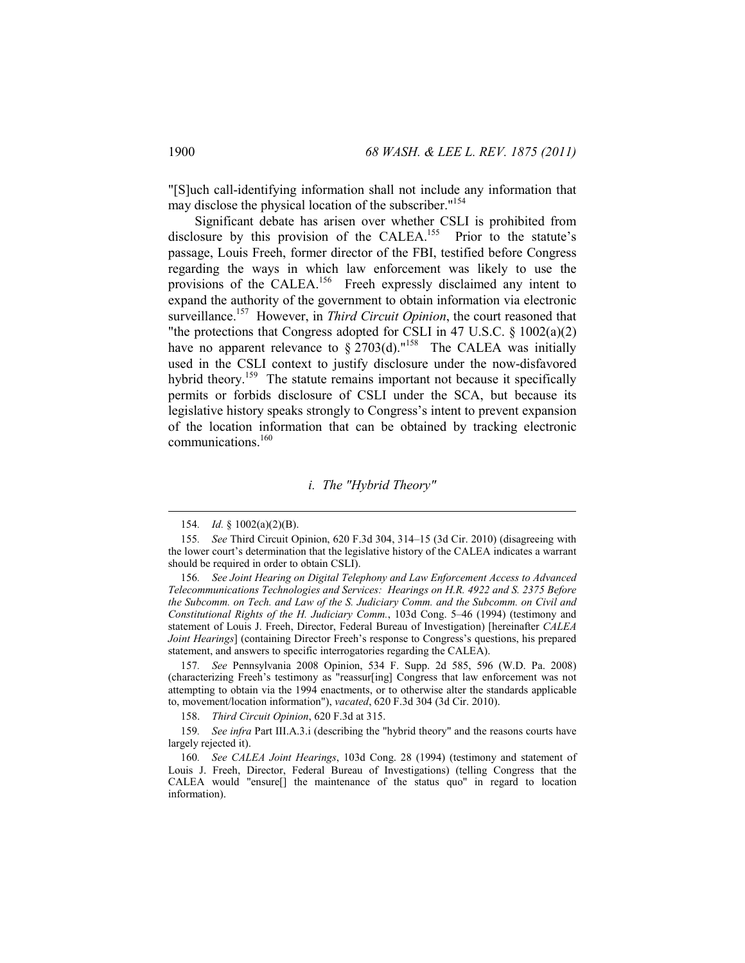"[S]uch call-identifying information shall not include any information that may disclose the physical location of the subscriber."154

Significant debate has arisen over whether CSLI is prohibited from disclosure by this provision of the CALEA.<sup>155</sup> Prior to the statute's passage, Louis Freeh, former director of the FBI, testified before Congress regarding the ways in which law enforcement was likely to use the provisions of the CALEA.<sup>156</sup> Freeh expressly disclaimed any intent to expand the authority of the government to obtain information via electronic surveillance.<sup>157</sup> However, in *Third Circuit Opinion*, the court reasoned that "the protections that Congress adopted for CSLI in 47 U.S.C. § 1002(a)(2) have no apparent relevance to  $\frac{6}{9}$  2703(d)."<sup>158</sup> The CALEA was initially used in the CSLI context to justify disclosure under the now-disfavored hybrid theory.<sup>159</sup> The statute remains important not because it specifically permits or forbids disclosure of CSLI under the SCA, but because its legislative history speaks strongly to Congress's intent to prevent expansion of the location information that can be obtained by tracking electronic communications.<sup>160</sup>

#### *i. The "Hybrid Theory"*

 $\overline{a}$ 

157*. See* Pennsylvania 2008 Opinion, 534 F. Supp. 2d 585, 596 (W.D. Pa. 2008) (characterizing Freeh's testimony as "reassur[ing] Congress that law enforcement was not attempting to obtain via the 1994 enactments, or to otherwise alter the standards applicable to, movement/location information"), *vacated*, 620 F.3d 304 (3d Cir. 2010).

158. *Third Circuit Opinion*, 620 F.3d at 315.

159*. See infra* Part III.A.3.i (describing the "hybrid theory" and the reasons courts have largely rejected it).

<sup>154</sup>*. Id.* § 1002(a)(2)(B).

<sup>155</sup>*. See* Third Circuit Opinion, 620 F.3d 304, 314–15 (3d Cir. 2010) (disagreeing with the lower court's determination that the legislative history of the CALEA indicates a warrant should be required in order to obtain CSLI).

<sup>156</sup>*. See Joint Hearing on Digital Telephony and Law Enforcement Access to Advanced Telecommunications Technologies and Services: Hearings on H.R. 4922 and S. 2375 Before the Subcomm. on Tech. and Law of the S. Judiciary Comm. and the Subcomm. on Civil and Constitutional Rights of the H. Judiciary Comm.*, 103d Cong. 5–46 (1994) (testimony and statement of Louis J. Freeh, Director, Federal Bureau of Investigation) [hereinafter *CALEA Joint Hearings*] (containing Director Freeh's response to Congress's questions, his prepared statement, and answers to specific interrogatories regarding the CALEA).

<sup>160</sup>*. See CALEA Joint Hearings*, 103d Cong. 28 (1994) (testimony and statement of Louis J. Freeh, Director, Federal Bureau of Investigations) (telling Congress that the CALEA would "ensure[] the maintenance of the status quo" in regard to location information).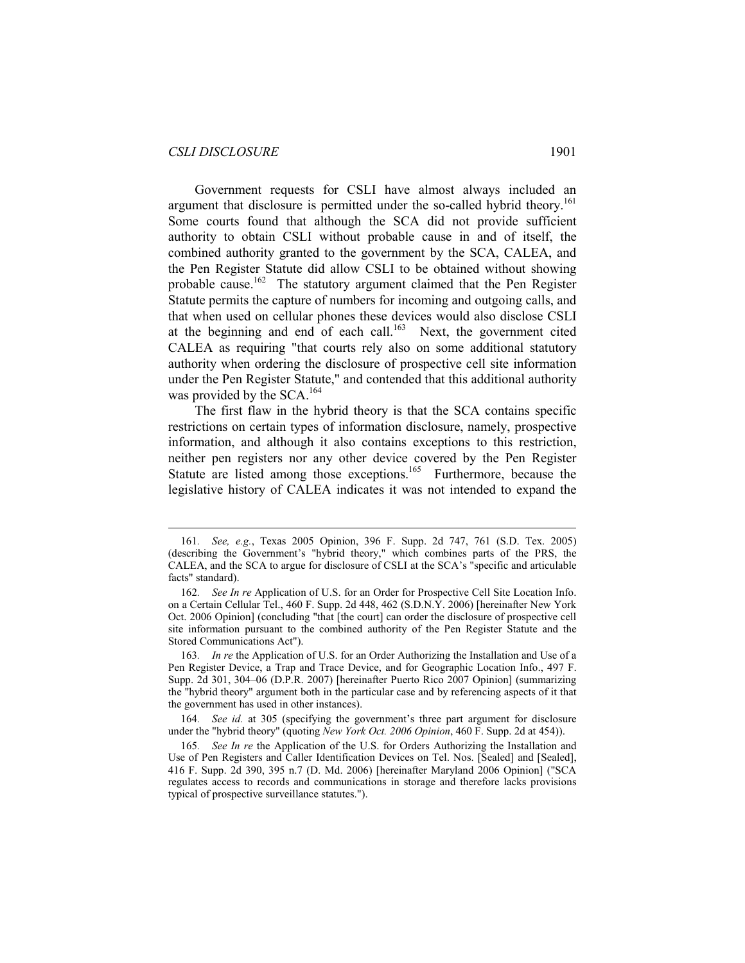#### *CSLI DISCLOSURE* 1901

 $\overline{a}$ 

Government requests for CSLI have almost always included an argument that disclosure is permitted under the so-called hybrid theory.<sup>161</sup> Some courts found that although the SCA did not provide sufficient authority to obtain CSLI without probable cause in and of itself, the combined authority granted to the government by the SCA, CALEA, and the Pen Register Statute did allow CSLI to be obtained without showing probable cause.<sup>162</sup> The statutory argument claimed that the Pen Register Statute permits the capture of numbers for incoming and outgoing calls, and that when used on cellular phones these devices would also disclose CSLI at the beginning and end of each call.<sup>163</sup> Next, the government cited CALEA as requiring "that courts rely also on some additional statutory authority when ordering the disclosure of prospective cell site information under the Pen Register Statute," and contended that this additional authority was provided by the SCA.<sup>164</sup>

The first flaw in the hybrid theory is that the SCA contains specific restrictions on certain types of information disclosure, namely, prospective information, and although it also contains exceptions to this restriction, neither pen registers nor any other device covered by the Pen Register Statute are listed among those exceptions.<sup>165</sup> Furthermore, because the legislative history of CALEA indicates it was not intended to expand the

<sup>161</sup>*. See, e.g.*, Texas 2005 Opinion, 396 F. Supp. 2d 747, 761 (S.D. Tex. 2005) (describing the Government's "hybrid theory," which combines parts of the PRS, the CALEA, and the SCA to argue for disclosure of CSLI at the SCA's "specific and articulable facts" standard).

<sup>162</sup>*. See In re* Application of U.S. for an Order for Prospective Cell Site Location Info. on a Certain Cellular Tel., 460 F. Supp. 2d 448, 462 (S.D.N.Y. 2006) [hereinafter New York Oct. 2006 Opinion] (concluding "that [the court] can order the disclosure of prospective cell site information pursuant to the combined authority of the Pen Register Statute and the Stored Communications Act").

<sup>163</sup>*. In re* the Application of U.S. for an Order Authorizing the Installation and Use of a Pen Register Device, a Trap and Trace Device, and for Geographic Location Info., 497 F. Supp. 2d 301, 304–06 (D.P.R. 2007) [hereinafter Puerto Rico 2007 Opinion] (summarizing the "hybrid theory" argument both in the particular case and by referencing aspects of it that the government has used in other instances).

<sup>164</sup>*. See id.* at 305 (specifying the government's three part argument for disclosure under the "hybrid theory" (quoting *New York Oct. 2006 Opinion*, 460 F. Supp. 2d at 454)).

<sup>165</sup>*. See In re* the Application of the U.S. for Orders Authorizing the Installation and Use of Pen Registers and Caller Identification Devices on Tel. Nos. [Sealed] and [Sealed], 416 F. Supp. 2d 390, 395 n.7 (D. Md. 2006) [hereinafter Maryland 2006 Opinion] ("SCA regulates access to records and communications in storage and therefore lacks provisions typical of prospective surveillance statutes.").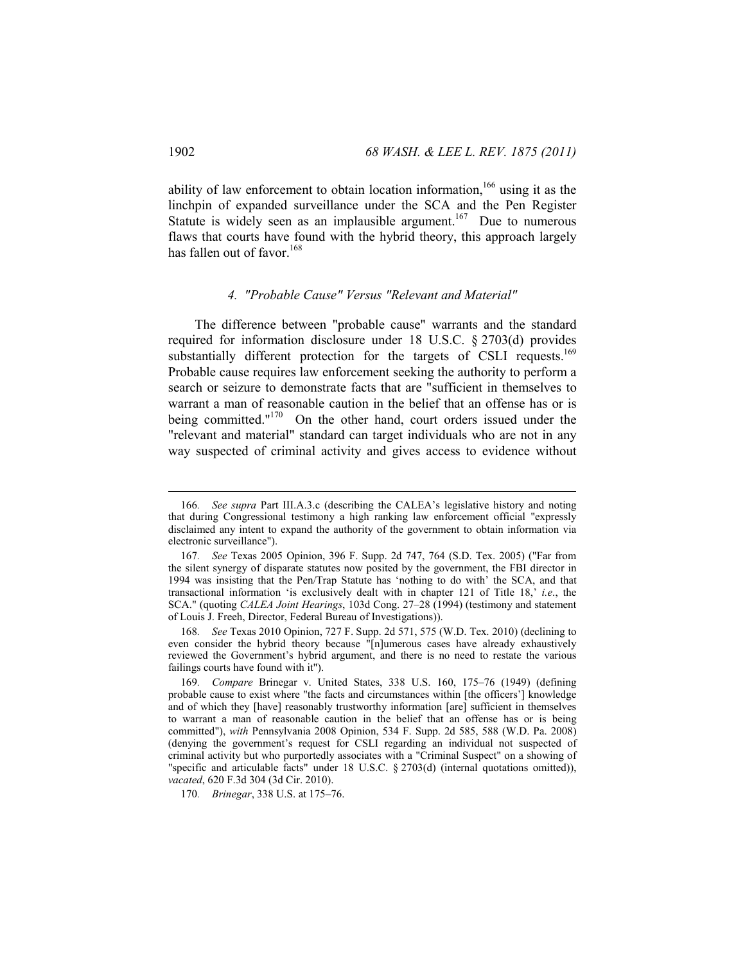ability of law enforcement to obtain location information,<sup>166</sup> using it as the linchpin of expanded surveillance under the SCA and the Pen Register Statute is widely seen as an implausible argument.<sup>167</sup> Due to numerous flaws that courts have found with the hybrid theory, this approach largely has fallen out of favor.<sup>168</sup>

#### *4. "Probable Cause" Versus "Relevant and Material"*

The difference between "probable cause" warrants and the standard required for information disclosure under 18 U.S.C. § 2703(d) provides substantially different protection for the targets of CSLI requests.<sup>169</sup> Probable cause requires law enforcement seeking the authority to perform a search or seizure to demonstrate facts that are "sufficient in themselves to warrant a man of reasonable caution in the belief that an offense has or is being committed."<sup>170</sup> On the other hand, court orders issued under the "relevant and material" standard can target individuals who are not in any way suspected of criminal activity and gives access to evidence without

<sup>166</sup>*. See supra* Part III.A.3.c (describing the CALEA's legislative history and noting that during Congressional testimony a high ranking law enforcement official "expressly disclaimed any intent to expand the authority of the government to obtain information via electronic surveillance").

<sup>167</sup>*. See* Texas 2005 Opinion, 396 F. Supp. 2d 747, 764 (S.D. Tex. 2005) ("Far from the silent synergy of disparate statutes now posited by the government, the FBI director in 1994 was insisting that the Pen/Trap Statute has 'nothing to do with' the SCA, and that transactional information 'is exclusively dealt with in chapter 121 of Title 18,' *i.e*., the SCA." (quoting *CALEA Joint Hearings*, 103d Cong. 27–28 (1994) (testimony and statement of Louis J. Freeh, Director, Federal Bureau of Investigations)).

<sup>168</sup>*. See* Texas 2010 Opinion, 727 F. Supp. 2d 571, 575 (W.D. Tex. 2010) (declining to even consider the hybrid theory because "[n]umerous cases have already exhaustively reviewed the Government's hybrid argument, and there is no need to restate the various failings courts have found with it").

<sup>169</sup>*. Compare* Brinegar v. United States, 338 U.S. 160, 175–76 (1949) (defining probable cause to exist where "the facts and circumstances within [the officers'] knowledge and of which they [have] reasonably trustworthy information [are] sufficient in themselves to warrant a man of reasonable caution in the belief that an offense has or is being committed"), *with* Pennsylvania 2008 Opinion, 534 F. Supp. 2d 585, 588 (W.D. Pa. 2008) (denying the government's request for CSLI regarding an individual not suspected of criminal activity but who purportedly associates with a "Criminal Suspect" on a showing of "specific and articulable facts" under 18 U.S.C. § 2703(d) (internal quotations omitted)), *vacated*, 620 F.3d 304 (3d Cir. 2010).

<sup>170</sup>*. Brinegar*, 338 U.S. at 175–76.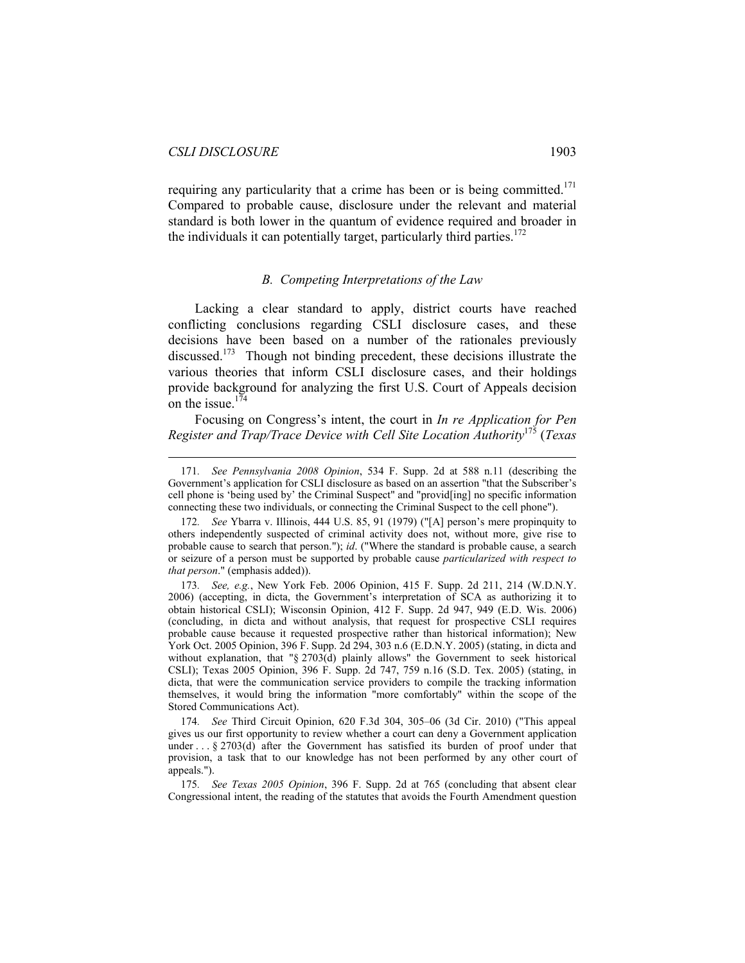$\overline{a}$ 

requiring any particularity that a crime has been or is being committed.<sup>171</sup> Compared to probable cause, disclosure under the relevant and material standard is both lower in the quantum of evidence required and broader in the individuals it can potentially target, particularly third parties.<sup>172</sup>

#### *B. Competing Interpretations of the Law*

Lacking a clear standard to apply, district courts have reached conflicting conclusions regarding CSLI disclosure cases, and these decisions have been based on a number of the rationales previously discussed.<sup>173</sup> Though not binding precedent, these decisions illustrate the various theories that inform CSLI disclosure cases, and their holdings provide background for analyzing the first U.S. Court of Appeals decision on the issue. $174$ 

Focusing on Congress's intent, the court in *In re Application for Pen Register and Trap/Trace Device with Cell Site Location Authority*<sup>175</sup> (*Texas* 

<sup>171</sup>*. See Pennsylvania 2008 Opinion*, 534 F. Supp. 2d at 588 n.11 (describing the Government's application for CSLI disclosure as based on an assertion "that the Subscriber's cell phone is 'being used by' the Criminal Suspect" and "provid[ing] no specific information connecting these two individuals, or connecting the Criminal Suspect to the cell phone").

<sup>172</sup>*. See* Ybarra v. Illinois, 444 U.S. 85, 91 (1979) ("[A] person's mere propinquity to others independently suspected of criminal activity does not, without more, give rise to probable cause to search that person."); *id*. ("Where the standard is probable cause, a search or seizure of a person must be supported by probable cause *particularized with respect to that person*." (emphasis added)).

<sup>173</sup>*. See, e.g.*, New York Feb. 2006 Opinion, 415 F. Supp. 2d 211, 214 (W.D.N.Y. 2006) (accepting, in dicta, the Government's interpretation of SCA as authorizing it to obtain historical CSLI); Wisconsin Opinion, 412 F. Supp. 2d 947, 949 (E.D. Wis. 2006) (concluding, in dicta and without analysis, that request for prospective CSLI requires probable cause because it requested prospective rather than historical information); New York Oct. 2005 Opinion, 396 F. Supp. 2d 294, 303 n.6 (E.D.N.Y. 2005) (stating, in dicta and without explanation, that "§ 2703(d) plainly allows" the Government to seek historical CSLI); Texas 2005 Opinion, 396 F. Supp. 2d 747, 759 n.16 (S.D. Tex. 2005) (stating, in dicta, that were the communication service providers to compile the tracking information themselves, it would bring the information "more comfortably" within the scope of the Stored Communications Act).

<sup>174</sup>*. See* Third Circuit Opinion, 620 F.3d 304, 305–06 (3d Cir. 2010) ("This appeal gives us our first opportunity to review whether a court can deny a Government application under . . . § 2703(d) after the Government has satisfied its burden of proof under that provision, a task that to our knowledge has not been performed by any other court of appeals.").

<sup>175</sup>*. See Texas 2005 Opinion*, 396 F. Supp. 2d at 765 (concluding that absent clear Congressional intent, the reading of the statutes that avoids the Fourth Amendment question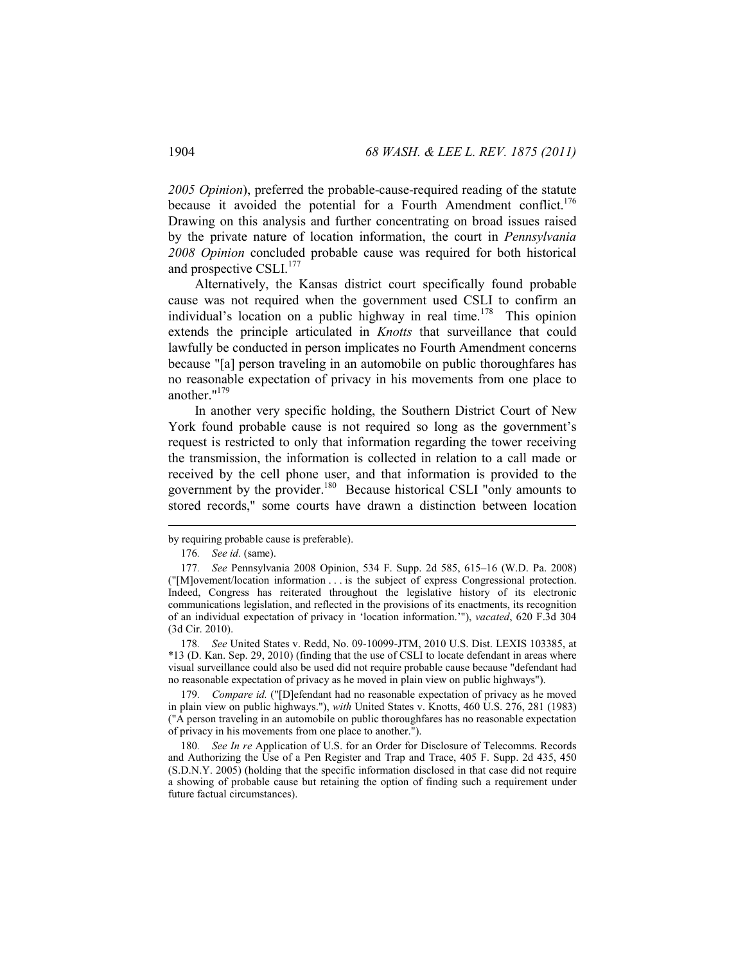*2005 Opinion*), preferred the probable-cause-required reading of the statute because it avoided the potential for a Fourth Amendment conflict.<sup>176</sup> Drawing on this analysis and further concentrating on broad issues raised by the private nature of location information, the court in *Pennsylvania 2008 Opinion* concluded probable cause was required for both historical and prospective CSLI.<sup>177</sup>

Alternatively, the Kansas district court specifically found probable cause was not required when the government used CSLI to confirm an individual's location on a public highway in real time.<sup>178</sup> This opinion extends the principle articulated in *Knotts* that surveillance that could lawfully be conducted in person implicates no Fourth Amendment concerns because "[a] person traveling in an automobile on public thoroughfares has no reasonable expectation of privacy in his movements from one place to another."179

In another very specific holding, the Southern District Court of New York found probable cause is not required so long as the government's request is restricted to only that information regarding the tower receiving the transmission, the information is collected in relation to a call made or received by the cell phone user, and that information is provided to the government by the provider.<sup>180</sup> Because historical CSLI "only amounts to stored records," some courts have drawn a distinction between location

 $\overline{a}$ 

178*. See* United States v. Redd, No. 09-10099-JTM, 2010 U.S. Dist. LEXIS 103385, at \*13 (D. Kan. Sep. 29, 2010) (finding that the use of CSLI to locate defendant in areas where visual surveillance could also be used did not require probable cause because "defendant had no reasonable expectation of privacy as he moved in plain view on public highways").

179*. Compare id.* ("[D]efendant had no reasonable expectation of privacy as he moved in plain view on public highways."), *with* United States v. Knotts, 460 U.S. 276, 281 (1983) ("A person traveling in an automobile on public thoroughfares has no reasonable expectation of privacy in his movements from one place to another.").

180*. See In re* Application of U.S. for an Order for Disclosure of Telecomms. Records and Authorizing the Use of a Pen Register and Trap and Trace, 405 F. Supp. 2d 435, 450 (S.D.N.Y. 2005) (holding that the specific information disclosed in that case did not require a showing of probable cause but retaining the option of finding such a requirement under future factual circumstances).

by requiring probable cause is preferable).

<sup>176</sup>*. See id.* (same).

<sup>177</sup>*. See* Pennsylvania 2008 Opinion, 534 F. Supp. 2d 585, 615–16 (W.D. Pa. 2008) ("[M]ovement/location information . . . is the subject of express Congressional protection. Indeed, Congress has reiterated throughout the legislative history of its electronic communications legislation, and reflected in the provisions of its enactments, its recognition of an individual expectation of privacy in 'location information.'"), *vacated*, 620 F.3d 304 (3d Cir. 2010).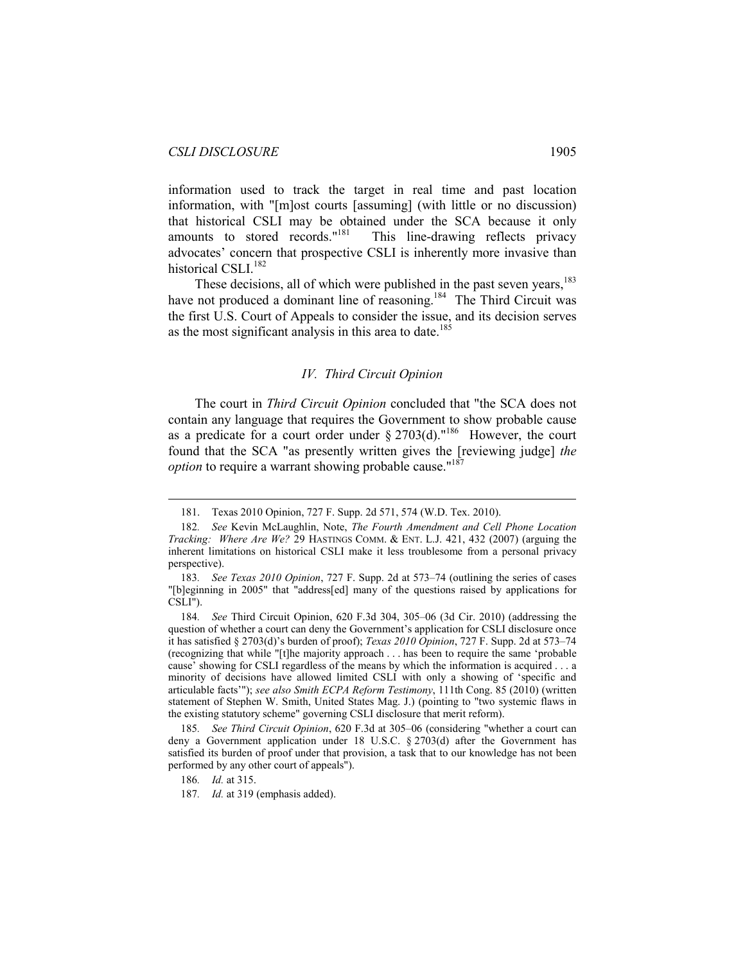information used to track the target in real time and past location information, with "[m]ost courts [assuming] (with little or no discussion) that historical CSLI may be obtained under the SCA because it only amounts to stored records."<sup>181</sup> This line-drawing reflects privacy advocates' concern that prospective CSLI is inherently more invasive than historical CSLI.<sup>182</sup>

These decisions, all of which were published in the past seven years,<sup>183</sup> have not produced a dominant line of reasoning.<sup>184</sup> The Third Circuit was the first U.S. Court of Appeals to consider the issue, and its decision serves as the most significant analysis in this area to date.<sup>185</sup>

#### *IV. Third Circuit Opinion*

The court in *Third Circuit Opinion* concluded that "the SCA does not contain any language that requires the Government to show probable cause as a predicate for a court order under  $\S 2703(d)$ ."<sup>186</sup> However, the court found that the SCA "as presently written gives the [reviewing judge] *the option* to require a warrant showing probable cause."<sup>187</sup>

 <sup>181.</sup> Texas 2010 Opinion, 727 F. Supp. 2d 571, 574 (W.D. Tex. 2010).

<sup>182</sup>*. See* Kevin McLaughlin, Note, *The Fourth Amendment and Cell Phone Location Tracking: Where Are We?* 29 HASTINGS COMM. & ENT. L.J. 421, 432 (2007) (arguing the inherent limitations on historical CSLI make it less troublesome from a personal privacy perspective).

<sup>183</sup>*. See Texas 2010 Opinion*, 727 F. Supp. 2d at 573–74 (outlining the series of cases "[b]eginning in 2005" that "address[ed] many of the questions raised by applications for CSLI").

<sup>184</sup>*. See* Third Circuit Opinion, 620 F.3d 304, 305–06 (3d Cir. 2010) (addressing the question of whether a court can deny the Government's application for CSLI disclosure once it has satisfied § 2703(d)'s burden of proof); *Texas 2010 Opinion*, 727 F. Supp. 2d at 573–74 (recognizing that while "[t]he majority approach . . . has been to require the same 'probable cause' showing for CSLI regardless of the means by which the information is acquired . . . a minority of decisions have allowed limited CSLI with only a showing of 'specific and articulable facts'"); *see also Smith ECPA Reform Testimony*, 111th Cong. 85 (2010) (written statement of Stephen W. Smith, United States Mag. J.) (pointing to "two systemic flaws in the existing statutory scheme" governing CSLI disclosure that merit reform).

<sup>185</sup>*. See Third Circuit Opinion*, 620 F.3d at 305–06 (considering "whether a court can deny a Government application under 18 U.S.C. § 2703(d) after the Government has satisfied its burden of proof under that provision, a task that to our knowledge has not been performed by any other court of appeals").

<sup>186</sup>*. Id.* at 315.

<sup>187</sup>*. Id.* at 319 (emphasis added).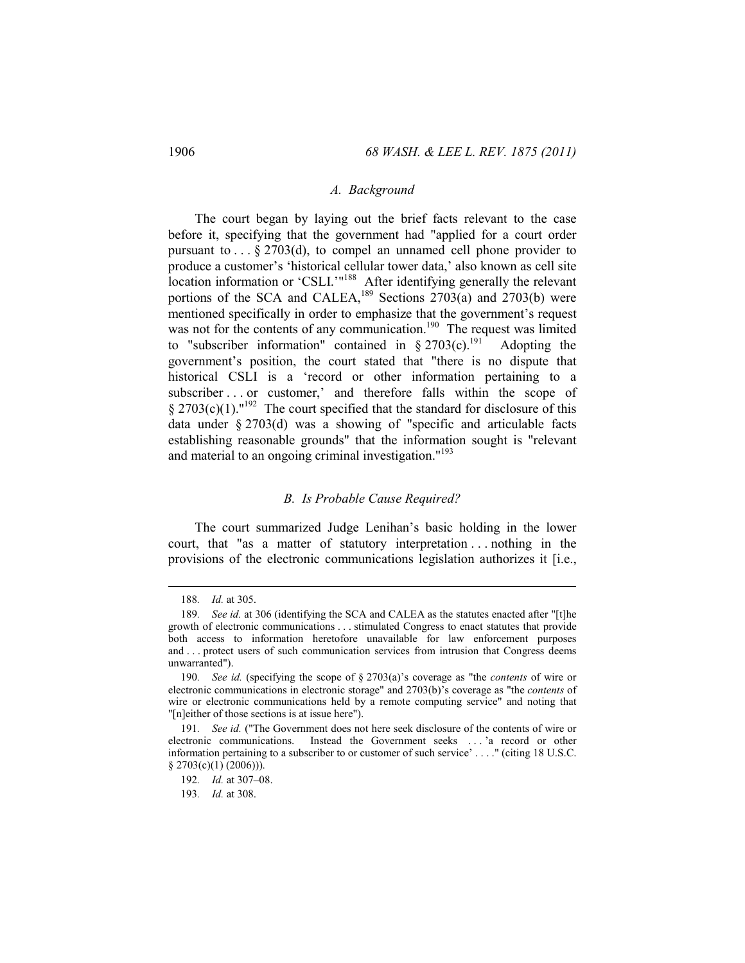#### *A. Background*

The court began by laying out the brief facts relevant to the case before it, specifying that the government had "applied for a court order pursuant to  $\ldots$  § 2703(d), to compel an unnamed cell phone provider to produce a customer's 'historical cellular tower data,' also known as cell site location information or 'CSLI.'"<sup>188</sup> After identifying generally the relevant portions of the SCA and CALEA,<sup>189</sup> Sections 2703(a) and 2703(b) were mentioned specifically in order to emphasize that the government's request was not for the contents of any communication.<sup>190</sup> The request was limited to "subscriber information" contained in  $\S 2703(c)$ .<sup>191</sup> Adopting the government's position, the court stated that "there is no dispute that historical CSLI is a 'record or other information pertaining to a subscriber . . . or customer,' and therefore falls within the scope of § 2703(c)(1)."<sup>192</sup> The court specified that the standard for disclosure of this data under § 2703(d) was a showing of "specific and articulable facts establishing reasonable grounds" that the information sought is "relevant and material to an ongoing criminal investigation."193

#### *B. Is Probable Cause Required?*

The court summarized Judge Lenihan's basic holding in the lower court, that "as a matter of statutory interpretation . . . nothing in the provisions of the electronic communications legislation authorizes it [i.e.,

<sup>188</sup>*. Id.* at 305.

<sup>189</sup>*. See id.* at 306 (identifying the SCA and CALEA as the statutes enacted after "[t]he growth of electronic communications . . . stimulated Congress to enact statutes that provide both access to information heretofore unavailable for law enforcement purposes and . . . protect users of such communication services from intrusion that Congress deems unwarranted").

<sup>190</sup>*. See id.* (specifying the scope of § 2703(a)'s coverage as "the *contents* of wire or electronic communications in electronic storage" and 2703(b)'s coverage as "the *contents* of wire or electronic communications held by a remote computing service" and noting that "[n]either of those sections is at issue here").

<sup>191</sup>*. See id.* ("The Government does not here seek disclosure of the contents of wire or electronic communications. Instead the Government seeks . . . 'a record or other information pertaining to a subscriber to or customer of such service' . . . ." (citing 18 U.S.C.  $§$  2703(c)(1) (2006))).

<sup>192</sup>*. Id.* at 307–08.

<sup>193</sup>*. Id.* at 308.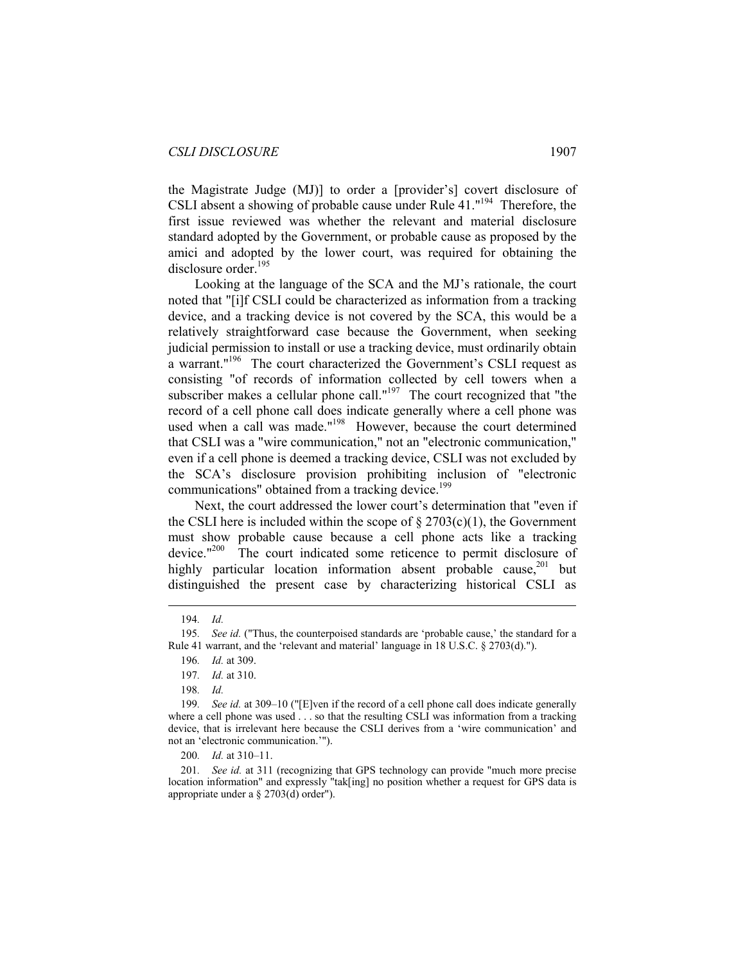the Magistrate Judge (MJ)] to order a [provider's] covert disclosure of CSLI absent a showing of probable cause under Rule 41."194 Therefore, the first issue reviewed was whether the relevant and material disclosure standard adopted by the Government, or probable cause as proposed by the amici and adopted by the lower court, was required for obtaining the disclosure order.<sup>195</sup>

Looking at the language of the SCA and the MJ's rationale, the court noted that "[i]f CSLI could be characterized as information from a tracking device, and a tracking device is not covered by the SCA, this would be a relatively straightforward case because the Government, when seeking judicial permission to install or use a tracking device, must ordinarily obtain a warrant."<sup>196</sup> The court characterized the Government's CSLI request as consisting "of records of information collected by cell towers when a subscriber makes a cellular phone call."<sup>197</sup> The court recognized that "the record of a cell phone call does indicate generally where a cell phone was used when a call was made."<sup>198</sup> However, because the court determined that CSLI was a "wire communication," not an "electronic communication," even if a cell phone is deemed a tracking device, CSLI was not excluded by the SCA's disclosure provision prohibiting inclusion of "electronic communications" obtained from a tracking device.<sup>199</sup>

Next, the court addressed the lower court's determination that "even if the CSLI here is included within the scope of  $\S 2703(c)(1)$ , the Government must show probable cause because a cell phone acts like a tracking device."<sup>200</sup> The court indicated some reticence to permit disclosure of highly particular location information absent probable cause, $201$  but distinguished the present case by characterizing historical CSLI as

<sup>194</sup>*. Id.*

<sup>195</sup>*. See id.* ("Thus, the counterpoised standards are 'probable cause,' the standard for a Rule 41 warrant, and the 'relevant and material' language in 18 U.S.C. § 2703(d).").

<sup>196</sup>*. Id.* at 309.

<sup>197</sup>*. Id.* at 310.

<sup>198</sup>*. Id.*

<sup>199</sup>*. See id.* at 309–10 ("[E]ven if the record of a cell phone call does indicate generally where a cell phone was used . . . so that the resulting CSLI was information from a tracking device, that is irrelevant here because the CSLI derives from a 'wire communication' and not an 'electronic communication.'").

<sup>200</sup>*. Id.* at 310–11.

<sup>201</sup>*. See id.* at 311 (recognizing that GPS technology can provide "much more precise location information" and expressly "tak[ing] no position whether a request for GPS data is appropriate under a § 2703(d) order").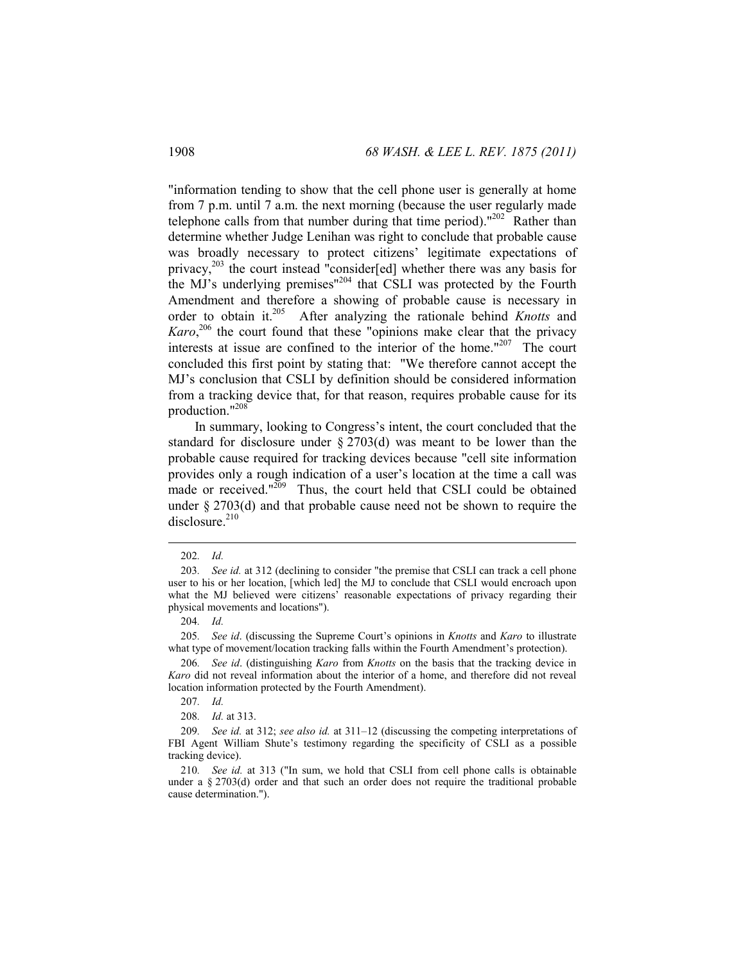"information tending to show that the cell phone user is generally at home from 7 p.m. until 7 a.m. the next morning (because the user regularly made telephone calls from that number during that time period)." $^{202}$  Rather than determine whether Judge Lenihan was right to conclude that probable cause was broadly necessary to protect citizens' legitimate expectations of privacy,203 the court instead "consider[ed] whether there was any basis for the MJ's underlying premises"204 that CSLI was protected by the Fourth Amendment and therefore a showing of probable cause is necessary in order to obtain it.205 After analyzing the rationale behind *Knotts* and Karo,<sup>206</sup> the court found that these "opinions make clear that the privacy interests at issue are confined to the interior of the home."207 The court concluded this first point by stating that: "We therefore cannot accept the MJ's conclusion that CSLI by definition should be considered information from a tracking device that, for that reason, requires probable cause for its production."208

In summary, looking to Congress's intent, the court concluded that the standard for disclosure under § 2703(d) was meant to be lower than the probable cause required for tracking devices because "cell site information provides only a rough indication of a user's location at the time a call was made or received."<sup>209</sup> Thus, the court held that CSLI could be obtained under § 2703(d) and that probable cause need not be shown to require the disclosure.<sup>210</sup>

 $\overline{a}$ 

205*. See id*. (discussing the Supreme Court's opinions in *Knotts* and *Karo* to illustrate what type of movement/location tracking falls within the Fourth Amendment's protection).

206*. See id*. (distinguishing *Karo* from *Knotts* on the basis that the tracking device in *Karo* did not reveal information about the interior of a home, and therefore did not reveal location information protected by the Fourth Amendment).

207*. Id.*

208*. Id.* at 313.

<sup>202</sup>*. Id.* 

<sup>203</sup>*. See id.* at 312 (declining to consider "the premise that CSLI can track a cell phone user to his or her location, [which led] the MJ to conclude that CSLI would encroach upon what the MJ believed were citizens' reasonable expectations of privacy regarding their physical movements and locations").

<sup>204</sup>*. Id.*

<sup>209</sup>*. See id.* at 312; *see also id.* at 311–12 (discussing the competing interpretations of FBI Agent William Shute's testimony regarding the specificity of CSLI as a possible tracking device).

<sup>210</sup>*. See id.* at 313 ("In sum, we hold that CSLI from cell phone calls is obtainable under a  $\S 2703(d)$  order and that such an order does not require the traditional probable cause determination.").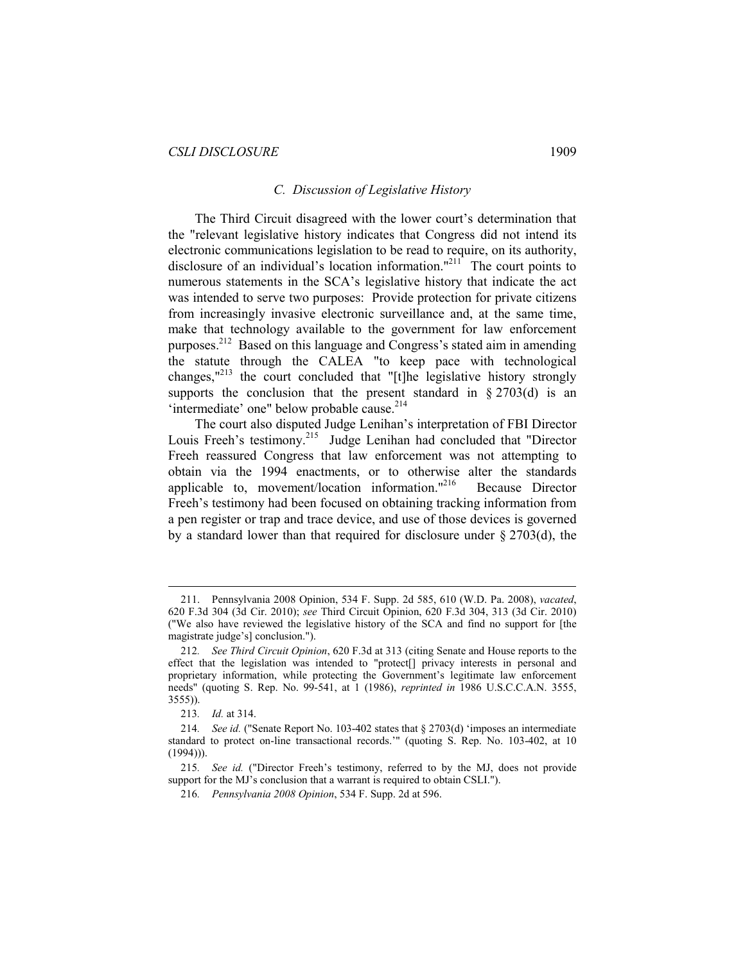#### *C. Discussion of Legislative History*

The Third Circuit disagreed with the lower court's determination that the "relevant legislative history indicates that Congress did not intend its electronic communications legislation to be read to require, on its authority, disclosure of an individual's location information."<sup>211</sup> The court points to numerous statements in the SCA's legislative history that indicate the act was intended to serve two purposes: Provide protection for private citizens from increasingly invasive electronic surveillance and, at the same time, make that technology available to the government for law enforcement purposes.212 Based on this language and Congress's stated aim in amending the statute through the CALEA "to keep pace with technological changes,"213 the court concluded that "[t]he legislative history strongly supports the conclusion that the present standard in  $\S 2703(d)$  is an 'intermediate' one" below probable cause.<sup>214</sup>

The court also disputed Judge Lenihan's interpretation of FBI Director Louis Freeh's testimony.<sup>215</sup> Judge Lenihan had concluded that "Director Freeh reassured Congress that law enforcement was not attempting to obtain via the 1994 enactments, or to otherwise alter the standards applicable to, movement/location information."<sup>216</sup> Because Director Freeh's testimony had been focused on obtaining tracking information from a pen register or trap and trace device, and use of those devices is governed by a standard lower than that required for disclosure under  $\S 2703(d)$ , the

 <sup>211.</sup> Pennsylvania 2008 Opinion, 534 F. Supp. 2d 585, 610 (W.D. Pa. 2008), *vacated*, 620 F.3d 304 (3d Cir. 2010); *see* Third Circuit Opinion, 620 F.3d 304, 313 (3d Cir. 2010) ("We also have reviewed the legislative history of the SCA and find no support for [the magistrate judge's] conclusion.").

<sup>212</sup>*. See Third Circuit Opinion*, 620 F.3d at 313 (citing Senate and House reports to the effect that the legislation was intended to "protect[] privacy interests in personal and proprietary information, while protecting the Government's legitimate law enforcement needs" (quoting S. Rep. No. 99-541, at 1 (1986), *reprinted in* 1986 U.S.C.C.A.N. 3555, 3555)).

<sup>213</sup>*. Id.* at 314.

<sup>214</sup>*. See id.* ("Senate Report No. 103-402 states that § 2703(d) 'imposes an intermediate standard to protect on-line transactional records.'" (quoting S. Rep. No. 103-402, at 10  $(1994))$ .

<sup>215</sup>*. See id.* ("Director Freeh's testimony, referred to by the MJ, does not provide support for the MJ's conclusion that a warrant is required to obtain CSLI.").

<sup>216</sup>*. Pennsylvania 2008 Opinion*, 534 F. Supp. 2d at 596.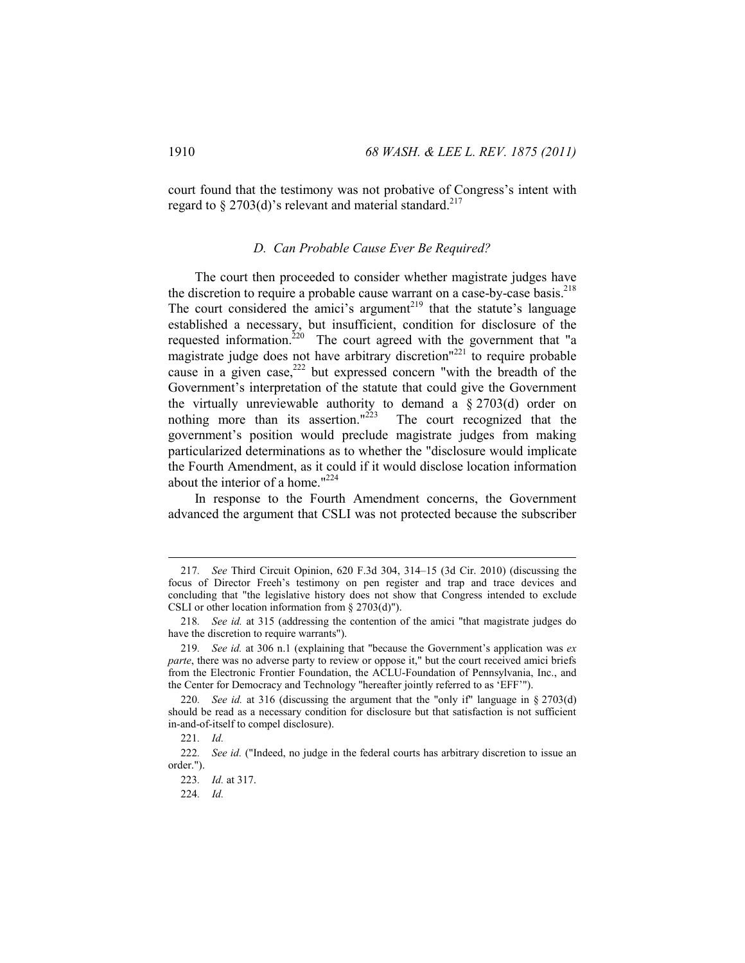court found that the testimony was not probative of Congress's intent with regard to § 2703(d)'s relevant and material standard.<sup>217</sup>

#### *D. Can Probable Cause Ever Be Required?*

The court then proceeded to consider whether magistrate judges have the discretion to require a probable cause warrant on a case-by-case basis.<sup>218</sup> The court considered the amici's argument $2^{19}$  that the statute's language established a necessary, but insufficient, condition for disclosure of the requested information.<sup>220</sup> The court agreed with the government that "a magistrate judge does not have arbitrary discretion"<sup>221</sup> to require probable cause in a given case,<sup>222</sup> but expressed concern "with the breadth of the Government's interpretation of the statute that could give the Government the virtually unreviewable authority to demand a  $\S 2703(d)$  order on nothing more than its assertion." $223$  The court recognized that the government's position would preclude magistrate judges from making particularized determinations as to whether the "disclosure would implicate the Fourth Amendment, as it could if it would disclose location information about the interior of a home."224

In response to the Fourth Amendment concerns, the Government advanced the argument that CSLI was not protected because the subscriber

<sup>217</sup>*. See* Third Circuit Opinion, 620 F.3d 304, 314–15 (3d Cir. 2010) (discussing the focus of Director Freeh's testimony on pen register and trap and trace devices and concluding that "the legislative history does not show that Congress intended to exclude CSLI or other location information from § 2703(d)").

<sup>218</sup>*. See id.* at 315 (addressing the contention of the amici "that magistrate judges do have the discretion to require warrants").

<sup>219</sup>*. See id.* at 306 n.1 (explaining that "because the Government's application was *ex parte*, there was no adverse party to review or oppose it," but the court received amici briefs from the Electronic Frontier Foundation, the ACLU-Foundation of Pennsylvania, Inc., and the Center for Democracy and Technology "hereafter jointly referred to as 'EFF'").

<sup>220</sup>*. See id.* at 316 (discussing the argument that the "only if" language in § 2703(d) should be read as a necessary condition for disclosure but that satisfaction is not sufficient in-and-of-itself to compel disclosure).

<sup>221</sup>*. Id.* 

<sup>222</sup>*. See id.* ("Indeed, no judge in the federal courts has arbitrary discretion to issue an order.").

<sup>223</sup>*. Id.* at 317.

<sup>224</sup>*. Id.*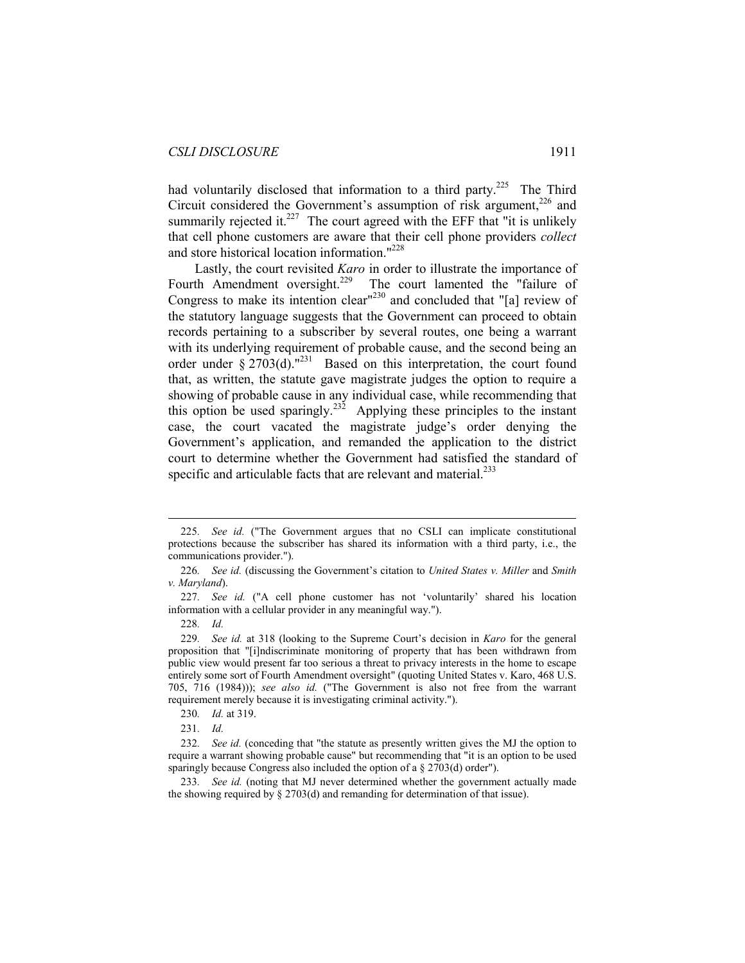had voluntarily disclosed that information to a third party.<sup>225</sup> The Third Circuit considered the Government's assumption of risk argument,<sup>226</sup> and summarily rejected it. $227$  The court agreed with the EFF that "it is unlikely that cell phone customers are aware that their cell phone providers *collect* and store historical location information."228

Lastly, the court revisited *Karo* in order to illustrate the importance of Fourth Amendment oversight.<sup>229</sup> The court lamented the "failure of Congress to make its intention clear<sup>1230</sup> and concluded that "[a] review of the statutory language suggests that the Government can proceed to obtain records pertaining to a subscriber by several routes, one being a warrant with its underlying requirement of probable cause, and the second being an order under  $\frac{2703(d)}{m^{231}}$  Based on this interpretation, the court found that, as written, the statute gave magistrate judges the option to require a showing of probable cause in any individual case, while recommending that this option be used sparingly.<sup>232</sup> Applying these principles to the instant case, the court vacated the magistrate judge's order denying the Government's application, and remanded the application to the district court to determine whether the Government had satisfied the standard of specific and articulable facts that are relevant and material.<sup>233</sup>

<sup>225</sup>*. See id.* ("The Government argues that no CSLI can implicate constitutional protections because the subscriber has shared its information with a third party, i.e., the communications provider.").

<sup>226</sup>*. See id.* (discussing the Government's citation to *United States v. Miller* and *Smith v. Maryland*).

<sup>227</sup>*. See id.* ("A cell phone customer has not 'voluntarily' shared his location information with a cellular provider in any meaningful way.").

<sup>228</sup>*. Id.*

<sup>229</sup>*. See id.* at 318 (looking to the Supreme Court's decision in *Karo* for the general proposition that "[i]ndiscriminate monitoring of property that has been withdrawn from public view would present far too serious a threat to privacy interests in the home to escape entirely some sort of Fourth Amendment oversight" (quoting United States v. Karo, 468 U.S. 705, 716 (1984))); *see also id.* ("The Government is also not free from the warrant requirement merely because it is investigating criminal activity.").

<sup>230</sup>*. Id.* at 319.

<sup>231</sup>*. Id.* 

<sup>232</sup>*. See id.* (conceding that "the statute as presently written gives the MJ the option to require a warrant showing probable cause" but recommending that "it is an option to be used sparingly because Congress also included the option of a § 2703(d) order").

<sup>233</sup>*. See id.* (noting that MJ never determined whether the government actually made the showing required by § 2703(d) and remanding for determination of that issue).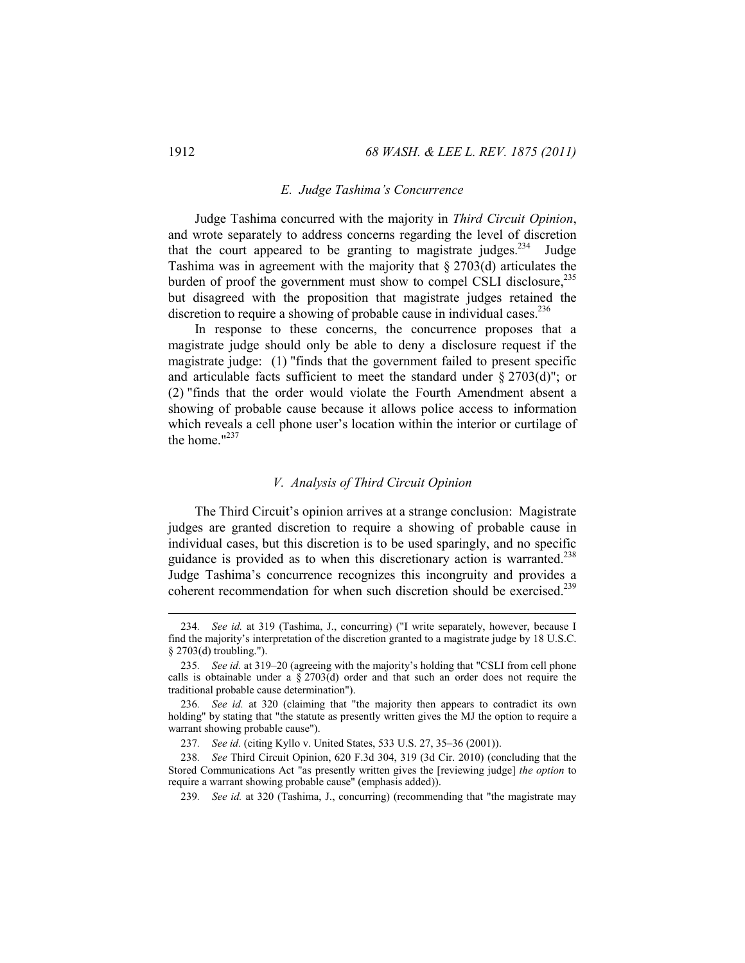#### *E. Judge Tashima's Concurrence*

Judge Tashima concurred with the majority in *Third Circuit Opinion*, and wrote separately to address concerns regarding the level of discretion that the court appeared to be granting to magistrate judges.<sup>234</sup> Judge Tashima was in agreement with the majority that § 2703(d) articulates the burden of proof the government must show to compel CSLI disclosure,<sup>235</sup> but disagreed with the proposition that magistrate judges retained the discretion to require a showing of probable cause in individual cases.<sup>236</sup>

In response to these concerns, the concurrence proposes that a magistrate judge should only be able to deny a disclosure request if the magistrate judge: (1) "finds that the government failed to present specific and articulable facts sufficient to meet the standard under  $\S 2703(d)$ "; or (2) "finds that the order would violate the Fourth Amendment absent a showing of probable cause because it allows police access to information which reveals a cell phone user's location within the interior or curtilage of the home. $1237$ 

#### *V. Analysis of Third Circuit Opinion*

The Third Circuit's opinion arrives at a strange conclusion: Magistrate judges are granted discretion to require a showing of probable cause in individual cases, but this discretion is to be used sparingly, and no specific guidance is provided as to when this discretionary action is warranted.<sup>238</sup> Judge Tashima's concurrence recognizes this incongruity and provides a coherent recommendation for when such discretion should be exercised.<sup>239</sup>

<sup>234</sup>*. See id.* at 319 (Tashima, J., concurring) ("I write separately, however, because I find the majority's interpretation of the discretion granted to a magistrate judge by 18 U.S.C. § 2703(d) troubling.").

<sup>235</sup>*. See id.* at 319–20 (agreeing with the majority's holding that "CSLI from cell phone calls is obtainable under a  $\S 2703(d)$  order and that such an order does not require the traditional probable cause determination").

<sup>236</sup>*. See id.* at 320 (claiming that "the majority then appears to contradict its own holding" by stating that "the statute as presently written gives the MJ the option to require a warrant showing probable cause").

<sup>237</sup>*. See id.* (citing Kyllo v. United States, 533 U.S. 27, 35–36 (2001)).

<sup>238</sup>*. See* Third Circuit Opinion, 620 F.3d 304, 319 (3d Cir. 2010) (concluding that the Stored Communications Act "as presently written gives the [reviewing judge] *the option* to require a warrant showing probable cause" (emphasis added)).

<sup>239</sup>*. See id.* at 320 (Tashima, J., concurring) (recommending that "the magistrate may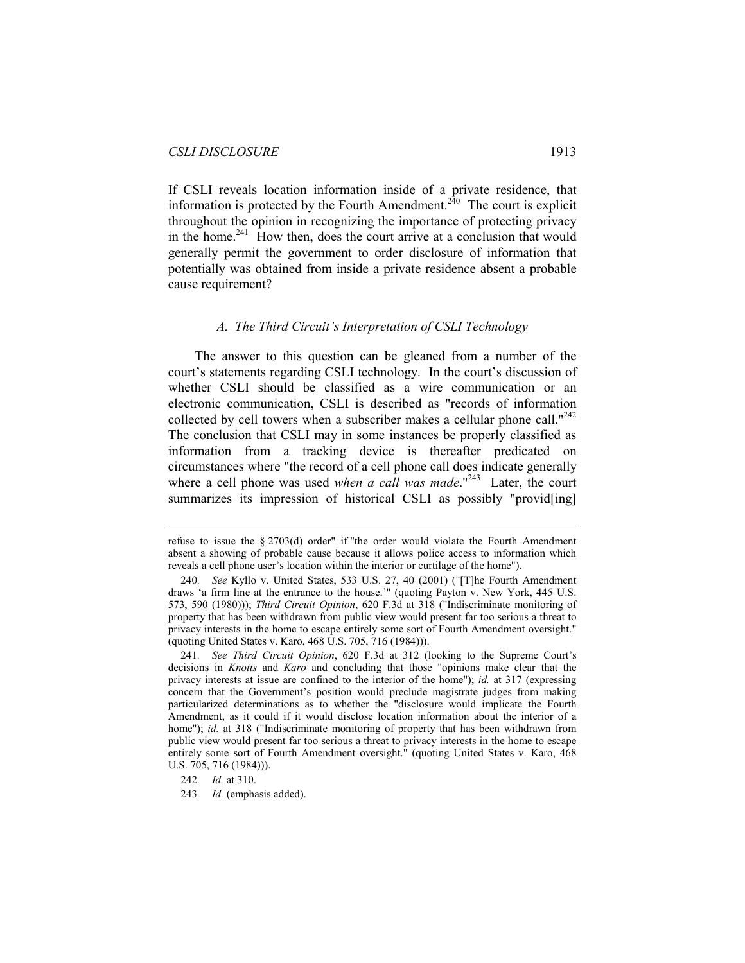If CSLI reveals location information inside of a private residence, that information is protected by the Fourth Amendment.<sup>240</sup> The court is explicit throughout the opinion in recognizing the importance of protecting privacy in the home.<sup>241</sup> How then, does the court arrive at a conclusion that would generally permit the government to order disclosure of information that potentially was obtained from inside a private residence absent a probable cause requirement?

#### *A. The Third Circuit's Interpretation of CSLI Technology*

The answer to this question can be gleaned from a number of the court's statements regarding CSLI technology. In the court's discussion of whether CSLI should be classified as a wire communication or an electronic communication, CSLI is described as "records of information collected by cell towers when a subscriber makes a cellular phone call."<sup>242</sup> The conclusion that CSLI may in some instances be properly classified as information from a tracking device is thereafter predicated on circumstances where "the record of a cell phone call does indicate generally where a cell phone was used *when a call was made*."<sup>243</sup> Later, the court summarizes its impression of historical CSLI as possibly "providently"

242*. Id.* at 310.

 $\overline{a}$ 

243*. Id.* (emphasis added).

refuse to issue the § 2703(d) order" if "the order would violate the Fourth Amendment absent a showing of probable cause because it allows police access to information which reveals a cell phone user's location within the interior or curtilage of the home").

<sup>240</sup>*. See* Kyllo v. United States, 533 U.S. 27, 40 (2001) ("[T]he Fourth Amendment draws 'a firm line at the entrance to the house.'" (quoting Payton v. New York, 445 U.S. 573, 590 (1980))); *Third Circuit Opinion*, 620 F.3d at 318 ("Indiscriminate monitoring of property that has been withdrawn from public view would present far too serious a threat to privacy interests in the home to escape entirely some sort of Fourth Amendment oversight." (quoting United States v. Karo, 468 U.S. 705, 716 (1984))).

<sup>241</sup>*. See Third Circuit Opinion*, 620 F.3d at 312 (looking to the Supreme Court's decisions in *Knotts* and *Karo* and concluding that those "opinions make clear that the privacy interests at issue are confined to the interior of the home"); *id.* at 317 (expressing concern that the Government's position would preclude magistrate judges from making particularized determinations as to whether the "disclosure would implicate the Fourth Amendment, as it could if it would disclose location information about the interior of a home"); *id.* at 318 ("Indiscriminate monitoring of property that has been withdrawn from public view would present far too serious a threat to privacy interests in the home to escape entirely some sort of Fourth Amendment oversight." (quoting United States v. Karo, 468 U.S. 705, 716 (1984))).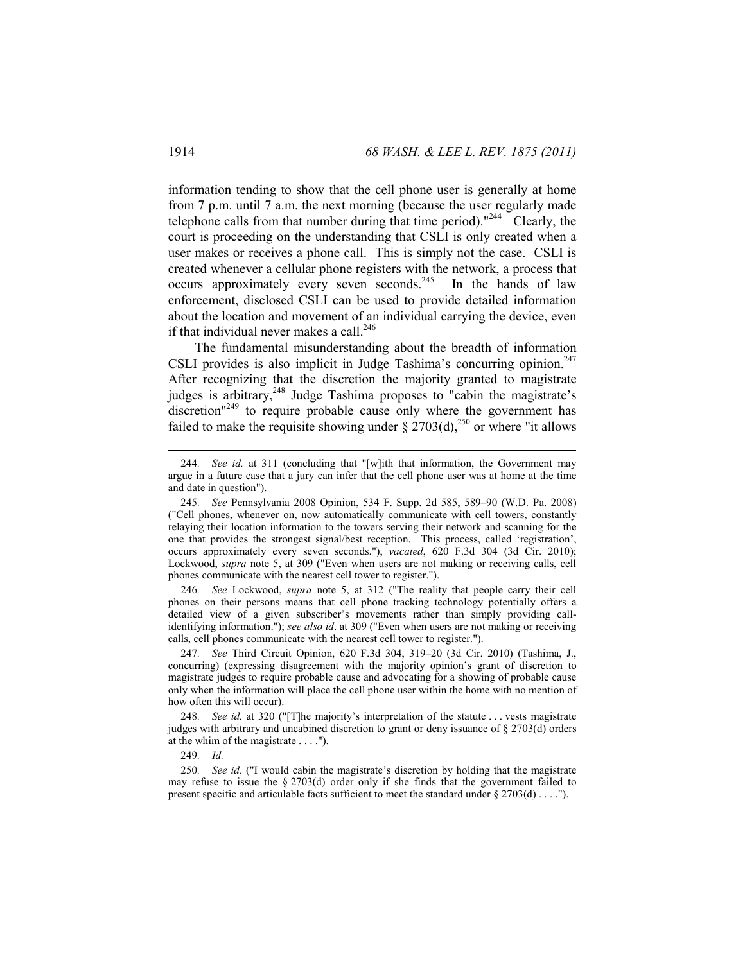information tending to show that the cell phone user is generally at home from 7 p.m. until 7 a.m. the next morning (because the user regularly made telephone calls from that number during that time period). $1244$  Clearly, the court is proceeding on the understanding that CSLI is only created when a user makes or receives a phone call. This is simply not the case. CSLI is created whenever a cellular phone registers with the network, a process that occurs approximately every seven seconds.<sup>245</sup> In the hands of law enforcement, disclosed CSLI can be used to provide detailed information about the location and movement of an individual carrying the device, even if that individual never makes a call.<sup>246</sup>

The fundamental misunderstanding about the breadth of information CSLI provides is also implicit in Judge Tashima's concurring opinion.<sup>247</sup> After recognizing that the discretion the majority granted to magistrate judges is arbitrary,<sup>248</sup> Judge Tashima proposes to "cabin the magistrate's  $\frac{d}{dx}$  discretion<sup>"249</sup> to require probable cause only where the government has failed to make the requisite showing under  $\S 2703(d)$ ,<sup>250</sup> or where "it allows

246*. See* Lockwood, *supra* note 5, at 312 ("The reality that people carry their cell phones on their persons means that cell phone tracking technology potentially offers a detailed view of a given subscriber's movements rather than simply providing callidentifying information."); *see also id*. at 309 ("Even when users are not making or receiving calls, cell phones communicate with the nearest cell tower to register.").

247*. See* Third Circuit Opinion, 620 F.3d 304, 319–20 (3d Cir. 2010) (Tashima, J., concurring) (expressing disagreement with the majority opinion's grant of discretion to magistrate judges to require probable cause and advocating for a showing of probable cause only when the information will place the cell phone user within the home with no mention of how often this will occur).

248*. See id.* at 320 ("[T]he majority's interpretation of the statute . . . vests magistrate judges with arbitrary and uncabined discretion to grant or deny issuance of § 2703(d) orders at the whim of the magistrate . . . .").

249*. Id.*

250*. See id.* ("I would cabin the magistrate's discretion by holding that the magistrate may refuse to issue the  $\S 2703(d)$  order only if she finds that the government failed to present specific and articulable facts sufficient to meet the standard under § 2703(d) . . . .").

<sup>244</sup>*. See id.* at 311 (concluding that "[w]ith that information, the Government may argue in a future case that a jury can infer that the cell phone user was at home at the time and date in question").

<sup>245</sup>*. See* Pennsylvania 2008 Opinion, 534 F. Supp. 2d 585, 589–90 (W.D. Pa. 2008) ("Cell phones, whenever on, now automatically communicate with cell towers, constantly relaying their location information to the towers serving their network and scanning for the one that provides the strongest signal/best reception. This process, called 'registration', occurs approximately every seven seconds."), *vacated*, 620 F.3d 304 (3d Cir. 2010); Lockwood, *supra* note 5, at 309 ("Even when users are not making or receiving calls, cell phones communicate with the nearest cell tower to register.").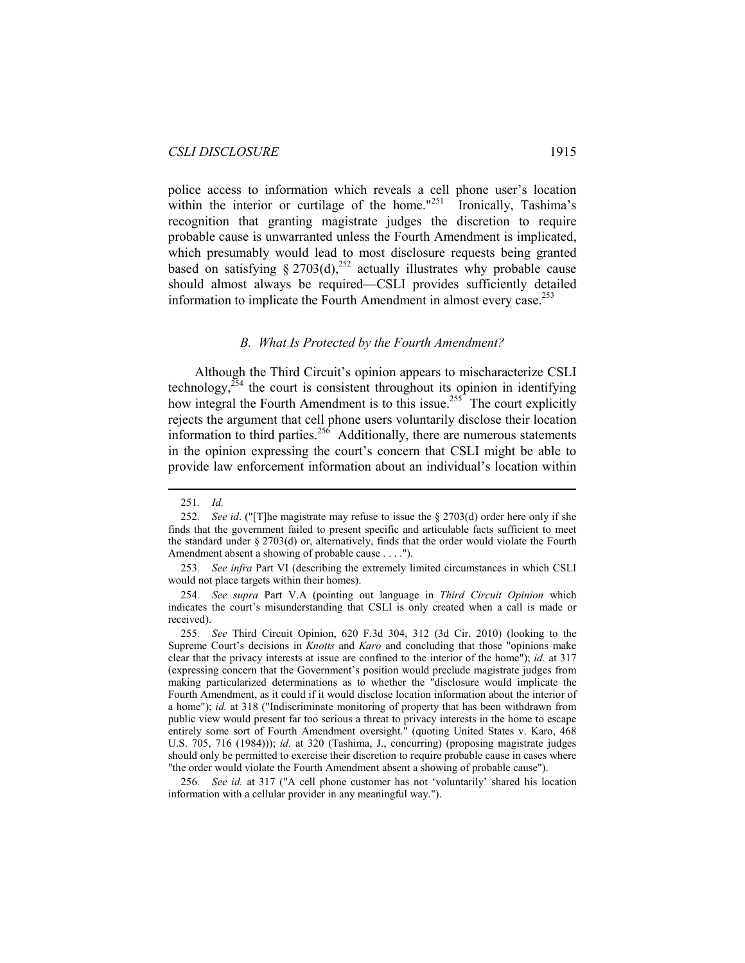police access to information which reveals a cell phone user's location within the interior or curtilage of the home."<sup>251</sup> Ironically, Tashima's recognition that granting magistrate judges the discretion to require probable cause is unwarranted unless the Fourth Amendment is implicated, which presumably would lead to most disclosure requests being granted based on satisfying  $\S 2703(d)$ ,<sup>252</sup> actually illustrates why probable cause should almost always be required—CSLI provides sufficiently detailed information to implicate the Fourth Amendment in almost every case.<sup>253</sup>

#### *B. What Is Protected by the Fourth Amendment?*

Although the Third Circuit's opinion appears to mischaracterize CSLI technology, $254$  the court is consistent throughout its opinion in identifying how integral the Fourth Amendment is to this issue.<sup>255</sup> The court explicitly rejects the argument that cell phone users voluntarily disclose their location information to third parties.<sup>256</sup> Additionally, there are numerous statements in the opinion expressing the court's concern that CSLI might be able to provide law enforcement information about an individual's location within

 $\overline{a}$ 

256*. See id.* at 317 ("A cell phone customer has not 'voluntarily' shared his location information with a cellular provider in any meaningful way.").

<sup>251</sup>*. Id.* 

<sup>252</sup>*. See id*. ("[T]he magistrate may refuse to issue the § 2703(d) order here only if she finds that the government failed to present specific and articulable facts sufficient to meet the standard under  $\S 2703(d)$  or, alternatively, finds that the order would violate the Fourth Amendment absent a showing of probable cause . . . .").

<sup>253</sup>*. See infra* Part VI (describing the extremely limited circumstances in which CSLI would not place targets within their homes).

<sup>254</sup>*. See supra* Part V.A (pointing out language in *Third Circuit Opinion* which indicates the court's misunderstanding that CSLI is only created when a call is made or received).

<sup>255</sup>*. See* Third Circuit Opinion, 620 F.3d 304, 312 (3d Cir. 2010) (looking to the Supreme Court's decisions in *Knotts* and *Karo* and concluding that those "opinions make clear that the privacy interests at issue are confined to the interior of the home"); *id.* at 317 (expressing concern that the Government's position would preclude magistrate judges from making particularized determinations as to whether the "disclosure would implicate the Fourth Amendment, as it could if it would disclose location information about the interior of a home"); *id.* at 318 ("Indiscriminate monitoring of property that has been withdrawn from public view would present far too serious a threat to privacy interests in the home to escape entirely some sort of Fourth Amendment oversight." (quoting United States v. Karo, 468 U.S. 705, 716 (1984))); *id.* at 320 (Tashima, J., concurring) (proposing magistrate judges should only be permitted to exercise their discretion to require probable cause in cases where "the order would violate the Fourth Amendment absent a showing of probable cause").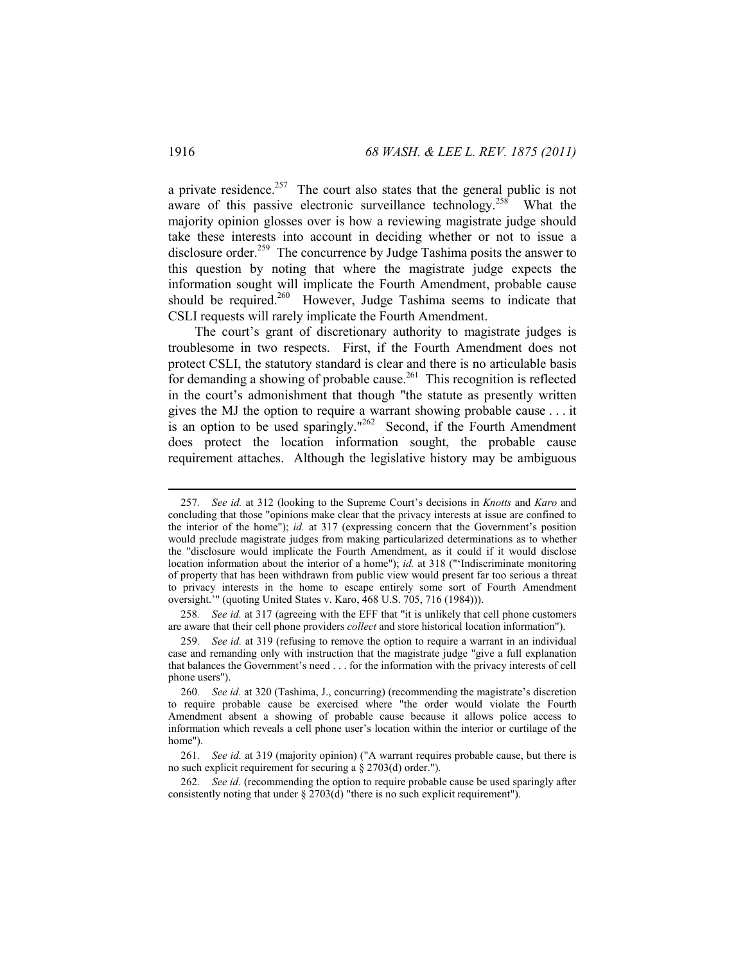a private residence.<sup>257</sup> The court also states that the general public is not aware of this passive electronic surveillance technology.<sup>258</sup> What the majority opinion glosses over is how a reviewing magistrate judge should take these interests into account in deciding whether or not to issue a disclosure order.<sup>259</sup> The concurrence by Judge Tashima posits the answer to this question by noting that where the magistrate judge expects the information sought will implicate the Fourth Amendment, probable cause should be required.<sup>260</sup> However, Judge Tashima seems to indicate that CSLI requests will rarely implicate the Fourth Amendment.

The court's grant of discretionary authority to magistrate judges is troublesome in two respects. First, if the Fourth Amendment does not protect CSLI, the statutory standard is clear and there is no articulable basis for demanding a showing of probable cause.<sup>261</sup> This recognition is reflected in the court's admonishment that though "the statute as presently written gives the MJ the option to require a warrant showing probable cause . . . it is an option to be used sparingly."<sup>262</sup> Second, if the Fourth Amendment does protect the location information sought, the probable cause requirement attaches. Although the legislative history may be ambiguous

258*. See id.* at 317 (agreeing with the EFF that "it is unlikely that cell phone customers are aware that their cell phone providers *collect* and store historical location information").

262*. See id.* (recommending the option to require probable cause be used sparingly after consistently noting that under § 2703(d) "there is no such explicit requirement").

<sup>257</sup>*. See id.* at 312 (looking to the Supreme Court's decisions in *Knotts* and *Karo* and concluding that those "opinions make clear that the privacy interests at issue are confined to the interior of the home"); *id.* at 317 (expressing concern that the Government's position would preclude magistrate judges from making particularized determinations as to whether the "disclosure would implicate the Fourth Amendment, as it could if it would disclose location information about the interior of a home"); *id.* at 318 ("'Indiscriminate monitoring of property that has been withdrawn from public view would present far too serious a threat to privacy interests in the home to escape entirely some sort of Fourth Amendment oversight.'" (quoting United States v. Karo, 468 U.S. 705, 716 (1984))).

<sup>259</sup>*. See id.* at 319 (refusing to remove the option to require a warrant in an individual case and remanding only with instruction that the magistrate judge "give a full explanation that balances the Government's need . . . for the information with the privacy interests of cell phone users").

<sup>260</sup>*. See id.* at 320 (Tashima, J., concurring) (recommending the magistrate's discretion to require probable cause be exercised where "the order would violate the Fourth Amendment absent a showing of probable cause because it allows police access to information which reveals a cell phone user's location within the interior or curtilage of the home").

<sup>261</sup>*. See id.* at 319 (majority opinion) ("A warrant requires probable cause, but there is no such explicit requirement for securing a § 2703(d) order.").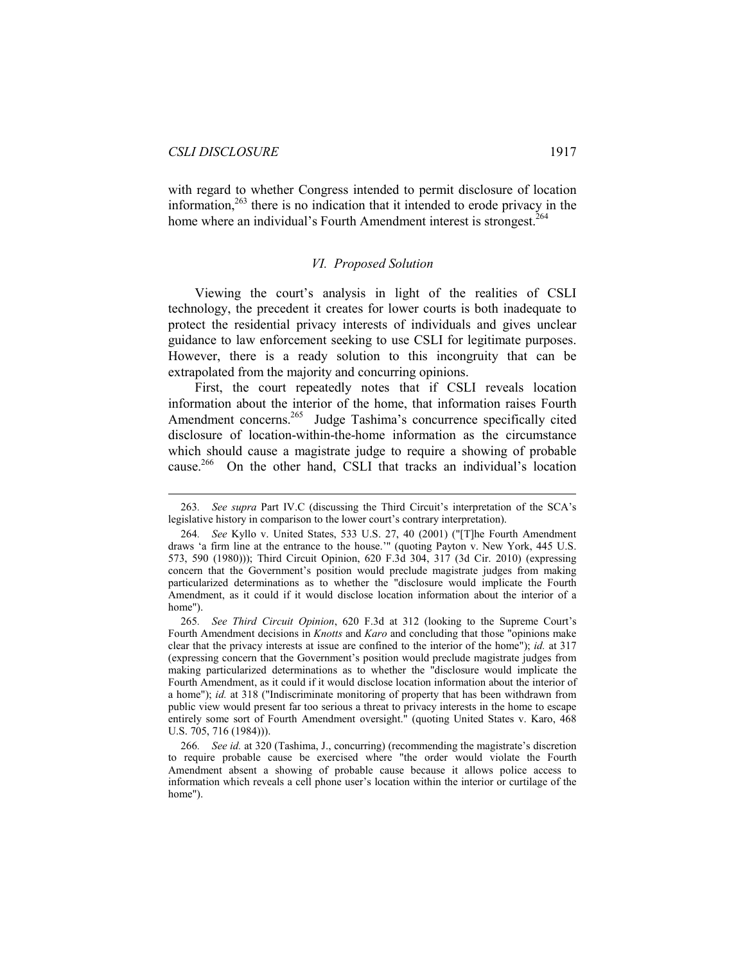$\overline{a}$ 

with regard to whether Congress intended to permit disclosure of location information, $263$  there is no indication that it intended to erode privacy in the home where an individual's Fourth Amendment interest is strongest.<sup>264</sup>

#### *VI. Proposed Solution*

Viewing the court's analysis in light of the realities of CSLI technology, the precedent it creates for lower courts is both inadequate to protect the residential privacy interests of individuals and gives unclear guidance to law enforcement seeking to use CSLI for legitimate purposes. However, there is a ready solution to this incongruity that can be extrapolated from the majority and concurring opinions.

First, the court repeatedly notes that if CSLI reveals location information about the interior of the home, that information raises Fourth Amendment concerns.<sup>265</sup> Judge Tashima's concurrence specifically cited disclosure of location-within-the-home information as the circumstance which should cause a magistrate judge to require a showing of probable cause.266 On the other hand, CSLI that tracks an individual's location

<sup>263</sup>*. See supra* Part IV.C (discussing the Third Circuit's interpretation of the SCA's legislative history in comparison to the lower court's contrary interpretation).

<sup>264</sup>*. See* Kyllo v. United States, 533 U.S. 27, 40 (2001) ("[T]he Fourth Amendment draws 'a firm line at the entrance to the house.'" (quoting Payton v. New York, 445 U.S. 573, 590 (1980))); Third Circuit Opinion, 620 F.3d 304, 317 (3d Cir. 2010) (expressing concern that the Government's position would preclude magistrate judges from making particularized determinations as to whether the "disclosure would implicate the Fourth Amendment, as it could if it would disclose location information about the interior of a home").

<sup>265</sup>*. See Third Circuit Opinion*, 620 F.3d at 312 (looking to the Supreme Court's Fourth Amendment decisions in *Knotts* and *Karo* and concluding that those "opinions make clear that the privacy interests at issue are confined to the interior of the home"); *id.* at 317 (expressing concern that the Government's position would preclude magistrate judges from making particularized determinations as to whether the "disclosure would implicate the Fourth Amendment, as it could if it would disclose location information about the interior of a home"); *id.* at 318 ("Indiscriminate monitoring of property that has been withdrawn from public view would present far too serious a threat to privacy interests in the home to escape entirely some sort of Fourth Amendment oversight." (quoting United States v. Karo, 468 U.S. 705, 716 (1984))).

<sup>266</sup>*. See id.* at 320 (Tashima, J., concurring) (recommending the magistrate's discretion to require probable cause be exercised where "the order would violate the Fourth Amendment absent a showing of probable cause because it allows police access to information which reveals a cell phone user's location within the interior or curtilage of the home").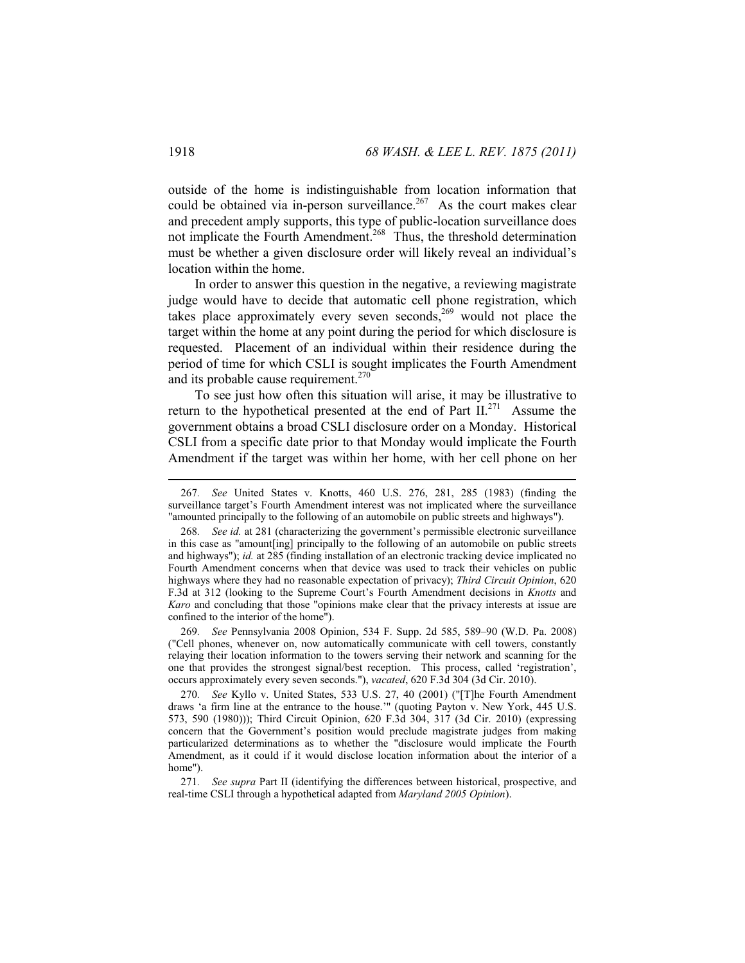outside of the home is indistinguishable from location information that could be obtained via in-person surveillance.<sup>267</sup> As the court makes clear and precedent amply supports, this type of public-location surveillance does not implicate the Fourth Amendment.<sup>268</sup> Thus, the threshold determination must be whether a given disclosure order will likely reveal an individual's location within the home.

In order to answer this question in the negative, a reviewing magistrate judge would have to decide that automatic cell phone registration, which takes place approximately every seven seconds,<sup>269</sup> would not place the target within the home at any point during the period for which disclosure is requested. Placement of an individual within their residence during the period of time for which CSLI is sought implicates the Fourth Amendment and its probable cause requirement.<sup>270</sup>

To see just how often this situation will arise, it may be illustrative to return to the hypothetical presented at the end of Part  $II^{271}$ . Assume the government obtains a broad CSLI disclosure order on a Monday. Historical CSLI from a specific date prior to that Monday would implicate the Fourth Amendment if the target was within her home, with her cell phone on her

269*. See* Pennsylvania 2008 Opinion, 534 F. Supp. 2d 585, 589–90 (W.D. Pa. 2008) ("Cell phones, whenever on, now automatically communicate with cell towers, constantly relaying their location information to the towers serving their network and scanning for the one that provides the strongest signal/best reception. This process, called 'registration', occurs approximately every seven seconds."), *vacated*, 620 F.3d 304 (3d Cir. 2010).

270*. See* Kyllo v. United States, 533 U.S. 27, 40 (2001) ("[T]he Fourth Amendment draws 'a firm line at the entrance to the house.'" (quoting Payton v. New York, 445 U.S. 573, 590 (1980))); Third Circuit Opinion, 620 F.3d 304, 317 (3d Cir. 2010) (expressing concern that the Government's position would preclude magistrate judges from making particularized determinations as to whether the "disclosure would implicate the Fourth Amendment, as it could if it would disclose location information about the interior of a home").

271*. See supra* Part II (identifying the differences between historical, prospective, and real-time CSLI through a hypothetical adapted from *Maryland 2005 Opinion*).

<sup>267</sup>*. See* United States v. Knotts, 460 U.S. 276, 281, 285 (1983) (finding the surveillance target's Fourth Amendment interest was not implicated where the surveillance "amounted principally to the following of an automobile on public streets and highways").

<sup>268</sup>*. See id.* at 281 (characterizing the government's permissible electronic surveillance in this case as "amount[ing] principally to the following of an automobile on public streets and highways"); *id.* at 285 (finding installation of an electronic tracking device implicated no Fourth Amendment concerns when that device was used to track their vehicles on public highways where they had no reasonable expectation of privacy); *Third Circuit Opinion*, 620 F.3d at 312 (looking to the Supreme Court's Fourth Amendment decisions in *Knotts* and *Karo* and concluding that those "opinions make clear that the privacy interests at issue are confined to the interior of the home").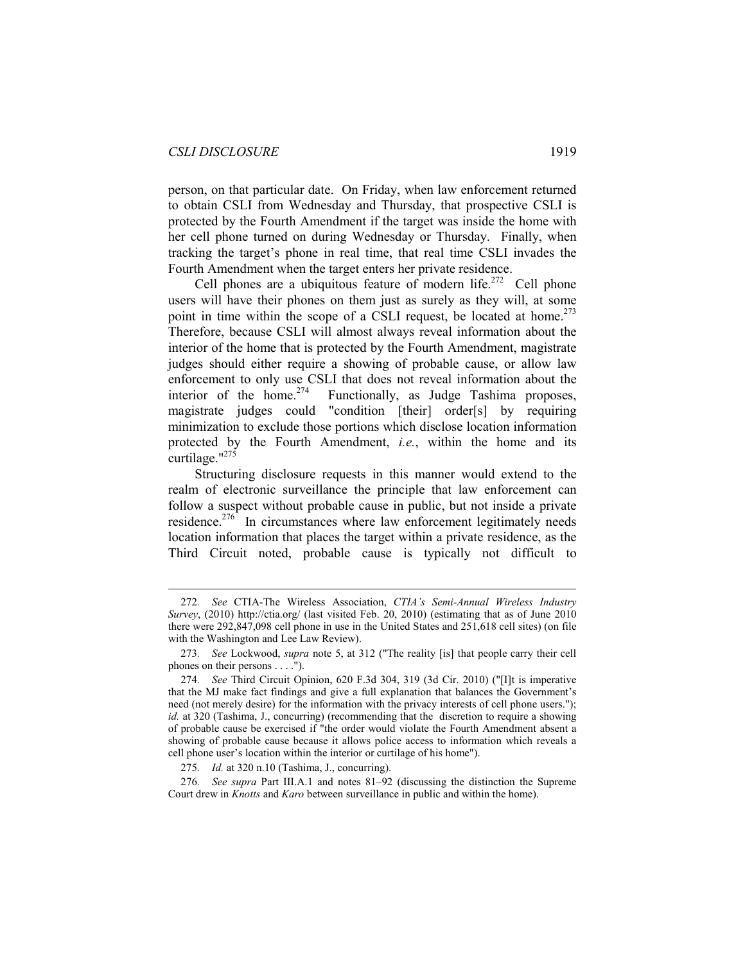$\overline{a}$ 

person, on that particular date. On Friday, when law enforcement returned to obtain CSLI from Wednesday and Thursday, that prospective CSLI is protected by the Fourth Amendment if the target was inside the home with her cell phone turned on during Wednesday or Thursday. Finally, when tracking the target's phone in real time, that real time CSLI invades the Fourth Amendment when the target enters her private residence.

Cell phones are a ubiquitous feature of modern life.<sup>272</sup> Cell phone users will have their phones on them just as surely as they will, at some point in time within the scope of a CSLI request, be located at home.<sup>273</sup> Therefore, because CSLI will almost always reveal information about the interior of the home that is protected by the Fourth Amendment, magistrate judges should either require a showing of probable cause, or allow law enforcement to only use CSLI that does not reveal information about the interior of the home.<sup>274</sup> Functionally, as Judge Tashima proposes, magistrate judges could "condition [their] order[s] by requiring minimization to exclude those portions which disclose location information protected by the Fourth Amendment, *i.e.*, within the home and its curtilage." $^{275}$ 

Structuring disclosure requests in this manner would extend to the realm of electronic surveillance the principle that law enforcement can follow a suspect without probable cause in public, but not inside a private residence.<sup>276</sup> In circumstances where law enforcement legitimately needs location information that places the target within a private residence, as the Third Circuit noted, probable cause is typically not difficult to

<sup>272</sup>*. See* CTIA-The Wireless Association, *CTIA's Semi-Annual Wireless Industry Survey*, (2010) http://ctia.org/ (last visited Feb. 20, 2010) (estimating that as of June 2010 there were 292,847,098 cell phone in use in the United States and 251,618 cell sites) (on file with the Washington and Lee Law Review).

<sup>273</sup>*. See* Lockwood, *supra* note 5, at 312 ("The reality [is] that people carry their cell phones on their persons . . . .").

<sup>274</sup>*. See* Third Circuit Opinion, 620 F.3d 304, 319 (3d Cir. 2010) ("[I]t is imperative that the MJ make fact findings and give a full explanation that balances the Government's need (not merely desire) for the information with the privacy interests of cell phone users."); *id.* at 320 (Tashima, J., concurring) (recommending that the discretion to require a showing of probable cause be exercised if "the order would violate the Fourth Amendment absent a showing of probable cause because it allows police access to information which reveals a cell phone user's location within the interior or curtilage of his home").

<sup>275</sup>*. Id.* at 320 n.10 (Tashima, J., concurring).

<sup>276</sup>*. See supra* Part III.A.1 and notes 81–92 (discussing the distinction the Supreme Court drew in *Knotts* and *Karo* between surveillance in public and within the home).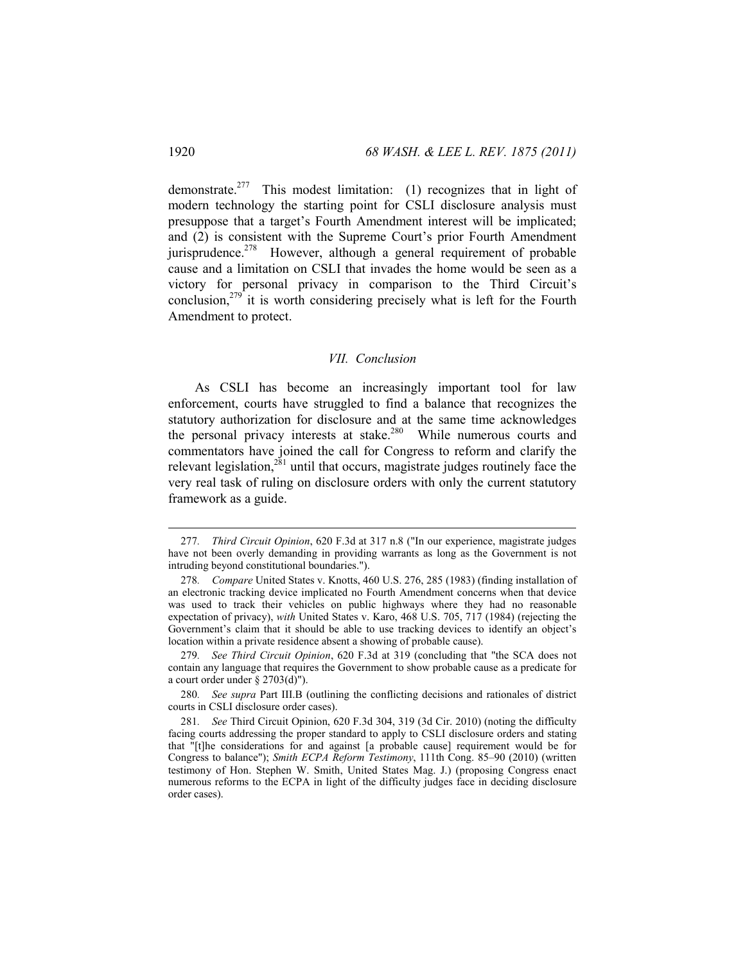demonstrate.<sup>277</sup> This modest limitation: (1) recognizes that in light of modern technology the starting point for CSLI disclosure analysis must presuppose that a target's Fourth Amendment interest will be implicated; and (2) is consistent with the Supreme Court's prior Fourth Amendment jurisprudence.<sup>278</sup> However, although a general requirement of probable cause and a limitation on CSLI that invades the home would be seen as a victory for personal privacy in comparison to the Third Circuit's conclusion,<sup>279</sup> it is worth considering precisely what is left for the Fourth Amendment to protect.

#### *VII. Conclusion*

As CSLI has become an increasingly important tool for law enforcement, courts have struggled to find a balance that recognizes the statutory authorization for disclosure and at the same time acknowledges the personal privacy interests at stake.<sup>280</sup> While numerous courts and commentators have joined the call for Congress to reform and clarify the relevant legislation,<sup>281</sup> until that occurs, magistrate judges routinely face the very real task of ruling on disclosure orders with only the current statutory framework as a guide.

<sup>277</sup>*. Third Circuit Opinion*, 620 F.3d at 317 n.8 ("In our experience, magistrate judges have not been overly demanding in providing warrants as long as the Government is not intruding beyond constitutional boundaries.").

<sup>278</sup>*. Compare* United States v. Knotts, 460 U.S. 276, 285 (1983) (finding installation of an electronic tracking device implicated no Fourth Amendment concerns when that device was used to track their vehicles on public highways where they had no reasonable expectation of privacy), *with* United States v. Karo, 468 U.S. 705, 717 (1984) (rejecting the Government's claim that it should be able to use tracking devices to identify an object's location within a private residence absent a showing of probable cause).

<sup>279</sup>*. See Third Circuit Opinion*, 620 F.3d at 319 (concluding that "the SCA does not contain any language that requires the Government to show probable cause as a predicate for a court order under §  $2703(d)$ ").

<sup>280</sup>*. See supra* Part III.B (outlining the conflicting decisions and rationales of district courts in CSLI disclosure order cases).

<sup>281</sup>*. See* Third Circuit Opinion, 620 F.3d 304, 319 (3d Cir. 2010) (noting the difficulty facing courts addressing the proper standard to apply to CSLI disclosure orders and stating that "[t]he considerations for and against [a probable cause] requirement would be for Congress to balance"); *Smith ECPA Reform Testimony*, 111th Cong. 85–90 (2010) (written testimony of Hon. Stephen W. Smith, United States Mag. J.) (proposing Congress enact numerous reforms to the ECPA in light of the difficulty judges face in deciding disclosure order cases).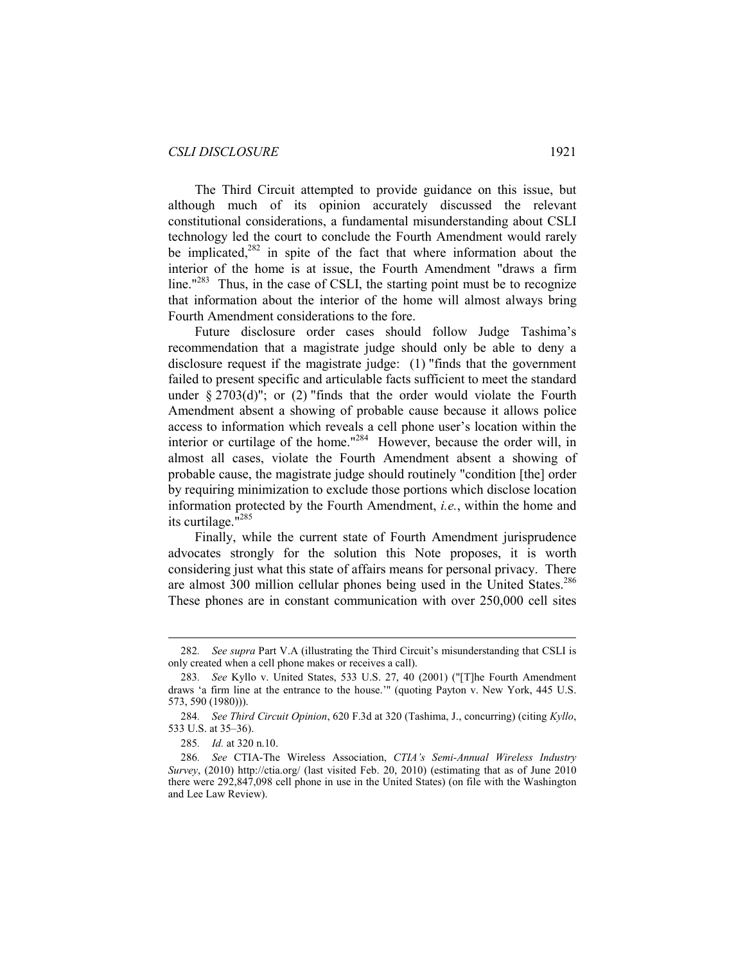The Third Circuit attempted to provide guidance on this issue, but although much of its opinion accurately discussed the relevant constitutional considerations, a fundamental misunderstanding about CSLI technology led the court to conclude the Fourth Amendment would rarely be implicated, $282$  in spite of the fact that where information about the interior of the home is at issue, the Fourth Amendment "draws a firm line."<sup>283</sup> Thus, in the case of CSLI, the starting point must be to recognize that information about the interior of the home will almost always bring Fourth Amendment considerations to the fore.

Future disclosure order cases should follow Judge Tashima's recommendation that a magistrate judge should only be able to deny a disclosure request if the magistrate judge: (1) "finds that the government failed to present specific and articulable facts sufficient to meet the standard under  $\S 2703(d)$ "; or (2) "finds that the order would violate the Fourth Amendment absent a showing of probable cause because it allows police access to information which reveals a cell phone user's location within the interior or curtilage of the home."284 However, because the order will, in almost all cases, violate the Fourth Amendment absent a showing of probable cause, the magistrate judge should routinely "condition [the] order by requiring minimization to exclude those portions which disclose location information protected by the Fourth Amendment, *i.e.*, within the home and its curtilage.<sup>1285</sup>

Finally, while the current state of Fourth Amendment jurisprudence advocates strongly for the solution this Note proposes, it is worth considering just what this state of affairs means for personal privacy. There are almost 300 million cellular phones being used in the United States.<sup>286</sup> These phones are in constant communication with over 250,000 cell sites

<sup>282</sup>*. See supra* Part V.A (illustrating the Third Circuit's misunderstanding that CSLI is only created when a cell phone makes or receives a call).

<sup>283</sup>*. See* Kyllo v. United States, 533 U.S. 27, 40 (2001) ("[T]he Fourth Amendment draws 'a firm line at the entrance to the house.'" (quoting Payton v. New York, 445 U.S. 573, 590 (1980))).

<sup>284</sup>*. See Third Circuit Opinion*, 620 F.3d at 320 (Tashima, J., concurring) (citing *Kyllo*, 533 U.S. at 35–36).

<sup>285</sup>*. Id.* at 320 n.10.

<sup>286</sup>*. See* CTIA-The Wireless Association, *CTIA's Semi-Annual Wireless Industry Survey*, (2010) http://ctia.org/ (last visited Feb. 20, 2010) (estimating that as of June 2010 there were 292,847,098 cell phone in use in the United States) (on file with the Washington and Lee Law Review).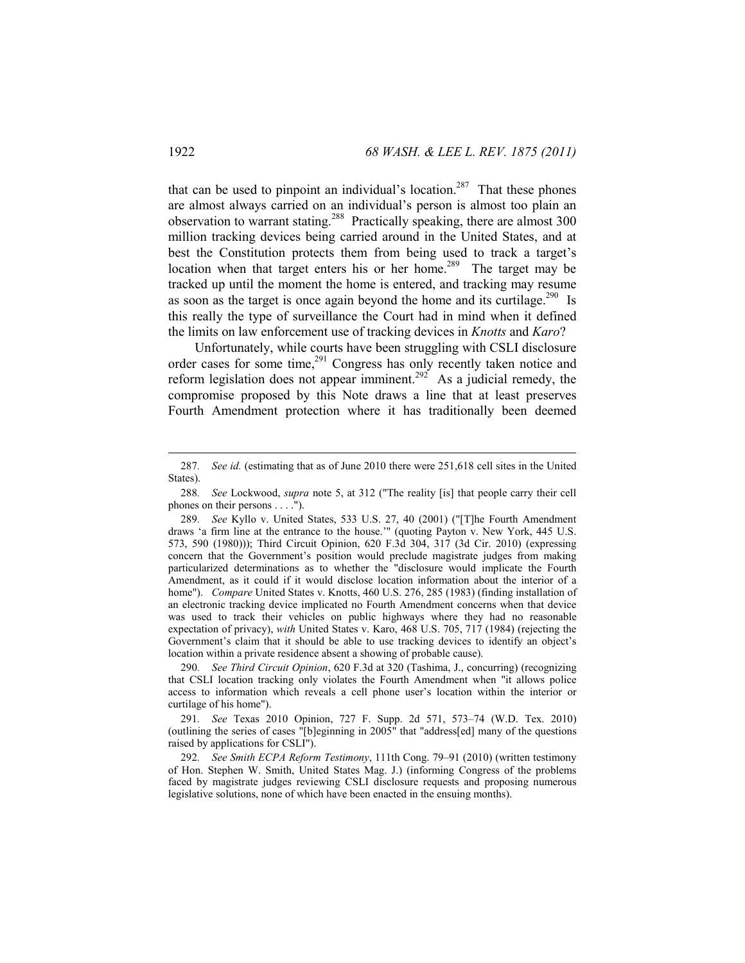that can be used to pinpoint an individual's location.<sup>287</sup> That these phones are almost always carried on an individual's person is almost too plain an observation to warrant stating.<sup>288</sup> Practically speaking, there are almost 300 million tracking devices being carried around in the United States, and at best the Constitution protects them from being used to track a target's location when that target enters his or her home.<sup>289</sup> The target may be tracked up until the moment the home is entered, and tracking may resume as soon as the target is once again beyond the home and its curtilage.<sup>290</sup> Is this really the type of surveillance the Court had in mind when it defined the limits on law enforcement use of tracking devices in *Knotts* and *Karo*?

Unfortunately, while courts have been struggling with CSLI disclosure order cases for some time,<sup>291</sup> Congress has only recently taken notice and reform legislation does not appear imminent.<sup>292</sup> As a judicial remedy, the compromise proposed by this Note draws a line that at least preserves Fourth Amendment protection where it has traditionally been deemed

<sup>287</sup>*. See id.* (estimating that as of June 2010 there were 251,618 cell sites in the United States).

<sup>288</sup>*. See* Lockwood, *supra* note 5, at 312 ("The reality [is] that people carry their cell phones on their persons . . . .").

<sup>289</sup>*. See* Kyllo v. United States, 533 U.S. 27, 40 (2001) ("[T]he Fourth Amendment draws 'a firm line at the entrance to the house.'" (quoting Payton v. New York, 445 U.S. 573, 590 (1980))); Third Circuit Opinion, 620 F.3d 304, 317 (3d Cir. 2010) (expressing concern that the Government's position would preclude magistrate judges from making particularized determinations as to whether the "disclosure would implicate the Fourth Amendment, as it could if it would disclose location information about the interior of a home"). *Compare* United States v. Knotts, 460 U.S. 276, 285 (1983) (finding installation of an electronic tracking device implicated no Fourth Amendment concerns when that device was used to track their vehicles on public highways where they had no reasonable expectation of privacy), *with* United States v. Karo, 468 U.S. 705, 717 (1984) (rejecting the Government's claim that it should be able to use tracking devices to identify an object's location within a private residence absent a showing of probable cause).

<sup>290</sup>*. See Third Circuit Opinion*, 620 F.3d at 320 (Tashima, J., concurring) (recognizing that CSLI location tracking only violates the Fourth Amendment when "it allows police access to information which reveals a cell phone user's location within the interior or curtilage of his home").

<sup>291</sup>*. See* Texas 2010 Opinion, 727 F. Supp. 2d 571, 573–74 (W.D. Tex. 2010) (outlining the series of cases "[b]eginning in 2005" that "address[ed] many of the questions raised by applications for CSLI").

<sup>292</sup>*. See Smith ECPA Reform Testimony*, 111th Cong. 79–91 (2010) (written testimony of Hon. Stephen W. Smith, United States Mag. J.) (informing Congress of the problems faced by magistrate judges reviewing CSLI disclosure requests and proposing numerous legislative solutions, none of which have been enacted in the ensuing months).